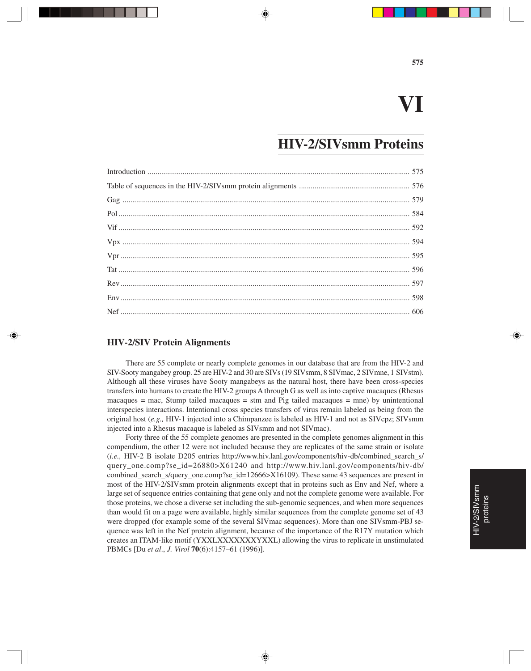## **VI**

#### **HIV-2/SIVsmm Proteins**

#### **HIV-2/SIV Protein Alignments**

There are 55 complete or nearly complete genomes in our database that are from the HIV-2 and SIV-Sooty mangabey group. 25 are HIV-2 and 30 are SIVs (19 SIVsmm, 8 SIVmac, 2 SIVmne, 1 SIVstm). Although all these viruses have Sooty mangabeys as the natural host, there have been cross-species transfers into humans to create the HIV-2 groups A through G as well as into captive macaques (Rhesus  $macaques = mac$ , Stump tailed macaques  $=$  stm and Pig tailed macaques  $=$  mne) by unintentional interspecies interactions. Intentional cross species transfers of virus remain labeled as being from the original host (*e.g.,* HIV-1 injected into a Chimpanzee is labeled as HIV-1 and not as SIVcpz; SIVsmm injected into a Rhesus macaque is labeled as SIVsmm and not SIVmac).

Forty three of the 55 complete genomes are presented in the complete genomes alignment in this compendium, the other 12 were not included because they are replicates of the same strain or isolate (*i.e.,* HIV-2 B isolate D205 entries http://www.hiv.lanl.gov/components/hiv-db/combined\_search\_s/ query\_one.comp?se\_id=26880>X61240 and http://www.hiv.lanl.gov/components/hiv-db/ combined\_search\_s/query\_one.comp?se\_id=12666>X16109). These same 43 sequences are present in most of the HIV-2/SIVsmm protein alignments except that in proteins such as Env and Nef, where a large set of sequence entries containing that gene only and not the complete genome were available. For those proteins, we chose a diverse set including the sub-genomic sequences, and when more sequences than would fit on a page were available, highly similar sequences from the complete genome set of 43 were dropped (for example some of the several SIVmac sequences). More than one SIVsmm-PBJ sequence was left in the Nef protein alignment, because of the importance of the R17Y mutation which creates an ITAM-like motif (YXXLXXXXXXXYXXL) allowing the virus to replicate in unstimulated PBMCs [Du *et al*., *J. Virol* **70**(6):4157–61 (1996)].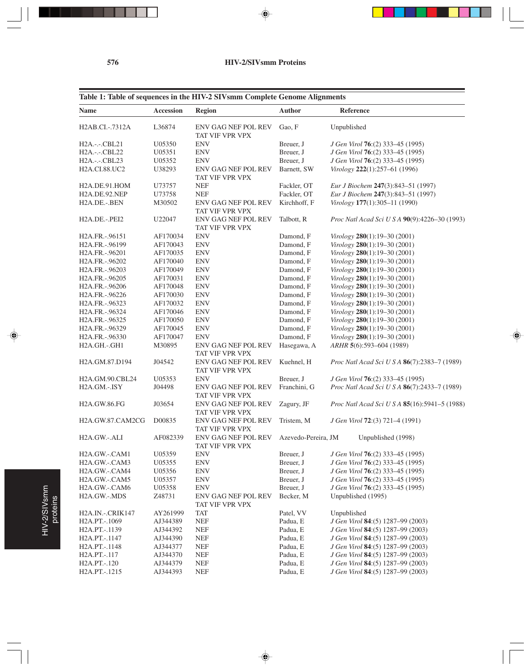$\color{red} \blacklozenge$ 

 $\overline{\phantom{a}}$   $\overline{\phantom{a}}$ 

 $\overrightarrow{\bigoplus}$ 

 $\overline{\phantom{0}}$ 

|  |  |  | Table 1: Table of sequences in the HIV-2 SIVsmm Complete Genome Alignments |
|--|--|--|----------------------------------------------------------------------------|
|  |  |  |                                                                            |

| <b>Name</b>                                | <b>Accession</b> | Region                                        | <b>Author</b>       | Reference                                     |
|--------------------------------------------|------------------|-----------------------------------------------|---------------------|-----------------------------------------------|
| H2AB.CI.-.7312A                            | L36874           | ENV GAG NEF POL REV<br>TAT VIF VPR VPX        | Gao, F              | Unpublished                                   |
| H <sub>2</sub> A.-.-CBL <sub>21</sub>      | U05350           | <b>ENV</b>                                    | Breuer, J           | J Gen Virol 76:(2) 333-45 (1995)              |
| H <sub>2</sub> A.-.-.CBL <sub>22</sub>     | U05351           | <b>ENV</b>                                    | Breuer, J           | J Gen Virol 76:(2) 333-45 (1995)              |
| H <sub>2</sub> A.-.-.CBL <sub>23</sub>     | U05352           | <b>ENV</b>                                    | Breuer, J           | J Gen Virol 76:(2) 333-45 (1995)              |
| H2A.CI.88.UC2                              | U38293           | ENV GAG NEF POL REV<br>TAT VIF VPR VPX        | Barnett, SW         | Virology 222(1):257-61 (1996)                 |
| H2A.DE.91.HOM                              | U73757           | <b>NEF</b>                                    | Fackler, OT         | Eur J Biochem 247(3):843-51 (1997)            |
| H2A.DE.92.NEP                              | U73758           | <b>NEF</b>                                    | Fackler, OT         | Eur J Biochem 247(3):843-51 (1997)            |
| H2A.DE.-.BEN                               | M30502           | ENV GAG NEF POL REV<br>TAT VIF VPR VPX        | Kirchhoff, F        | Virology 177(1):305-11 (1990)                 |
| H <sub>2</sub> A.DE.-.PEI <sub>2</sub>     | U22047           | <b>ENV GAG NEF POL REV</b><br>TAT VIF VPR VPX | Talbott, R          | Proc Natl Acad Sci U S A 90(9):4226-30 (1993) |
| H <sub>2</sub> A.FR.-.96151                | AF170034         | <b>ENV</b>                                    | Damond, F           | Virology 280(1):19-30 (2001)                  |
| H2A.FR.-.96199                             | AF170043         | <b>ENV</b>                                    | Damond, F           | Virology 280(1):19-30 (2001)                  |
| H2A.FR.-.96201                             | AF170035         | <b>ENV</b>                                    | Damond, F           | Virology 280(1):19-30 (2001)                  |
| H2A.FR.-.96202                             | AF170040         | <b>ENV</b>                                    | Damond, F           | Virology 280(1):19-30 (2001)                  |
| H2A.FR.-.96203                             | AF170049         | <b>ENV</b>                                    | Damond, F           | Virology 280(1):19-30 (2001)                  |
| H2A.FR.-.96205                             | AF170031         | <b>ENV</b>                                    | Damond, F           | Virology 280(1):19-30 (2001)                  |
| H2A.FR.-.96206                             | AF170048         | <b>ENV</b>                                    | Damond, F           | Virology 280(1):19-30 (2001)                  |
| H <sub>2</sub> A.FR.-.96226                | AF170030         | <b>ENV</b>                                    | Damond, F           | Virology 280(1):19-30 (2001)                  |
| H2A.FR.-.96323                             | AF170032         | <b>ENV</b>                                    | Damond, F           | Virology 280(1):19-30 (2001)                  |
| H <sub>2</sub> A.FR.-.96324                | AF170046         | <b>ENV</b>                                    | Damond, F           | Virology 280(1):19-30 (2001)                  |
| H2A.FR.-.96325                             | AF170050         | <b>ENV</b>                                    | Damond, F           | Virology 280(1):19-30 (2001)                  |
| H2A.FR.-.96329                             | AF170045         | <b>ENV</b>                                    | Damond, F           | Virology 280(1):19-30 (2001)                  |
| H <sub>2</sub> A.FR.-.96330                | AF170047         | <b>ENV</b>                                    | Damond, F           | Virology 280(1):19-30 (2001)                  |
| H2A.GH.-.GH1                               | M30895           | ENV GAG NEF POL REV<br>TAT VIF VPR VPX        | Hasegawa, A         | ARHR 5(6):593-604 (1989)                      |
| H2A.GM.87.D194                             | J04542           | <b>ENV GAG NEF POL REV</b><br>TAT VIF VPR VPX | Kuehnel, H          | Proc Natl Acad Sci U S A 86(7):2383-7 (1989)  |
| H2A.GM.90.CBL24                            | U05353           | <b>ENV</b>                                    | Breuer, J           | J Gen Virol 76:(2) 333-45 (1995)              |
| H <sub>2</sub> A.GM.-.ISY                  | J04498           | <b>ENV GAG NEF POL REV</b><br>TAT VIF VPR VPX | Franchini, G        | Proc Natl Acad Sci U S A 86(7):2433-7 (1989)  |
| H2A.GW.86.FG                               | J03654           | ENV GAG NEF POL REV<br>TAT VIF VPR VPX        | Zagury, JF          | Proc Natl Acad Sci U S A 85(16):5941-5 (1988) |
| H <sub>2</sub> A.GW.87.CAM <sub>2</sub> CG | D00835           | ENV GAG NEF POL REV<br>TAT VIF VPR VPX        | Tristem, M          | J Gen Virol 72:(3) 721-4 (1991)               |
| H <sub>2</sub> A.GW.-.ALI                  | AF082339         | ENV GAG NEF POL REV<br>TAT VIF VPR VPX        | Azevedo-Pereira, JM | Unpublished (1998)                            |
| H <sub>2</sub> A.GW.-.CAM <sub>1</sub>     | U05359           | <b>ENV</b>                                    | Breuer, J           | J Gen Virol 76:(2) 333-45 (1995)              |
| H <sub>2</sub> A.GW.-.CAM <sub>3</sub>     | U05355           | <b>ENV</b>                                    | Breuer, J           | J Gen Virol 76:(2) 333-45 (1995)              |
| H <sub>2</sub> A.GW.-.CAM <sub>4</sub>     | U05356           | <b>ENV</b>                                    | Breuer, J           | J Gen Virol 76:(2) 333-45 (1995)              |
| H2A.GW.-.CAM5                              | U05357           | <b>ENV</b>                                    | Breuer, J           | J Gen Virol 76:(2) 333–45 (1995)              |
| H <sub>2</sub> A.GW.-.CAM6                 | U05358           | <b>ENV</b>                                    | Breuer, J           | J Gen Virol 76:(2) 333–45 (1995)              |
| H <sub>2</sub> A.GW.-.MDS                  | Z48731           | ENV GAG NEF POL REV<br>TAT VIF VPR VPX        | Becker, M           | Unpublished (1995)                            |
| H <sub>2</sub> A.IN.-.CRIK147              | AY261999         | <b>TAT</b>                                    | Patel, VV           | Unpublished                                   |
| H2A.PT.-.1069                              | AJ344389         | <b>NEF</b>                                    | Padua, E            | J Gen Virol 84:(5) 1287-99 (2003)             |
| H2A.PT.-.1139                              | AJ344392         | <b>NEF</b>                                    | Padua, E            | J Gen Virol 84:(5) 1287-99 (2003)             |
| H2A.PT.-.1147                              | AJ344390         | <b>NEF</b>                                    | Padua, E            | J Gen Virol 84:(5) 1287-99 (2003)             |
| H <sub>2</sub> A.PT.-.1148                 | AJ344377         | $\operatorname{NEF}$                          | Padua, E            | J Gen Virol 84:(5) 1287-99 (2003)             |
| H <sub>2</sub> A.PT.-.117                  | AJ344370         | <b>NEF</b>                                    | Padua, E            | J Gen Virol 84:(5) 1287-99 (2003)             |
| H <sub>2</sub> A.PT.-.120                  | AJ344379         | <b>NEF</b>                                    | Padua, E            | J Gen Virol 84:(5) 1287-99 (2003)             |
| H2A.PT.-.1215                              | AJ344393         | $\operatorname{NEF}$                          | Padua, E            | J Gen Virol 84:(5) 1287-99 (2003)             |

 $\begin{picture}(20,5) \put(0,0){\vector(0,1){10}} \put(15,0){\vector(0,1){10}} \put(15,0){\vector(0,1){10}} \put(15,0){\vector(0,1){10}} \put(15,0){\vector(0,1){10}} \put(15,0){\vector(0,1){10}} \put(15,0){\vector(0,1){10}} \put(15,0){\vector(0,1){10}} \put(15,0){\vector(0,1){10}} \put(15,0){\vector(0,1){10}} \put(15,0){\vector(0,1){10}} \put(15,0){\vector(0,$ 

 $\clubsuit$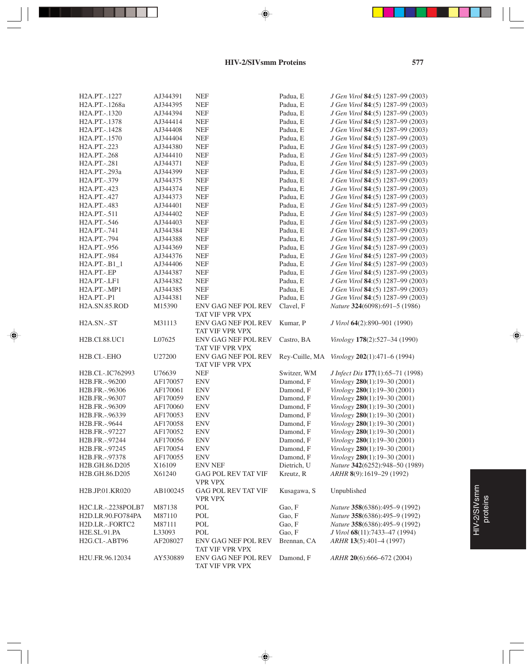#### **HIV-2/SIVsmm Proteins**

♦

. . .

⊕

Ξ

| H <sub>2</sub> A.PT.-.1227               | AJ344391             | <b>NEF</b>                             | Padua, E             | J Gen Virol 84:(5) 1287-99 (2003)   |
|------------------------------------------|----------------------|----------------------------------------|----------------------|-------------------------------------|
| H <sub>2</sub> A.PT.-.1268a              | AJ344395             | <b>NEF</b>                             | Padua, E             | J Gen Virol 84:(5) 1287-99 (2003)   |
| H2A.PT.-.1320                            | AJ344394             | <b>NEF</b>                             | Padua, E             | J Gen Virol 84:(5) 1287-99 (2003)   |
| H2A.PT.-.1378                            | AJ344414             | <b>NEF</b>                             | Padua, E             | J Gen Virol 84:(5) 1287-99 (2003)   |
| H2A.PT.-.1428                            | AJ344408             | <b>NEF</b>                             | Padua, E             | J Gen Virol 84:(5) 1287-99 (2003)   |
| H <sub>2</sub> A.PT.-.1570               | AJ344404             | <b>NEF</b>                             | Padua, E             | J Gen Virol 84:(5) 1287-99 (2003)   |
| H <sub>2</sub> A.PT.-.223                | AJ344380             | <b>NEF</b>                             | Padua, E             | J Gen Virol 84:(5) 1287-99 (2003)   |
| H <sub>2</sub> A.PT.-.268                | AJ344410             | <b>NEF</b>                             | Padua, E             | J Gen Virol 84:(5) 1287-99 (2003)   |
| H <sub>2</sub> A.PT.-.281                | AJ344371             | <b>NEF</b>                             | Padua, E             | J Gen Virol 84:(5) 1287-99 (2003)   |
| H2A.PT.-.293a                            | AJ344399             | <b>NEF</b>                             | Padua, E             | J Gen Virol 84:(5) 1287-99 (2003)   |
| H <sub>2</sub> A.PT.-.379                | AJ344375             | <b>NEF</b>                             | Padua, E             | J Gen Virol 84:(5) 1287-99 (2003)   |
| H <sub>2</sub> A.PT.-.423                | AJ344374             | <b>NEF</b>                             | Padua, E             | J Gen Virol 84:(5) 1287-99 (2003)   |
| H <sub>2</sub> A.PT.-.427                | AJ344373             | <b>NEF</b>                             | Padua, E             | J Gen Virol 84:(5) 1287-99 (2003)   |
| H <sub>2</sub> A.PT.-.483                | AJ344401             | <b>NEF</b>                             | Padua, E             | J Gen Virol 84:(5) 1287-99 (2003)   |
| H <sub>2</sub> A.PT.-.511                | AJ344402             | <b>NEF</b>                             | Padua, E             | J Gen Virol 84:(5) 1287-99 (2003)   |
| H <sub>2</sub> A.PT.-.546                | AJ344403             | <b>NEF</b>                             | Padua, E             | J Gen Virol 84:(5) 1287-99 (2003)   |
| H <sub>2</sub> A.PT.-.741                | AJ344384             | <b>NEF</b>                             | Padua, E             | J Gen Virol 84:(5) 1287-99 (2003)   |
| H <sub>2</sub> A.PT.-.794                | AJ344388             | <b>NEF</b>                             | Padua, E             | J Gen Virol 84:(5) 1287-99 (2003)   |
| H <sub>2</sub> A.PT.-.956                | AJ344369             | <b>NEF</b>                             | Padua, E             | J Gen Virol 84:(5) 1287-99 (2003)   |
| H <sub>2</sub> A.PT.-.984                | AJ344376             | <b>NEF</b>                             | Padua, E             | J Gen Virol 84:(5) 1287-99 (2003)   |
| $H2A.PT.-B1_1$                           | AJ344406             | <b>NEF</b>                             | Padua, E             | J Gen Virol 84:(5) 1287-99 (2003)   |
| H <sub>2</sub> A.PT.-.EP                 | AJ344387             | <b>NEF</b>                             |                      | J Gen Virol 84:(5) 1287-99 (2003)   |
| H <sub>2</sub> A.PT.-.LF <sub>1</sub>    | AJ344382             | <b>NEF</b>                             | Padua, E<br>Padua, E | J Gen Virol 84:(5) 1287-99 (2003)   |
|                                          |                      |                                        |                      | J Gen Virol 84:(5) 1287-99 (2003)   |
| H2A.PT.-.MP1<br>H <sub>2</sub> A.PT.-.P1 | AJ344385<br>AJ344381 | <b>NEF</b><br><b>NEF</b>               | Padua, E<br>Padua, E | J Gen Virol 84:(5) 1287-99 (2003)   |
|                                          |                      | <b>ENV GAG NEF POL REV</b>             |                      |                                     |
| H2A.SN.85.ROD                            | M15390               |                                        | Clavel, F            | Nature 324(6098):691-5 (1986)       |
|                                          |                      | TAT VIF VPR VPX<br>ENV GAG NEF POL REV |                      |                                     |
| H <sub>2</sub> A.SN.-.ST                 | M31113               |                                        | Kumar, P             | J Virol 64(2):890-901 (1990)        |
|                                          |                      | TAT VIF VPR VPX                        |                      |                                     |
| H2B.CI.88.UC1                            | L07625               | ENV GAG NEF POL REV                    | Castro, BA           | Virology 178(2):527-34 (1990)       |
|                                          |                      | TAT VIF VPR VPX                        |                      |                                     |
| H <sub>2</sub> B.CI.-.EHO                | U27200               | ENV GAG NEF POL REV                    | Rey-Cuille, MA       | Virology 202(1):471-6 (1994)        |
|                                          |                      | TAT VIF VPR VPX                        |                      |                                     |
| H2B.CI.-.IC762993                        | U76639               | <b>NEF</b>                             | Switzer, WM          | J Infect Dis 177(1):65-71 (1998)    |
| H <sub>2</sub> B.FR.-.96200              | AF170057             | <b>ENV</b>                             | Damond, F            | Virology 280(1):19-30 (2001)        |
| H2B.FR.-.96306                           | AF170061             | <b>ENV</b>                             | Damond, F            | Virology 280(1):19-30 (2001)        |
| H <sub>2</sub> B.FR.-.96307              | AF170059             | <b>ENV</b>                             | Damond, F            | Virology 280(1):19-30 (2001)        |
| H2B.FR.-.96309                           | AF170060             | <b>ENV</b>                             | Damond, F            | Virology 280(1):19-30 (2001)        |
| H2B.FR.-.96339                           | AF170053             | <b>ENV</b>                             | Damond, F            | Virology 280(1):19-30 (2001)        |
| H <sub>2</sub> B.FR.-.9644               | AF170058             | <b>ENV</b>                             | Damond, F            | Virology 280(1):19-30 (2001)        |
| H2B.FR.-.97227                           | AF170052             | <b>ENV</b>                             | Damond, F            | Virology 280(1):19-30 (2001)        |
| H2B.FR.-.97244                           | AF170056             | ENV                                    | Damond, F            | <i>Virology</i> 280(1):19–30 (2001) |
| H <sub>2</sub> B.FR.-.97245              | AF170054             | <b>ENV</b>                             | Damond, F            | Virology 280(1):19-30 (2001)        |
| H2B.FR.-.97378                           | AF170055             | <b>ENV</b>                             | Damond, F            | Virology 280(1):19-30 (2001)        |
| H <sub>2</sub> B.GH.86.D <sub>205</sub>  | X16109               | <b>ENV NEF</b>                         | Dietrich, U          | Nature 342(6252):948-50 (1989)      |
| H2B.GH.86.D205                           | X61240               | <b>GAG POL REV TAT VIF</b>             | Kreutz, R            | ARHR 8(9):1619-29 (1992)            |
|                                          |                      | <b>VPR VPX</b>                         |                      |                                     |
| H <sub>2</sub> B.JP.01.KR020             | AB100245             | <b>GAG POL REV TAT VIF</b>             | Kusagawa, S          | Unpublished                         |
|                                          |                      | <b>VPR VPX</b>                         |                      |                                     |
| H2C.LR.-.2238POLB7                       | M87138               | POL                                    | Gao, F               | Nature 358(6386):495-9 (1992)       |
| H2D.LR.90.FO784PA                        | M87110               | POL                                    | Gao, F               | Nature 358(6386):495-9 (1992)       |
| H2D.LR.-.FORTC2                          | M87111               | POL                                    | Gao, F               | Nature 358(6386):495-9 (1992)       |
| H2E.SL.91.PA                             | L33093               | POL                                    | Gao, F               | J Virol 68(11):7433-47 (1994)       |
| H2G.CI.-.ABT96                           | AF208027             | ENV GAG NEF POL REV<br>TAT VIF VPR VPX | Brennan, CA          | ARHR 13(5):401-4 (1997)             |
| H2U.FR.96.12034                          | AY530889             | ENV GAG NEF POL REV<br>TAT VIF VPR VPX | Damond, F            | ARHR 20(6):666-672 (2004)           |
|                                          |                      |                                        |                      |                                     |

 $\Rightarrow$ 

## HIV-2/SIVsmm HIV-2/SIVsmm<br>proteins

⊕

 $\overline{\phantom{0}}$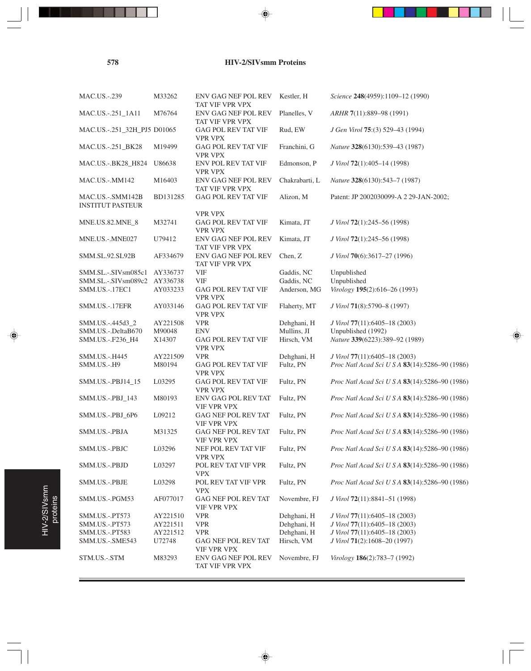**578 HIV-2/SIVsmm Proteins**

♦

| <b>MAC.US.-.239</b>                         | M33262   | <b>ENV GAG NEF POL REV</b><br>TAT VIF VPR VPX | Kestler, H     | Science 248(4959):1109-12 (1990)               |
|---------------------------------------------|----------|-----------------------------------------------|----------------|------------------------------------------------|
| MAC.US.-.251_1A11                           | M76764   | ENV GAG NEF POL REV<br>TAT VIF VPR VPX        | Planelles, V   | ARHR 7(11):889-98 (1991)                       |
| MAC.US.-.251_32H_PJ5 D01065                 |          | GAG POL REV TAT VIF<br><b>VPR VPX</b>         | Rud, EW        | J Gen Virol 75:(3) 529-43 (1994)               |
| MAC.US.-.251_BK28                           | M19499   | <b>GAG POL REV TAT VIF</b><br><b>VPR VPX</b>  | Franchini, G   | Nature 328(6130):539-43 (1987)                 |
| MAC.US.-.BK28_H824                          | U86638   | ENV POL REV TAT VIF<br><b>VPR VPX</b>         | Edmonson, P    | J Virol 72(1):405-14 (1998)                    |
| <b>MAC.US.-.MM142</b>                       | M16403   | ENV GAG NEF POL REV<br>TAT VIF VPR VPX        | Chakrabarti, L | Nature 328(6130):543-7 (1987)                  |
| MAC.US.-.SMM142B<br><b>INSTITUT PASTEUR</b> | BD131285 | GAG POL REV TAT VIF                           | Alizon, M      | Patent: JP 2002030099-A 2 29-JAN-2002;         |
|                                             |          | <b>VPR VPX</b>                                |                |                                                |
| MNE.US.82.MNE_8                             | M32741   | GAG POL REV TAT VIF<br><b>VPR VPX</b>         | Kimata, JT     | J Virol 72(1):245–56 (1998)                    |
| MNE.US.-.MNE027                             | U79412   | ENV GAG NEF POL REV<br>TAT VIF VPR VPX        | Kimata, JT     | J Virol 72(1):245–56 (1998)                    |
| SMM.SL.92.SL92B                             | AF334679 | ENV GAG NEF POL REV<br>TAT VIF VPR VPX        | Chen, Z        | J Virol 70(6):3617-27 (1996)                   |
| SMM.SL.-.SIVsm085c1                         | AY336737 | <b>VIF</b>                                    | Gaddis, NC     | Unpublished                                    |
| SMM.SL.-.SIVsm089c2                         | AY336738 | <b>VIF</b>                                    | Gaddis, NC     | Unpublished                                    |
| SMM.US.-.17EC1                              | AY033233 | GAG POL REV TAT VIF                           | Anderson, MG   | Virology 195(2):616-26 (1993)                  |
|                                             | AY033146 | <b>VPR VPX</b>                                |                |                                                |
| SMM.US.-.17EFR                              |          | GAG POL REV TAT VIF<br><b>VPR VPX</b>         | Flaherty, MT   | J Virol 71(8):5790-8 (1997)                    |
| SMM.US.-.445d3_2                            | AY221508 | <b>VPR</b>                                    | Dehghani, H    | J Virol 77(11):6405-18 (2003)                  |
| SMM.US.-.DeltaB670                          | M90048   | <b>ENV</b>                                    | Mullins, JI    | Unpublished (1992)                             |
| SMM.US.-.F236_H4                            | X14307   | GAG POL REV TAT VIF<br><b>VPR VPX</b>         | Hirsch, VM     | Nature 339(6223):389-92 (1989)                 |
| SMM.US.-.H445                               | AY221509 | <b>VPR</b>                                    | Dehghani, H    | J Virol 77(11):6405-18 (2003)                  |
| SMM.US.-.H9                                 | M80194   | GAG POL REV TAT VIF<br><b>VPR VPX</b>         | Fultz, PN      | Proc Natl Acad Sci U S A 83(14):5286-90 (1986) |
| SMM.US.-.PBJ14_15                           | L03295   | <b>GAG POL REV TAT VIF</b><br><b>VPR VPX</b>  | Fultz, PN      | Proc Natl Acad Sci U S A 83(14):5286-90 (1986) |
| SMM.US.-.PBJ_143                            | M80193   | ENV GAG POL REV TAT<br>VIF VPR VPX            | Fultz, PN      | Proc Natl Acad Sci U S A 83(14):5286-90 (1986) |
| SMM.US.-.PBJ_6P6                            | L09212   | GAG NEF POL REV TAT<br>VIF VPR VPX            | Fultz, PN      | Proc Natl Acad Sci U S A 83(14):5286-90 (1986) |
| SMM.US.-.PBJA                               | M31325   | GAG NEF POL REV TAT<br>VIF VPR VPX            | Fultz, PN      | Proc Natl Acad Sci U S A 83(14):5286-90 (1986) |
| SMM.US.-.PBJC                               | L03296   | NEF POL REV TAT VIF<br><b>VPR VPX</b>         | Fultz, PN      | Proc Natl Acad Sci U S A 83(14):5286-90 (1986) |
| SMM.US.-.PBJD                               | L03297   | POL REV TAT VIF VPR<br><b>VPX</b>             | Fultz, PN      | Proc Natl Acad Sci U S A 83(14):5286-90 (1986) |
| SMM.US.-.PBJE                               | L03298   | POL REV TAT VIF VPR<br><b>VPX</b>             | Fultz, PN      | Proc Natl Acad Sci U S A 83(14):5286-90 (1986) |
| SMM.US.-.PGM53                              | AF077017 | GAG NEF POL REV TAT<br>VIF VPR VPX            | Novembre, FJ   | J Virol 72(11):8841-51 (1998)                  |
| SMM.US.-.PT573                              | AY221510 | <b>VPR</b>                                    | Dehghani, H    | J Virol 77(11):6405-18 (2003)                  |
| SMM.US.-.PT573                              | AY221511 | <b>VPR</b>                                    | Dehghani, H    | J Virol 77(11):6405-18 (2003)                  |
| SMM.US.-.PT583                              | AY221512 | <b>VPR</b>                                    | Dehghani, H    | J Virol 77(11):6405-18 (2003)                  |
| SMM.US.-.SME543                             | U72748   | GAG NEF POL REV TAT<br>VIF VPR VPX            | Hirsch, VM     | J Virol 71(2):1608-20 (1997)                   |
| STM.US.-.STM                                | M83293   | ENV GAG NEF POL REV<br>TAT VIF VPR VPX        | Novembre, FJ   | Virology 186(2):783-7 (1992)                   |
|                                             |          |                                               |                |                                                |

 $\color{red} \blacklozenge$ 

⊕

 $\equiv$ 

HIV-2/SIVsmm HIV-2/SIVsmm<br>proteins

⊕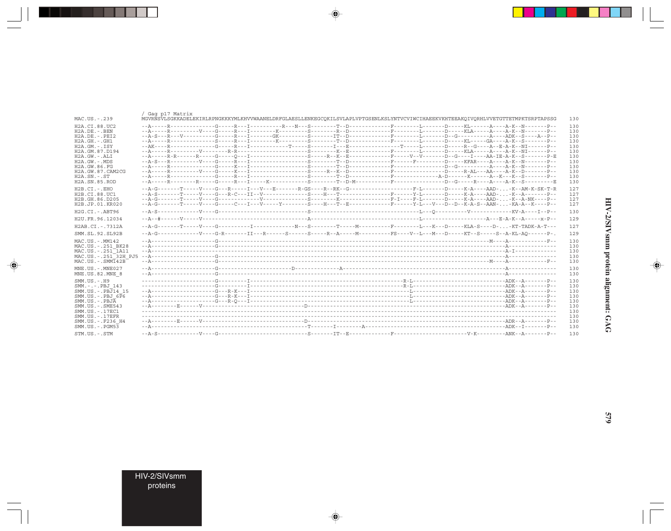|                                                    | / Gaq p17 Matrix |                                                                                                                                    |  |  |            |
|----------------------------------------------------|------------------|------------------------------------------------------------------------------------------------------------------------------------|--|--|------------|
| MAC.US.-.239                                       |                  | MGVRNSVLSGKKADELEKIRLRPNGKKKYMLKHVVWAANELDRFGLAESLLENKEGCOKILSVLAPLVPTGSENLKSLYNTVCVIWCIHAEEKVKHTEEAKOIVORHLVVETGTTETMPKTSRPTAPSSG |  |  | 130        |
| H2A.CI.88.UC2                                      |                  |                                                                                                                                    |  |  | 130        |
| $H2A$ . DE. $-$ . BEN                              |                  |                                                                                                                                    |  |  | 130        |
| $H2A.DE. - .PEI2$                                  |                  |                                                                                                                                    |  |  | 130        |
| $H2A.GH. - .GH1$                                   |                  |                                                                                                                                    |  |  | 130        |
| H2A.GM.-.ISY                                       |                  |                                                                                                                                    |  |  | 130        |
| H2A.GM.87.D194                                     |                  |                                                                                                                                    |  |  | 130        |
| H2A.GW.-.ALI                                       |                  |                                                                                                                                    |  |  | 130        |
| $H2A.GW. - .MDS$                                   |                  |                                                                                                                                    |  |  | 130        |
| H2A. GW. 86. FG                                    |                  |                                                                                                                                    |  |  | 130        |
| H2A.GW.87.CAM2CG<br>$H2A$ . $SN. - . ST$           |                  |                                                                                                                                    |  |  | 130        |
| H2A.SN.85.ROD                                      |                  | --A-----R--------R-----G-----R---I-----K---------S--------T--D-M----------F----------D--G----R----A----A-K--S----------E           |  |  | 130<br>130 |
|                                                    |                  |                                                                                                                                    |  |  |            |
| $H2B.CI.-EHO$                                      |                  |                                                                                                                                    |  |  | 127        |
| H2B.CI.88.UC1                                      |                  |                                                                                                                                    |  |  | 127        |
| H2B.GH.86.D205                                     |                  |                                                                                                                                    |  |  | 127        |
| H2B.JP.01.KR020                                    |                  | --A-G-------T-----V----G-----C---I---V-----Y-------S----H---T--E------------F------Y-L---V-L-D--D--K-A-S--AAN--KA-A--K----P--      |  |  | 127        |
| H2G.CI.-.ABT96                                     |                  |                                                                                                                                    |  |  | 130        |
| H2U.FR.96.12034                                    |                  |                                                                                                                                    |  |  | 129        |
| H2AB.CI. - . 7312A                                 |                  |                                                                                                                                    |  |  | 127        |
| SMM.SL.92.SL92B                                    |                  | --A-G-------------V----G-R-------II---R------S------R--A------M----------FS----V--L---M---D-----KT--S----S--A-KL-AQ-------P-.      |  |  | 129        |
| MAC.US.-.MM142                                     |                  |                                                                                                                                    |  |  | 130        |
| MAC.US.-.251 BK28                                  |                  |                                                                                                                                    |  |  | 130        |
| MAC.US.-.251 <sup>-1</sup> A11                     |                  |                                                                                                                                    |  |  | 130        |
|                                                    |                  |                                                                                                                                    |  |  | 130        |
| MAC.US.-.SMM142B                                   |                  |                                                                                                                                    |  |  | 130        |
| MNE.US.-.MNE027                                    |                  |                                                                                                                                    |  |  | 130        |
| MNE.US.82.MNE 8                                    |                  |                                                                                                                                    |  |  | 130        |
|                                                    |                  |                                                                                                                                    |  |  |            |
| $SMM.US. - . H9$                                   |                  |                                                                                                                                    |  |  | 130        |
| $SMM. - - - P BJ 143$                              |                  |                                                                                                                                    |  |  | 130        |
| SMM.US.-.PBJ14 15<br>$SMM.US.-.PBJ 6\overline{P}6$ |                  |                                                                                                                                    |  |  | 130        |
| $SMM$ . U.S. - . PBJ $\overline{A}$                |                  |                                                                                                                                    |  |  | 130<br>130 |
| $SMM.US. - .SME543$                                |                  |                                                                                                                                    |  |  | 130        |
| SMM.US. - . 17EC1                                  |                  |                                                                                                                                    |  |  | 130        |
| $SMM. US. - .17EFR$                                |                  |                                                                                                                                    |  |  | 130        |
| SMM.US. -. F236 H4                                 |                  |                                                                                                                                    |  |  | 130        |
| $SMM. US. - . PGM53$                               |                  |                                                                                                                                    |  |  | 130        |
| STM.US.-.STM                                       |                  |                                                                                                                                    |  |  | 130        |

 $\spadesuit$ 

HIV-2/SIVsmm protein alignment: GAG

 $\begin{picture}(20,5) \put(0,0){\line(1,0){10}} \put(15,0){\line(1,0){10}} \put(15,0){\line(1,0){10}} \put(15,0){\line(1,0){10}} \put(15,0){\line(1,0){10}} \put(15,0){\line(1,0){10}} \put(15,0){\line(1,0){10}} \put(15,0){\line(1,0){10}} \put(15,0){\line(1,0){10}} \put(15,0){\line(1,0){10}} \put(15,0){\line(1,0){10}} \put(15,0){\line(1,$ 

T E E

 $579$ 

HIV-2/SIVsmm<br>proteins

---

 $\overline{\blacklozenge}$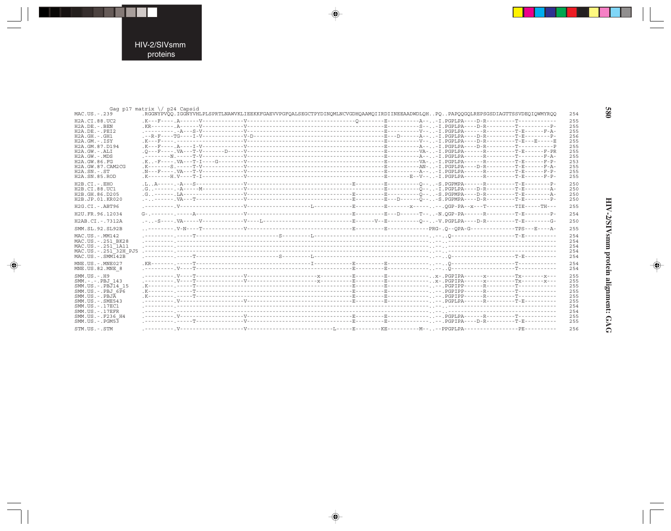

. . .

 $\begin{picture}(120,140)(-6.5,14.0) \put(0,0){\vector(0,1){10}} \put(15,0){\vector(0,1){10}} \put(15,0){\vector(0,1){10}} \put(15,0){\vector(0,1){10}} \put(15,0){\vector(0,1){10}} \put(15,0){\vector(0,1){10}} \put(15,0){\vector(0,1){10}} \put(15,0){\vector(0,1){10}} \put(15,0){\vector(0,1){10}} \put(15,0){\vector(0,1){10}} \put(15,0){\vector(0,1){10}}$ 

 $\frac{1}{\sqrt{2}}$ 

|                                                                                                                                                                                                                | Gag p17 matrix $\setminus$ p24 Capsid |                                                                                                                                |  |                                                                           |
|----------------------------------------------------------------------------------------------------------------------------------------------------------------------------------------------------------------|---------------------------------------|--------------------------------------------------------------------------------------------------------------------------------|--|---------------------------------------------------------------------------|
| MAC.US.-.239                                                                                                                                                                                                   |                                       | RGGNYPVOO.IGGNYVHLPLSPRTLNAWVKLIEEKKFGAEVVPGFQALSEGCTPYDINQMLNCVGDHQAAMQIIRDIINEEAADWDLQHPQPAPQQGQLREPSGSDIAGTTSSVDEQIQWMYRQQ. |  | 254                                                                       |
| H2A.CI.88.UC2<br>$H2A.DE. - .BEN$<br>$H2A.DE. - .PEI2$<br>$H2A.GH.-.GH1$<br>$H2A.GM.-.ISY$<br>H2A.GM.87.D194<br>H2A.GW.-.ALI<br>$H2A.GW. - .MDS$<br>H2A.GW.86.FG<br>H2A.GW.87.CAM2CG<br>$H2A.SN.-.ST$          |                                       |                                                                                                                                |  | 255<br>255<br>255<br>256<br>255<br>255<br>255<br>255<br>253<br>255<br>255 |
| H2A.SN.85.ROD                                                                                                                                                                                                  |                                       |                                                                                                                                |  | 255                                                                       |
| $H2B.CI.-EHO$<br>H2B.CI.88.UC1<br>H2B.GH.86.D205<br>H2B.JP.01.KR020                                                                                                                                            |                                       |                                                                                                                                |  | 250<br>250<br>250<br>250                                                  |
| H2G.CI.-.ABT96                                                                                                                                                                                                 |                                       |                                                                                                                                |  | 255                                                                       |
| H2U.FR.96.12034                                                                                                                                                                                                |                                       |                                                                                                                                |  | 254                                                                       |
| H2AB.CI.-.7312A                                                                                                                                                                                                |                                       |                                                                                                                                |  | 250                                                                       |
| SMM. SL. 92. SL92B                                                                                                                                                                                             |                                       |                                                                                                                                |  | 255                                                                       |
| MAC.US.-.MM142<br>MAC.US. - . 251 BK28<br>MAC.US. - . 251 <sup>-1</sup> A11<br>MAC.US. - . 251 <sup>-32H</sup> PJ5<br>$MAC . US . - . SIM142B$                                                                 |                                       |                                                                                                                                |  | 254<br>254<br>254<br>254<br>254                                           |
| MNE.US.-.MNE027<br>MNE.US.82.MNE 8                                                                                                                                                                             |                                       |                                                                                                                                |  | 254<br>254                                                                |
| $SMM. US. - . H9$<br>SMM.-.-.PBJ 143<br>SMM.US.-.PBJ14 15<br>$SMM.US.-.PBJ 6\overline{P}6$<br>$SMM. US. - . PBJA$<br>SMM. US. - . SME543<br>SMM.US.-.17EC1<br>$SMM$ . US. $-$ . $17$ EFR<br>SMM.US. -. F236 H4 |                                       |                                                                                                                                |  | 255<br>255<br>255<br>255<br>255<br>255<br>254<br>254<br>255               |
| $SMM.US. - . PGM53$                                                                                                                                                                                            |                                       |                                                                                                                                |  | 255                                                                       |
| STM.US.-.STM                                                                                                                                                                                                   |                                       |                                                                                                                                |  | 256                                                                       |

 $\begin{picture}(20,5) \put(0,0){\vector(0,1){10}} \put(15,0){\vector(0,1){10}} \put(15,0){\vector(0,1){10}} \put(15,0){\vector(0,1){10}} \put(15,0){\vector(0,1){10}} \put(15,0){\vector(0,1){10}} \put(15,0){\vector(0,1){10}} \put(15,0){\vector(0,1){10}} \put(15,0){\vector(0,1){10}} \put(15,0){\vector(0,1){10}} \put(15,0){\vector(0,1){10}} \put(15,0){\vector(0,$ 

 $\begin{picture}(20,5) \put(0,0){\vector(0,1){10}} \put(15,0){\vector(0,1){10}} \put(15,0){\vector(0,1){10}} \put(15,0){\vector(0,1){10}} \put(15,0){\vector(0,1){10}} \put(15,0){\vector(0,1){10}} \put(15,0){\vector(0,1){10}} \put(15,0){\vector(0,1){10}} \put(15,0){\vector(0,1){10}} \put(15,0){\vector(0,1){10}} \put(15,0){\vector(0,1){10}} \put(15,0){\vector(0,$ 

**689** 

▋

HIV-2/SIVsmm protein alignment: GAG

 $\begin{picture}(20,5) \put(0,0){\line(1,0){10}} \put(15,0){\line(1,0){10}} \put(15,0){\line(1,0){10}} \put(15,0){\line(1,0){10}} \put(15,0){\line(1,0){10}} \put(15,0){\line(1,0){10}} \put(15,0){\line(1,0){10}} \put(15,0){\line(1,0){10}} \put(15,0){\line(1,0){10}} \put(15,0){\line(1,0){10}} \put(15,0){\line(1,0){10}} \put(15,0){\line(1,$ 

 $\overline{\phantom{0}}$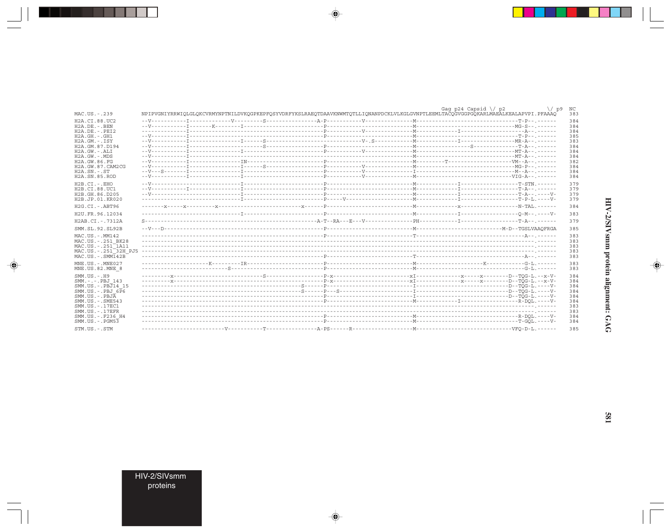|                                  |                                                                                                                                    | Gaq p24 Capsid $\setminus$ p2 | $\sqrt{p9}$<br>NC |
|----------------------------------|------------------------------------------------------------------------------------------------------------------------------------|-------------------------------|-------------------|
| MAC.US.-.239                     | NPIPVGNIYRRWIQLGLQKCVRMYNPTNILDVKQGPKEPFQSYVDRFYKSLRAEQTDAAVKNWMTQTLLIQNANPDCKLVLKGLGVNPTLEEMLTACQGVGGPGQKARLMAEALKEALAPVPI.PFAAAQ |                               | 383               |
| H2A.CI.88.UC2                    |                                                                                                                                    |                               | 384               |
| $H2A.DE. - . BEN$                |                                                                                                                                    |                               | 384               |
| $H2A.DE. - .PEI2$                |                                                                                                                                    |                               | 384               |
| $H2A.GH.-.GH1$                   |                                                                                                                                    |                               | 385               |
| $H2A.GM.-.ISY$                   |                                                                                                                                    |                               | 383               |
| H2A.GM.87.D194                   |                                                                                                                                    |                               | 384               |
| $H2A.GW. - .ALI$                 |                                                                                                                                    |                               | 384               |
| $H2A.GW. - MDS$<br>H2A.GW.86.FG  |                                                                                                                                    |                               | 384<br>382        |
| H2A.GW.87.CAM2CG                 |                                                                                                                                    |                               | 384               |
| $H2A.SN.-.ST$                    |                                                                                                                                    |                               | 384               |
| H2A.SN.85.ROD                    |                                                                                                                                    |                               | 384               |
| $H2B.CI.-.EHO$                   |                                                                                                                                    |                               | 379               |
| H2B.CI.88.UC1                    |                                                                                                                                    |                               | 379               |
| H2B.GH.86.D205                   |                                                                                                                                    |                               | 379               |
| H2B.JP.01.KR020                  |                                                                                                                                    |                               | 379               |
| H2G.CI. - . ABT96                |                                                                                                                                    |                               | 384               |
|                                  |                                                                                                                                    |                               | 383               |
| H2U.FR.96.12034                  |                                                                                                                                    |                               |                   |
| H2AB.CI.-.7312A                  |                                                                                                                                    |                               | 379               |
| SMM. SL. 92. SL92B               |                                                                                                                                    |                               | 385               |
| MAC.US.-.MM142                   |                                                                                                                                    |                               | 383               |
| MAC.US. - . 251 BK28             |                                                                                                                                    |                               | 383               |
| MAC.US. - . 251 1A11             |                                                                                                                                    |                               | 383               |
| MAC.US.-.251 <sup>-32H</sup> PJ5 |                                                                                                                                    |                               | 383               |
| $MAC . US . - . SIM142B$         |                                                                                                                                    |                               | 383               |
| $MNE. US.-. MNE027$              |                                                                                                                                    |                               | 383               |
| MNE.US.82.MNE 8                  |                                                                                                                                    |                               | 383               |
| $SMM. US. - . H9$                |                                                                                                                                    |                               | 384               |
| SMM.-.-.PBJ 143                  |                                                                                                                                    |                               | 384               |
| SMM.US.-.PBJ14 15                |                                                                                                                                    |                               | 384               |
| $SMM.US.-.PBJ 6\overline{P}6$    |                                                                                                                                    |                               | 384               |
| $SMM. US. - . PBJA$              |                                                                                                                                    |                               | 384               |
| $SMM.US. - .SME543$              |                                                                                                                                    |                               | 384               |
| SMM.US.-.17EC1                   |                                                                                                                                    |                               | 383               |
| $SMM. US. - .17EFR$              |                                                                                                                                    |                               | 383               |
| SMM.US. -. F236 H4               |                                                                                                                                    |                               | 384               |
| $SMM.US. - . PGM53$              |                                                                                                                                    |                               | 384               |
| STM.US.-.STM                     |                                                                                                                                    |                               | 385               |

 $\begin{picture}(20,5) \put(0,0){\vector(0,1){10}} \put(15,0){\vector(0,1){10}} \put(15,0){\vector(0,1){10}} \put(15,0){\vector(0,1){10}} \put(15,0){\vector(0,1){10}} \put(15,0){\vector(0,1){10}} \put(15,0){\vector(0,1){10}} \put(15,0){\vector(0,1){10}} \put(15,0){\vector(0,1){10}} \put(15,0){\vector(0,1){10}} \put(15,0){\vector(0,1){10}} \put(15,0){\vector(0,$ 

HIV-2/SIVsmm protein alignment: GAG

 $\spadesuit$ 

 $\overline{\phantom{0}}$ 

 $\Box$ 

**581** 

HIV-2/SIVsmm<br>proteins

. . . .

 $\overrightarrow{\phantom{a}}$ 

 $\frac{1}{\sqrt{2}}$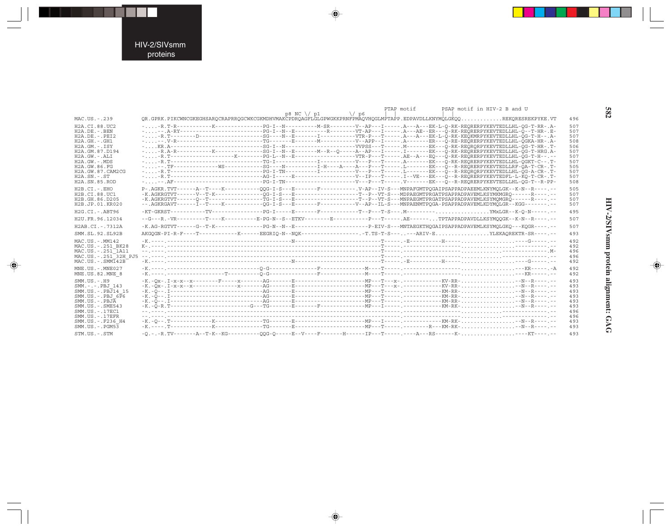#### HIV-2/SIVsmm proteins

н

 $\begin{picture}(120,140)(-6.5,14.0) \put(0,0){\vector(0,1){10}} \put(15,0){\vector(0,1){10}} \put(15,0){\vector(0,1){10}} \put(15,0){\vector(0,1){10}} \put(15,0){\vector(0,1){10}} \put(15,0){\vector(0,1){10}} \put(15,0){\vector(0,1){10}} \put(15,0){\vector(0,1){10}} \put(15,0){\vector(0,1){10}} \put(15,0){\vector(0,1){10}} \put(15,0){\vector(0,1){10}}$ 

 $\overline{\mathbb{R}}$ 

|                                  | PTAP motif<br>PSAP motif in HIV-2 B and U                                                                                                               |     |
|----------------------------------|---------------------------------------------------------------------------------------------------------------------------------------------------------|-----|
| MAC.US.-.239                     | $p8 NC \ \/ p1$<br>$\sqrt{25}$<br>OR.GPRK.PIKCWNCGKEGHSAROCRAPRROGCWKCGKMDHVMAKCPDROAGFLGLGPWGKKPRNFPMAOVHOGLMPTAPP.EDPAVDLLKNYMOLGKOOREKORESREKPYKE.VT | 496 |
| H2A.CI.88.UC2                    |                                                                                                                                                         | 507 |
| $H2A.DE. - . BEN$                | ---.A-RY---------------------PG-I--N--E----------R--------VT-AP---I-----.A---AE--ER---O-RK-REORERPYKEVTEDLLHL-O--T-HR-.E-                               | 507 |
| $H2A.DE. - .PEI2$                |                                                                                                                                                         | 507 |
| $H2A.GH.-.GH1$                   |                                                                                                                                                         | 508 |
| $H2A.GM.-.ISY$                   |                                                                                                                                                         | 506 |
| H2A.GM.87.D194                   | --R.A-R----------K--------------SG-I--N--E-------M--R--O-----AP--AP---I------I-----EK---O-RK-REORERPYKEVTEDLLHL-OG-T-HRG.A-                             | 507 |
| H2A.GW.-.ALI                     | --R.T-----------------K-------PG-L--N--E---------------VTR-P---T-----.AE--A---EO---O-RK-REORERPYKEVTEDLLHL-OG-T-H--.-                                   | 507 |
| $H2A.GW. - .MDS$                 |                                                                                                                                                         | 507 |
| H2A.GW.86.FG                     | ---.TF-------------WS-----------SG----N---------I-H----A----A---P---T------.L------EK---O--R-REORERPYKEVTEDLLRF-OA-T-CR-.T-                             | 505 |
| H2A.GW.87.CAM2CG                 |                                                                                                                                                         | 507 |
| $H2A$ . $SN. - . ST$             |                                                                                                                                                         | 507 |
| H2A.SN.85.ROD                    |                                                                                                                                                         | 508 |
| $H2B.CI.-EHO$                    | P-.AGKR.TVT------A--T----K----------00G-I-S---E-------F--------.V-AP--IV-S---MNPAFGMTPOGAIPSAPPADPAEEMLKNYMOLGK--K-N--R----.-                           | 505 |
| H2B.CI.88.UC1                    | -K.AGKRGTVT------V--T-K--------------OG-I-S---E--------------------T--P--VT-S---MDPAEGMTPRGATPSAPPADPAVEMLKSYMKMGRO------R----.                         | 507 |
| H2B.GH.86.D205                   | -K.AGKRGTVT------0--T----------------TG-I-S---E--------------------T--P--VT-S---MNPAEGMTPRGATPSAPPADPAVEMLKSYMQMGRQ------R----.-                        | 507 |
| H2B.JP.01.KR020                  | --. AGKRGAVT------I--T----K------------QG-I-S---E-------F---------V--AP--IL-S---MNPAENMTPQGA-PSAPPADPAVEMLKDYMQLGR--KGG-------.                         | 507 |
| H2G.CI.-.ABT96                   |                                                                                                                                                         | 495 |
| H2U.FR.96.12034                  | $-\texttt{-G--R.-VR--------T----K-------E-PG-N--S--ETKV------E--------P--T-----.AE----TPTAPPADPAUDLLSKMQQGK--K-N--R----------$                          | 507 |
| H2AB.CI.-.7312A                  |                                                                                                                                                         | 507 |
| SMM.SL.92.SL92B                  | AKGQGN-PI-R-F----T-----------K-----EEGRIQ-N--NQK------------------T.TS-T-S------ARIV-EYLEKAQREKTR-SR----.--                                             | 493 |
| MAC.US.-.MM142                   |                                                                                                                                                         | 492 |
| MAC.US.-.251 BK28                |                                                                                                                                                         | 492 |
| MAC.US.-.251 <sup>-1</sup> A11   |                                                                                                                                                         | 496 |
| MAC.US.-.251 <sup>-32H</sup> PJ5 |                                                                                                                                                         | 496 |
| $MAC. US. - . SIM142B$           |                                                                                                                                                         | 492 |
| MNE.US.-.MNE027                  |                                                                                                                                                         | 492 |
| MNE.US.82.MNE 8                  |                                                                                                                                                         | 492 |
| $SMM. US. - . H9$                |                                                                                                                                                         | 493 |
| SMM.-.-.PBJ 143                  |                                                                                                                                                         | 493 |
| SMM.US.-.PBJ14 15                |                                                                                                                                                         | 493 |
| $SMM.US.-.PBJ 6\overline{P}6$    |                                                                                                                                                         | 493 |
| $SMM. US. - . PBJA$              |                                                                                                                                                         | 493 |
| SMM.US.-.SME543                  |                                                                                                                                                         | 493 |
| SMM.US. - . 17EC1                |                                                                                                                                                         | 496 |
| $SMM. US. - .17EFR$              |                                                                                                                                                         | 496 |
| SMM.US. -. F236 H4               |                                                                                                                                                         | 493 |
| $SMM. US. - . PGM53$             |                                                                                                                                                         | 493 |
| STM.US.-.STM                     |                                                                                                                                                         | 493 |

 $\begin{picture}(20,5) \put(0,0){\vector(0,1){10}} \put(15,0){\vector(0,1){10}} \put(15,0){\vector(0,1){10}} \put(15,0){\vector(0,1){10}} \put(15,0){\vector(0,1){10}} \put(15,0){\vector(0,1){10}} \put(15,0){\vector(0,1){10}} \put(15,0){\vector(0,1){10}} \put(15,0){\vector(0,1){10}} \put(15,0){\vector(0,1){10}} \put(15,0){\vector(0,1){10}} \put(15,0){\vector(0,$ 

 $\begin{picture}(20,5) \put(0,0){\vector(0,1){10}} \put(15,0){\vector(0,1){10}} \put(15,0){\vector(0,1){10}} \put(15,0){\vector(0,1){10}} \put(15,0){\vector(0,1){10}} \put(15,0){\vector(0,1){10}} \put(15,0){\vector(0,1){10}} \put(15,0){\vector(0,1){10}} \put(15,0){\vector(0,1){10}} \put(15,0){\vector(0,1){10}} \put(15,0){\vector(0,1){10}} \put(15,0){\vector(0,$ 

582

▋

**HIV-2/SIVsmm protein alignment: GAG 582** HIV-2/SIVsmm protein alignment: GAG

 $\spadesuit$ 

 $\overline{\phantom{0}}$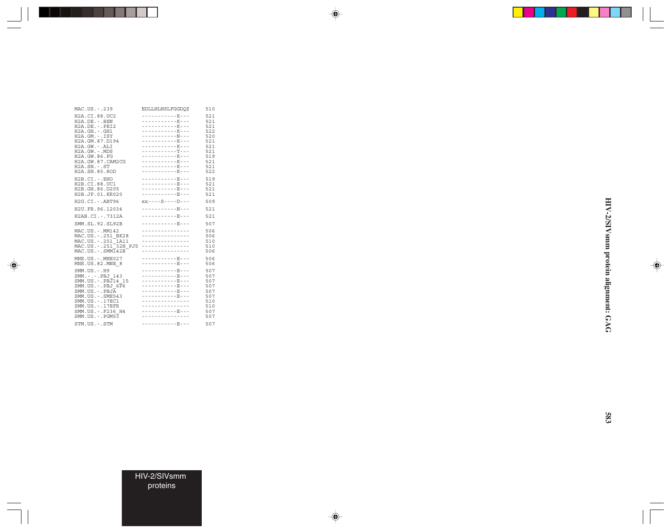| MAC.US.-.239                                                                                                                                                                                                                          | EDLLHLNSLFGGDO\$                                                                                                                                                                                              | 510                                                                              |
|---------------------------------------------------------------------------------------------------------------------------------------------------------------------------------------------------------------------------------------|---------------------------------------------------------------------------------------------------------------------------------------------------------------------------------------------------------------|----------------------------------------------------------------------------------|
| H2A.CI.88.UC2<br>H2A.DE. - . BEN<br>$H2A.DE. - .PEI2$<br>$H2A.GH.-.GH1$<br>$H2A.GM.-.ISY$<br>H2A.GM.87.D194<br>$H2A.GW.-.ALI$<br>H2A.GW.-.MDS<br>H2A.GW.86.FG<br>H2A.GW.87.CAM2CG<br>$H2A.SN.-.ST$<br>H2A.SN.85.ROD                   | -----------K---<br>-----------K---<br>-----------K---<br>-----------K---<br>-----------K---<br>-----------K---<br>---------------<br>-----------K---<br>-----------K---<br>-----------K---<br>-----------K--- | 521<br>521<br>521<br>522<br>520<br>521<br>521<br>521<br>519<br>521<br>521<br>522 |
| H2B.CI.-.EHO<br>H2B.CI.88.UC1<br>H2B.GH.86.D205<br>H2B.JP.01.KR020                                                                                                                                                                    | -----------R---<br>-----------R---<br>-----------E---<br>-----------E---                                                                                                                                      | 519<br>521<br>521<br>521                                                         |
| H2G.CI. - . ABT96                                                                                                                                                                                                                     | $XX - - - S - - - - D - - -$                                                                                                                                                                                  | 509                                                                              |
| H2U.FR.96.12034                                                                                                                                                                                                                       | -----------N---                                                                                                                                                                                               | 521                                                                              |
| H2AB.CI.-.7312A                                                                                                                                                                                                                       | -----------E---                                                                                                                                                                                               | 521                                                                              |
| SMM.SL.92.SL92B                                                                                                                                                                                                                       | -----------E---                                                                                                                                                                                               | 507                                                                              |
| MAC.US.-.MM142<br>MAC.US. - . 251 BK28<br>MAC.US. - . 251 <sup>-1</sup> A11<br>MAC.US. -.251 32H PJ5<br>$MAC. US. - . SIMT42B$                                                                                                        | ---------------<br>---------------<br>---------------<br>---------------<br>---------------                                                                                                                   | 506<br>506<br>510<br>510<br>506                                                  |
| $MNE. US. - . MNE027$<br>MNE.US.82.MNE 8                                                                                                                                                                                              | -----------E---<br>-----------E---                                                                                                                                                                            | 506<br>506                                                                       |
| SMM. US. - . H9<br>SMM. -.-. PBJ 143<br>SMM.US.-.PBJ14 15<br>SMM.US. -. PBJ $6\overline{P}6$<br>$SMM. US. - . PBJA$<br>SMM. US. - . SME543<br>SMM. US. - . 17EC1<br>$SMM. US. - .17EFR$<br>SMM.US. - . F236 H4<br>$SMM.US. - . PGM53$ | -----------R---<br>-----------R---<br>-----------E---<br>-----------E---<br>-----------E---<br>-----------R---<br>---------------<br>---------------<br>-----------E---<br>---------------                    | 507<br>507<br>507<br>507<br>507<br>507<br>510<br>510<br>507<br>507               |
| STM.US.-.STM                                                                                                                                                                                                                          | -----------E---                                                                                                                                                                                               | 507                                                                              |

--

 $\Rightarrow$ 

 $\color{red} \bigoplus$ 

 $\Rightarrow$ 

HIV-2/SIVsmm protein alignment: GAG **HIV-2/SIVsmm protein alignment: GAG**

 $\Rightarrow$ 

HIV-2/SIVsmm proteins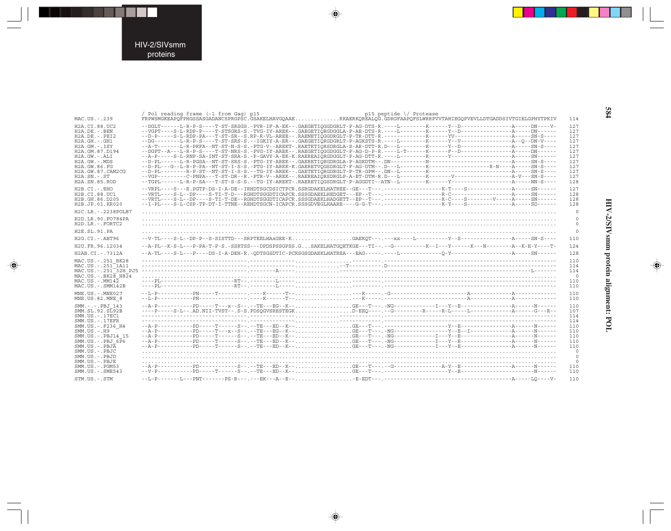$\Rightarrow$ 

| MAC.US.-.239                                                                                                                                                                                                                                              | Pol reading frame (-1 from Gag) p15<br>p15 peptide $\setminus$ Protease<br>FRPWSMGKEAPQFPHGSSASGADANCSPRGPSC.GSAKELHAVGQAAERKAERKQREALQG.GDRGFAAPQFSLWRRPVVTAHIEGQPVEVLLDTGADDSIVTGIELGPHYTPKIV |
|-----------------------------------------------------------------------------------------------------------------------------------------------------------------------------------------------------------------------------------------------------------|-------------------------------------------------------------------------------------------------------------------------------------------------------------------------------------------------|
| H <sub>2</sub> A.CI.88.UC <sub>2</sub><br>$H2A.DE. - . BEN$<br>$H2A.DE. - .PEI2$<br>$H2A.GH.-.GH1$<br>$H2A.GM.-.ISY$<br>H2A.GM.87.D194<br>$H2A.GW.-.ALI$<br>$H2A.GW. - .MDS$<br>H2A.GW.86.FG<br>H2A.GW.87.CAM2CG<br>$H2A$ . $SN. - . ST$<br>H2A.SN.85.ROD |                                                                                                                                                                                                 |
| $H2B.CI.-EHO$<br>H2B.CI.88.UC1<br>H2B.GH.86.D205<br>H2B.JP.01.KR020                                                                                                                                                                                       |                                                                                                                                                                                                 |
| H2C.LR. - . 2238POLB7                                                                                                                                                                                                                                     |                                                                                                                                                                                                 |
| H2D.LR.90.FO784PA<br>H2D.LR.-.FORTC2                                                                                                                                                                                                                      |                                                                                                                                                                                                 |
| H2E.SL.91.PA                                                                                                                                                                                                                                              |                                                                                                                                                                                                 |
| $H2G.CI.-ABT96$                                                                                                                                                                                                                                           |                                                                                                                                                                                                 |
| H2U.FR.96.12034                                                                                                                                                                                                                                           |                                                                                                                                                                                                 |
|                                                                                                                                                                                                                                                           |                                                                                                                                                                                                 |
| H2AB.CI.-.7312A                                                                                                                                                                                                                                           |                                                                                                                                                                                                 |
| MAC.US.-.251 BK28<br>MAC.US. - . 251 <sup>-1</sup> A11<br>MAC.US. - . 251 <sup>-32H</sup> PJ5<br>$MAC. US.-.BK2B$ $H8\overline{2}4$<br>$MAC. US. - . MM142$<br>$MAC. US.-. SIM142B$                                                                       |                                                                                                                                                                                                 |
| MNE.US.-.MNE027                                                                                                                                                                                                                                           |                                                                                                                                                                                                 |
| MNE.US.82.MNE 8                                                                                                                                                                                                                                           |                                                                                                                                                                                                 |
| SMM. -.-. PBJ 143<br>SMM.SL.92.SL92B<br>SMM.US. - . 17EC1                                                                                                                                                                                                 |                                                                                                                                                                                                 |
| $SMM. US. - .17EFR$                                                                                                                                                                                                                                       |                                                                                                                                                                                                 |
| SMM.US.-.F236 H4                                                                                                                                                                                                                                          |                                                                                                                                                                                                 |
| $SMM. US. - . H9$<br>SMM.US. - . PBJ14 15                                                                                                                                                                                                                 |                                                                                                                                                                                                 |
| $SMM.US.-.BBJ 6\overline{P}6$                                                                                                                                                                                                                             |                                                                                                                                                                                                 |
| $SMM. US. - . PBJA$<br>SMM.US.-.PBJC                                                                                                                                                                                                                      |                                                                                                                                                                                                 |
| SMM.US.-.PBJD                                                                                                                                                                                                                                             |                                                                                                                                                                                                 |
| SMM.US.-.PBJE                                                                                                                                                                                                                                             |                                                                                                                                                                                                 |
| $SMM. US. - . PGM53$<br>$SMM.US. - .SME543$                                                                                                                                                                                                               |                                                                                                                                                                                                 |
|                                                                                                                                                                                                                                                           |                                                                                                                                                                                                 |
| STM.US.-.STM                                                                                                                                                                                                                                              |                                                                                                                                                                                                 |

 $\begin{picture}(20,5) \put(0,0){\vector(0,1){10}} \put(15,0){\vector(0,1){10}} \put(15,0){\vector(0,1){10}} \put(15,0){\vector(0,1){10}} \put(15,0){\vector(0,1){10}} \put(15,0){\vector(0,1){10}} \put(15,0){\vector(0,1){10}} \put(15,0){\vector(0,1){10}} \put(15,0){\vector(0,1){10}} \put(15,0){\vector(0,1){10}} \put(15,0){\vector(0,1){10}} \put(15,0){\vector(0,$ 

 $\spadesuit$ 

584

HIV-2/SIVsmm protein alignment: POL

 $\Rightarrow$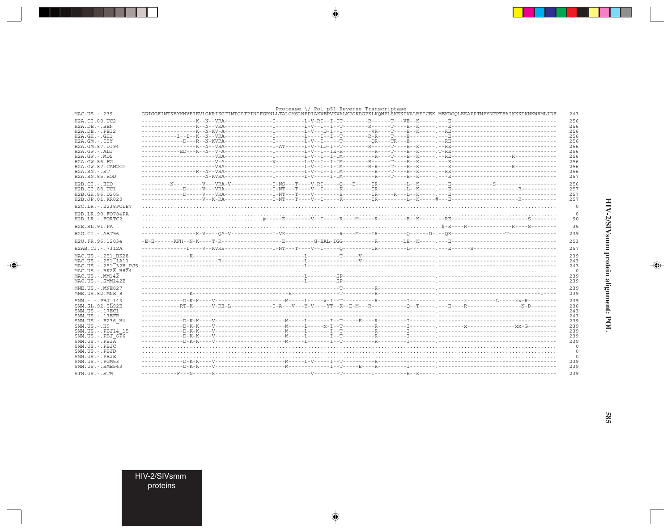|                                                        |                                                                                                                                      | Protease $\setminus$ Pol p51 Reverse Transcriptase |  |            |
|--------------------------------------------------------|--------------------------------------------------------------------------------------------------------------------------------------|----------------------------------------------------|--|------------|
| MAC.US.-.239                                           | GGIGGFINTKEYKNVEIEVLGKRIKGTIMTGDTPINIFGRNLLTALGMSLNFPIAKVEPVKVALKPGKDGPKLKQWPLSKEKIVALREICEK.MEKDGQLEEAPPTNPYNTPTFAIKKKDKNKWRMLIDF   |                                                    |  | 243        |
| H2A.CI.88.UC2                                          |                                                                                                                                      |                                                    |  | 256        |
| $H2A.DE. - .BEN$                                       |                                                                                                                                      |                                                    |  | 256        |
| $H2A.DE. - .PEI2$                                      |                                                                                                                                      |                                                    |  | 256        |
| H2A.GH.-.GH1<br>$H2A.GM. - . TSY$                      |                                                                                                                                      |                                                    |  | 256<br>256 |
| H2A.GM.87.D194                                         |                                                                                                                                      |                                                    |  | 256        |
| $H2A.GW.-.ALI$                                         |                                                                                                                                      |                                                    |  | 256        |
| $H2A.GW. - .MDS$                                       |                                                                                                                                      |                                                    |  | 256        |
| H2A.GW.86.FG                                           |                                                                                                                                      |                                                    |  | 256        |
| H2A.GW.87.CAM2CG                                       |                                                                                                                                      |                                                    |  | 256        |
| $H2A$ . $SN. - . ST$                                   |                                                                                                                                      |                                                    |  | 256        |
| H2A.SN.85.ROD                                          |                                                                                                                                      |                                                    |  | 257        |
| $H2B.CI.-EHO$                                          |                                                                                                                                      |                                                    |  | 256        |
| H2B.CI.88.UC1                                          |                                                                                                                                      |                                                    |  | 257        |
| H2B.GH.86.D205                                         |                                                                                                                                      |                                                    |  | 257        |
| H2B.JP.01.KR020                                        |                                                                                                                                      |                                                    |  | 257        |
| H2C.LR. -. 2238POLB7                                   |                                                                                                                                      |                                                    |  |            |
| H2D.LR.90.FO784PA                                      |                                                                                                                                      |                                                    |  |            |
| H2D.LR.-.FORTC2                                        |                                                                                                                                      |                                                    |  |            |
| H2E.SL.91.PA                                           |                                                                                                                                      |                                                    |  |            |
| H2G.CI.-.ABT96                                         |                                                                                                                                      |                                                    |  | 239        |
| H2U.FR.96.12034                                        |                                                                                                                                      |                                                    |  | 253        |
| H2AB.CI.-.7312A                                        |                                                                                                                                      |                                                    |  | 257        |
|                                                        |                                                                                                                                      |                                                    |  |            |
| MAC.US.-.251 BK28<br>MAC.US. - . 251 <sup>-1</sup> A11 |                                                                                                                                      |                                                    |  | 239<br>243 |
|                                                        |                                                                                                                                      |                                                    |  | 243        |
| $MAC. US. - . BK28. H824$                              |                                                                                                                                      |                                                    |  |            |
| $MAC. US. - . MM142$                                   |                                                                                                                                      |                                                    |  | 239        |
| MAC.US.-.SMM142B                                       |                                                                                                                                      |                                                    |  | 239        |
| MNE.US.-.MNE027                                        |                                                                                                                                      |                                                    |  | 239        |
| MNE.US.82.MNE 8                                        |                                                                                                                                      |                                                    |  | 239        |
| SMM.-.-.PBJ 143                                        |                                                                                                                                      |                                                    |  | 239        |
| SMM.SL.92.SL92B                                        | ------------RT-K------V-RE-L--------------I-A---V---Y-V----YT--K--E-M---R----------O--T-----,---E----R------------------N-D--------- |                                                    |  | 236        |
| SMM. US. - . 17EC1                                     |                                                                                                                                      |                                                    |  | 243        |
| $SMM. US. - .17EFR$                                    |                                                                                                                                      |                                                    |  | 243        |
| SMM.US.-.F236 H4                                       |                                                                                                                                      |                                                    |  | 239        |
| $SMM. US. - . H9$                                      |                                                                                                                                      |                                                    |  | 239        |
| SMM.US.-.PBJ14 15                                      |                                                                                                                                      |                                                    |  | 239        |
| $SMM.US.-.PBJ 6\overline{P}6$                          |                                                                                                                                      |                                                    |  | 239        |
| $SMM. US. - . PBJA$<br>SMM.US.-.PBJC                   |                                                                                                                                      |                                                    |  | 239        |
| SMM.US.-.PBJD                                          |                                                                                                                                      |                                                    |  |            |
| SMM.US.-.PBJE                                          |                                                                                                                                      |                                                    |  |            |
| $SMM.US. - . PGM53$                                    |                                                                                                                                      |                                                    |  | 239        |
| $SMM.US. - .SME543$                                    |                                                                                                                                      |                                                    |  | 239        |
| STM.US.-.STM                                           |                                                                                                                                      |                                                    |  | 239        |

 $\begin{picture}(20,5) \put(0,0){\vector(0,1){10}} \put(15,0){\vector(0,1){10}} \put(15,0){\vector(0,1){10}} \put(15,0){\vector(0,1){10}} \put(15,0){\vector(0,1){10}} \put(15,0){\vector(0,1){10}} \put(15,0){\vector(0,1){10}} \put(15,0){\vector(0,1){10}} \put(15,0){\vector(0,1){10}} \put(15,0){\vector(0,1){10}} \put(15,0){\vector(0,1){10}} \put(15,0){\vector(0,$ 

HIV-2/SIVsmm protein alignment: POL

 $\spadesuit$ 

 $\overline{\phantom{0}}$ 

 $\Box$ 

**585** 

HIV-2/SIVsmm<br>proteins

. . . .

 $\overrightarrow{\phantom{a}}$ 

 $\frac{\pi}{\sqrt{2\pi}}\int_0^1\frac{1}{\sqrt{2\pi}}\left(1-\frac{1}{2}\right)\left(1-\frac{1}{2}\right)\left(1-\frac{1}{2}\right)\left(1-\frac{1}{2}\right)\left(1-\frac{1}{2}\right)\left(1-\frac{1}{2}\right)\left(1-\frac{1}{2}\right)\left(1-\frac{1}{2}\right)\left(1-\frac{1}{2}\right)\left(1-\frac{1}{2}\right)\left(1-\frac{1}{2}\right)\left(1-\frac{1}{2}\right)\left(1-\frac{1}{2}\right)\left(1-\frac{1}{2}\right)\left(1-\frac{1}{2}\right)\left(1-\frac{1}{2$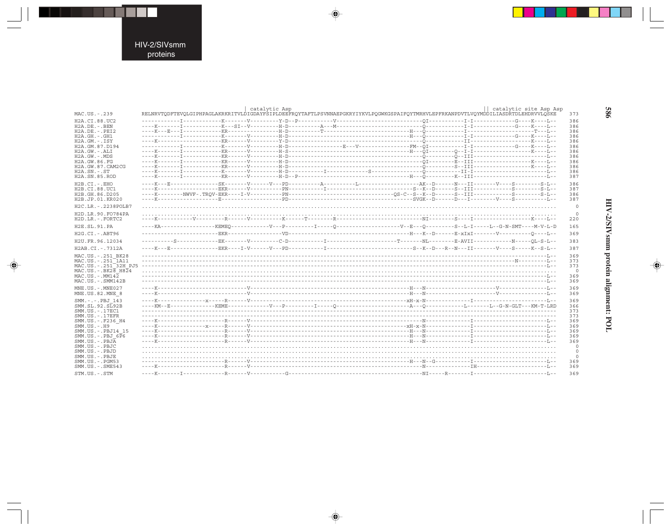---

 $\begin{picture}(20,5) \put(0,0){\line(1,0){10}} \put(15,0){\line(1,0){10}} \put(15,0){\line(1,0){10}} \put(15,0){\line(1,0){10}} \put(15,0){\line(1,0){10}} \put(15,0){\line(1,0){10}} \put(15,0){\line(1,0){10}} \put(15,0){\line(1,0){10}} \put(15,0){\line(1,0){10}} \put(15,0){\line(1,0){10}} \put(15,0){\line(1,0){10}} \put(15,0){\line(1,$ 

 $\frac{1}{\sqrt{2}}$ 

|                                        |  | catalytic Asp | RELNRVTQDFTEVQLGIPHPAGLAKRKRITVLDIGDAYFSIPLDEEFRQYTAFTLPSVNNAEPGKRYIYKVLPQGWKGSPAIFQYTMRHVLEPFRKANPDVTLVQYMDDILIASDRTDLEHDRVVLQSKE |  | catalytic site Asp Asp |
|----------------------------------------|--|---------------|------------------------------------------------------------------------------------------------------------------------------------|--|------------------------|
| MAC.US.-.239                           |  |               |                                                                                                                                    |  |                        |
| H <sub>2</sub> A.CI.88.UC <sub>2</sub> |  |               |                                                                                                                                    |  |                        |
| $H2A.DE. - .BEN$                       |  |               |                                                                                                                                    |  |                        |
| $H2A.DE. - .PEI2$                      |  |               |                                                                                                                                    |  |                        |
| $H2A.GH. - .GH1$                       |  |               |                                                                                                                                    |  |                        |
| $H2A.GM.-.ISY$<br>H2A.GM.87.D194       |  |               |                                                                                                                                    |  |                        |
| H2A.GW.-.ALI                           |  |               |                                                                                                                                    |  |                        |
| H2A.GW.-.MDS                           |  |               |                                                                                                                                    |  |                        |
| H2A.GW.86.FG                           |  |               |                                                                                                                                    |  |                        |
| H2A.GW.87.CAM2CG                       |  |               |                                                                                                                                    |  |                        |
| $H2A$ . $SN. - . ST$                   |  |               |                                                                                                                                    |  |                        |
| H <sub>2</sub> A.SN.85.ROD             |  |               |                                                                                                                                    |  |                        |
|                                        |  |               |                                                                                                                                    |  |                        |
| $H2B.CI. - . EHO$                      |  |               |                                                                                                                                    |  |                        |
| H2B.CI.88.UC1                          |  |               |                                                                                                                                    |  |                        |
| H2B.GH.86.D205                         |  |               |                                                                                                                                    |  |                        |
| H2B.JP.01.KR020                        |  |               |                                                                                                                                    |  |                        |
| H2C.LR. - . 2238POLB7                  |  |               |                                                                                                                                    |  |                        |
| H2D.LR.90.FO784PA                      |  |               |                                                                                                                                    |  |                        |
| H2D.LR. - . FORTC2                     |  |               |                                                                                                                                    |  |                        |
| H2E.SL.91.PA                           |  |               |                                                                                                                                    |  |                        |
| $H2G.CI.-.ABT96$                       |  |               |                                                                                                                                    |  |                        |
| H2U.FR.96.12034                        |  |               |                                                                                                                                    |  |                        |
| H2AB.CI.-.7312A                        |  |               |                                                                                                                                    |  |                        |
| MAC.US. - . 251 BK28                   |  |               |                                                                                                                                    |  |                        |
| MAC.US. - . 251 1A11                   |  |               |                                                                                                                                    |  |                        |
| MAC.US. - . 251 32H PJ5                |  |               |                                                                                                                                    |  |                        |
| $MAC. US. - . BK2B  H824$              |  |               |                                                                                                                                    |  |                        |
| $MAC. US.-. MM142$                     |  |               |                                                                                                                                    |  |                        |
| MAC.US.-.SMM142B                       |  |               |                                                                                                                                    |  |                        |
|                                        |  |               |                                                                                                                                    |  |                        |
| MNE.US. - . MNE027                     |  |               |                                                                                                                                    |  |                        |
| MNE.US.82.MNE 8                        |  |               |                                                                                                                                    |  |                        |
| SMM. - . - . PBJ 143                   |  |               |                                                                                                                                    |  |                        |
| SMM.SL.92.SL92B                        |  |               |                                                                                                                                    |  |                        |
| $SMM. US. - .17EC1$                    |  |               |                                                                                                                                    |  |                        |
| $SMM. US. - .17EFR$                    |  |               |                                                                                                                                    |  |                        |
| SMM.US.-.F236 H4                       |  |               |                                                                                                                                    |  |                        |
| $SMM. US. - . H9$                      |  |               |                                                                                                                                    |  |                        |
| SMM.US. - . PBJ14 15                   |  |               |                                                                                                                                    |  |                        |
| $SMM.US.-.BBJ 6\overline{P}6$          |  |               |                                                                                                                                    |  |                        |
| $SMM. US. - . PBJA$                    |  |               |                                                                                                                                    |  |                        |
| SMM.US.-.PBJC                          |  |               |                                                                                                                                    |  |                        |
| SMM.US.-.PBJD                          |  |               |                                                                                                                                    |  |                        |
| SMM.US.-.PBJE                          |  |               |                                                                                                                                    |  |                        |
| $SMM. US. - . PGM53$                   |  |               |                                                                                                                                    |  |                        |
| $SMM.US. - .SME543$                    |  |               |                                                                                                                                    |  |                        |
|                                        |  |               |                                                                                                                                    |  |                        |
| STM.US.-.STM                           |  |               |                                                                                                                                    |  |                        |

 $\begin{picture}(20,5) \put(0,0){\vector(0,1){10}} \put(15,0){\vector(0,1){10}} \put(15,0){\vector(0,1){10}} \put(15,0){\vector(0,1){10}} \put(15,0){\vector(0,1){10}} \put(15,0){\vector(0,1){10}} \put(15,0){\vector(0,1){10}} \put(15,0){\vector(0,1){10}} \put(15,0){\vector(0,1){10}} \put(15,0){\vector(0,1){10}} \put(15,0){\vector(0,1){10}} \put(15,0){\vector(0,$ 

 $\begin{picture}(20,5) \put(0,0){\vector(0,1){10}} \put(15,0){\vector(0,1){10}} \put(15,0){\vector(0,1){10}} \put(15,0){\vector(0,1){10}} \put(15,0){\vector(0,1){10}} \put(15,0){\vector(0,1){10}} \put(15,0){\vector(0,1){10}} \put(15,0){\vector(0,1){10}} \put(15,0){\vector(0,1){10}} \put(15,0){\vector(0,1){10}} \put(15,0){\vector(0,1){10}} \put(15,0){\vector(0,$ 

989

▋

 $\begin{picture}(20,5) \put(0,0){\line(1,0){10}} \put(15,0){\line(1,0){10}} \put(15,0){\line(1,0){10}} \put(15,0){\line(1,0){10}} \put(15,0){\line(1,0){10}} \put(15,0){\line(1,0){10}} \put(15,0){\line(1,0){10}} \put(15,0){\line(1,0){10}} \put(15,0){\line(1,0){10}} \put(15,0){\line(1,0){10}} \put(15,0){\line(1,0){10}} \put(15,0){\line(1,$ 

 $\equiv$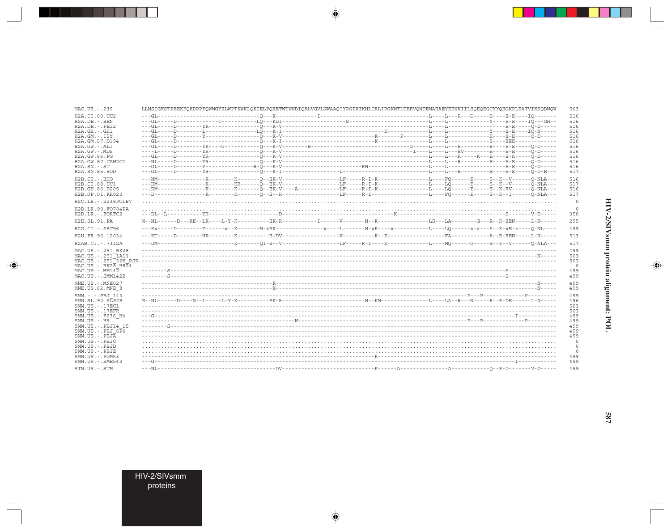| MAC.US.-.239                                              |  |  |  |  | LLNSIGFSTPEEKFQKDPPFQWMGYELWPTKWKLQKIELPQRETWTVNDIQKLVGVLNWAAQIYPGIKTKHLCRLIRGKMTLTEEVQWTEMAEAEYEENKIILSQEQEGCYYQEGKPLEATVIKSQDNQW                                                                                                                                                                                                                                                                                                                                                 | 503                |
|-----------------------------------------------------------|--|--|--|--|------------------------------------------------------------------------------------------------------------------------------------------------------------------------------------------------------------------------------------------------------------------------------------------------------------------------------------------------------------------------------------------------------------------------------------------------------------------------------------|--------------------|
| H2A.CI.88.UC2                                             |  |  |  |  |                                                                                                                                                                                                                                                                                                                                                                                                                                                                                    | 516                |
| $H2A.DE. -.BEN$<br>$H2A.DE. - .PEI2$                      |  |  |  |  |                                                                                                                                                                                                                                                                                                                                                                                                                                                                                    | 516                |
| $H2A.GH.-.GH1$                                            |  |  |  |  |                                                                                                                                                                                                                                                                                                                                                                                                                                                                                    | 516<br>516         |
| $H2A.GM.-.ISY$                                            |  |  |  |  |                                                                                                                                                                                                                                                                                                                                                                                                                                                                                    | 516                |
| H2A.GM.87.D194                                            |  |  |  |  |                                                                                                                                                                                                                                                                                                                                                                                                                                                                                    | 516                |
| $H2A.GW. - .ALI$                                          |  |  |  |  |                                                                                                                                                                                                                                                                                                                                                                                                                                                                                    | 516                |
| $H2A.GW. - .MDS$<br>H2A.GW.86.FG                          |  |  |  |  |                                                                                                                                                                                                                                                                                                                                                                                                                                                                                    | 516<br>516         |
| H2A.GW.87.CAM2CG                                          |  |  |  |  |                                                                                                                                                                                                                                                                                                                                                                                                                                                                                    | 516                |
| $H2A.SN.-.ST$                                             |  |  |  |  |                                                                                                                                                                                                                                                                                                                                                                                                                                                                                    | 516                |
| H2A.SN.85.ROD                                             |  |  |  |  |                                                                                                                                                                                                                                                                                                                                                                                                                                                                                    | 517                |
| $H2B.CI.-.EHO$                                            |  |  |  |  |                                                                                                                                                                                                                                                                                                                                                                                                                                                                                    | 516                |
| H2B.CI.88.UC1                                             |  |  |  |  |                                                                                                                                                                                                                                                                                                                                                                                                                                                                                    | 517                |
| H2B.GH.86.D205<br>H2B.JP.01.KR020                         |  |  |  |  |                                                                                                                                                                                                                                                                                                                                                                                                                                                                                    | 516<br>517         |
| H2C.LR. - . 2238POLB7                                     |  |  |  |  |                                                                                                                                                                                                                                                                                                                                                                                                                                                                                    | $\overline{0}$     |
| H2D.LR.90.FO784PA<br>H2D.LR. - . FORTC2                   |  |  |  |  |                                                                                                                                                                                                                                                                                                                                                                                                                                                                                    | $\circ$<br>350     |
| H2E.SL.91.PA                                              |  |  |  |  | $\texttt{M--NL---D---RE--EK---L--Y-K------EK-----EK-R-------I-----V-----N-K---------L-S---L-S---L-A-----G---R--R-EBN----L-N-----S---R-CEN---L-A---R-CEN----S---R-CEN---L-A---R-CEN----S---R-CEN----S---R-CEN----S---R-CEN----S---R-CEN----S---R-CEN----S---R-CEN----S---R-CEN----S---R-CEN----S---R-CEN----S---R-CEN----S---R-CEN----S---R-CEN----S---R-CEN----S---R-CEN----S---R-CEN----S---R$                                                                                    | 295                |
| H2G.CI. - . ABT96                                         |  |  |  |  | $-\textbf{1} \cdot \textbf{K} \times \textbf{1} \cdot \textbf{1} - \textbf{1} \cdot \textbf{1} - \textbf{1} \cdot \textbf{1} - \textbf{1} \cdot \textbf{1} - \textbf{1} \cdot \textbf{1} - \textbf{1} \cdot \textbf{1} - \textbf{1} \cdot \textbf{1} - \textbf{1} \cdot \textbf{1} - \textbf{1} \cdot \textbf{1} - \textbf{1} \cdot \textbf{1} - \textbf{1} \cdot \textbf{1} - \textbf{1} \cdot \textbf{1} - \textbf{1} \cdot \textbf{1} - \textbf{1} \cdot \$                     | 499                |
| H2U.FR.96.12034                                           |  |  |  |  | $-\texttt{-KT}\texttt{---D}\texttt{---}-\texttt{HK}\texttt{---}-\texttt{K}\texttt{---}-\texttt{K}\texttt{---}-\texttt{S}-\texttt{DV}\texttt{---}-\texttt{---}-\texttt{---}-\texttt{V}\texttt{---}-\texttt{---K}\texttt{-K}\texttt{-K}\texttt{----}\texttt{-1}-\texttt{N}\texttt{----}\texttt{-1}-\texttt{R}\texttt{-1}-\texttt{--L}\texttt{-N}\texttt{-1}-\texttt{-1}-\texttt{N}\texttt{-1}-\texttt{-1}-\texttt{N}\texttt{-1}-\texttt{N}\texttt{-1}-\texttt{N}\texttt{-1}-\texttt$ | 513                |
| H2AB.CI.-.7312A                                           |  |  |  |  |                                                                                                                                                                                                                                                                                                                                                                                                                                                                                    | 517                |
| MAC.US. - . 251 BK28<br>MAC.US. - . 251 <sup>-1</sup> A11 |  |  |  |  |                                                                                                                                                                                                                                                                                                                                                                                                                                                                                    | 499                |
| MAC.US.-.251 <sup>-32H</sup> PJ5                          |  |  |  |  |                                                                                                                                                                                                                                                                                                                                                                                                                                                                                    | 503<br>503         |
| $MAC. US. - . BK28. H824$                                 |  |  |  |  |                                                                                                                                                                                                                                                                                                                                                                                                                                                                                    | $\circ$            |
| $MAC. US. - . MM142$                                      |  |  |  |  |                                                                                                                                                                                                                                                                                                                                                                                                                                                                                    | 499                |
| MAC.US.-.SMM142B                                          |  |  |  |  |                                                                                                                                                                                                                                                                                                                                                                                                                                                                                    | 499                |
| MNE.US. - MNE027                                          |  |  |  |  |                                                                                                                                                                                                                                                                                                                                                                                                                                                                                    | 499                |
| MNE.US.82.MNE 8                                           |  |  |  |  |                                                                                                                                                                                                                                                                                                                                                                                                                                                                                    | 499                |
| SMM.-.-.PBJ 143                                           |  |  |  |  |                                                                                                                                                                                                                                                                                                                                                                                                                                                                                    | 499                |
| SMM. SL. 92. SL92B<br>SMM. US. - . 17EC1                  |  |  |  |  |                                                                                                                                                                                                                                                                                                                                                                                                                                                                                    | 496<br>503         |
| $SMM. US. - .17EFR$                                       |  |  |  |  |                                                                                                                                                                                                                                                                                                                                                                                                                                                                                    | 503                |
| SMM.US. - . F236 H4<br>$SMM. US. - . H9$                  |  |  |  |  |                                                                                                                                                                                                                                                                                                                                                                                                                                                                                    | 499<br>499         |
| SMM.US.-.PBJ14 15                                         |  |  |  |  |                                                                                                                                                                                                                                                                                                                                                                                                                                                                                    | 499                |
| SMM.US. -. PBJ $6\overline{P}6$                           |  |  |  |  |                                                                                                                                                                                                                                                                                                                                                                                                                                                                                    | 499                |
| $SMM. US. - . PBJA$                                       |  |  |  |  |                                                                                                                                                                                                                                                                                                                                                                                                                                                                                    | 499                |
| SMM.US.-.PBJC<br>SMM.US.-.PBJD                            |  |  |  |  |                                                                                                                                                                                                                                                                                                                                                                                                                                                                                    | $\circ$            |
| SMM.US.-.PBJE                                             |  |  |  |  |                                                                                                                                                                                                                                                                                                                                                                                                                                                                                    | $\circ$<br>$\circ$ |
| SMM.US. - . PGM53                                         |  |  |  |  |                                                                                                                                                                                                                                                                                                                                                                                                                                                                                    | 499                |
| SMM. US. - . SME543                                       |  |  |  |  |                                                                                                                                                                                                                                                                                                                                                                                                                                                                                    | 499                |
| STM.US.-.STM                                              |  |  |  |  |                                                                                                                                                                                                                                                                                                                                                                                                                                                                                    | 499                |

 $\begin{picture}(20,5) \put(0,0){\vector(0,1){10}} \put(15,0){\vector(0,1){10}} \put(15,0){\vector(0,1){10}} \put(15,0){\vector(0,1){10}} \put(15,0){\vector(0,1){10}} \put(15,0){\vector(0,1){10}} \put(15,0){\vector(0,1){10}} \put(15,0){\vector(0,1){10}} \put(15,0){\vector(0,1){10}} \put(15,0){\vector(0,1){10}} \put(15,0){\vector(0,1){10}} \put(15,0){\vector(0,$ 

 $\begin{picture}(20,5) \put(0,0){\line(1,0){10}} \put(15,0){\line(1,0){10}} \put(15,0){\line(1,0){10}} \put(15,0){\line(1,0){10}} \put(15,0){\line(1,0){10}} \put(15,0){\line(1,0){10}} \put(15,0){\line(1,0){10}} \put(15,0){\line(1,0){10}} \put(15,0){\line(1,0){10}} \put(15,0){\line(1,0){10}} \put(15,0){\line(1,0){10}} \put(15,0){\line(1,$ 

E

П

HIV-2/SIVsmm<br>proteins

a sa Tanzani

 $\overline{\blacklozenge}$ 

 $\overline{\hphantom{m}}$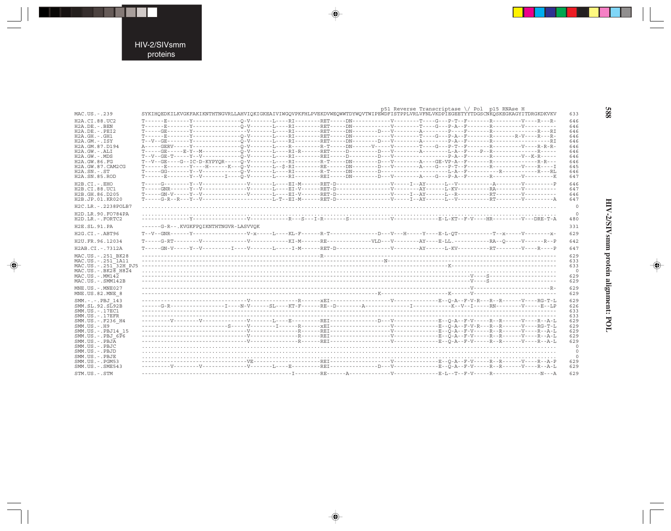. . .

 $\begin{picture}(20,5) \put(0,0){\line(1,0){10}} \put(15,0){\line(1,0){10}} \put(15,0){\line(1,0){10}} \put(15,0){\line(1,0){10}} \put(15,0){\line(1,0){10}} \put(15,0){\line(1,0){10}} \put(15,0){\line(1,0){10}} \put(15,0){\line(1,0){10}} \put(15,0){\line(1,0){10}} \put(15,0){\line(1,0){10}} \put(15,0){\line(1,0){10}} \put(15,0){\line(1,$ 

 $\frac{1}{\sqrt{2}}$ 

| MAC.US.-.239                                        | SYKIHQEDKILKVGKFAKIKNTHTNGVRLLAHVIQKIGKEAIVIWGQVPKFHLPVEKDVWEQWWTDYWQVTWIPEWDFISTPPLVRLVFNLVKDPIEGEETYYTDGSCNKQSKEGKAGYITDRGKDKVKV      |  | p51 Reverse Transcriptase $\setminus$ Pol p15 RNAse H |  | 633            |
|-----------------------------------------------------|-----------------------------------------------------------------------------------------------------------------------------------------|--|-------------------------------------------------------|--|----------------|
| H2A.CI.88.UC2                                       |                                                                                                                                         |  |                                                       |  | 646            |
| H2A.DE.-.BEN                                        | T------E-------Y---------------O-V--------L----RI---------RET-----DN-------------------T----G---P-A--F--------R----------V----------    |  |                                                       |  | 646            |
| H2A.DE.-.PEI2                                       |                                                                                                                                         |  |                                                       |  | 646            |
| H2A.GH.-.GH1                                        | T------E-------Y-----------------O-V-------L----RI--------RET-----DN------------V-------T---G---P-A--F-------R--------R-V----R-V----R-  |  |                                                       |  | 646            |
| H2A.GM.-.ISY                                        |                                                                                                                                         |  |                                                       |  | 646            |
| H2A.GM.87.D194                                      | A-----GERV-----Y-----------------O-V-------L----R---------R-T-----DN------V--------T----G---P-T--F-------R------------R----R-----R----- |  |                                                       |  | 646            |
| H2A.GW.-.ALI                                        | T-----GE-----E-Y--M---------------D-V-------EI----RET-----D---------D---V--------A--------E-A--F----P--R----------------R-----          |  |                                                       |  | 646            |
| H2A.GW.-.MDS                                        |                                                                                                                                         |  |                                                       |  | 646            |
| H2A.GW.86.FG                                        | T--V--GE----G--IC-D-KYPYOR-----O-V-------L----RI--------R-T-----DN--------D---V-------A---GE-VP-A--F-------R-------------R-------R----  |  |                                                       |  | 646            |
| H2A.GW.87.CAM2CG                                    | T------E-------Y----H------K---O-V-------L--\$-RI--------RE-----DN-------D---V--------A---G---P-T--F-------R-------V----R----I          |  |                                                       |  | 645            |
| H2A.SN.-.ST<br>H2A.SN.85.ROD                        |                                                                                                                                         |  |                                                       |  | 646<br>647     |
|                                                     |                                                                                                                                         |  |                                                       |  |                |
| H2B.CI.-.EHO                                        |                                                                                                                                         |  |                                                       |  | 646            |
| H2B.CI.88.UC1                                       |                                                                                                                                         |  |                                                       |  | 647            |
| H2B.GH.86.D205                                      |                                                                                                                                         |  |                                                       |  | 646            |
| H2B.JP.01.KR020                                     |                                                                                                                                         |  |                                                       |  | 647            |
| H2C.LR.-.2238POLB7                                  |                                                                                                                                         |  |                                                       |  | $\circ$        |
| H2D.LR.90.FO784PA                                   |                                                                                                                                         |  |                                                       |  |                |
| H2D.LR.-.FORTC2                                     |                                                                                                                                         |  |                                                       |  | 480            |
| H2E.SL.91.PA                                        | ------G-R--.KVGKFPQIKNTHTNGVR-LASVVQK                                                                                                   |  |                                                       |  | 331            |
| H2G.CI.-.ABT96                                      |                                                                                                                                         |  |                                                       |  | 629            |
| H2U.FR.96.12034                                     |                                                                                                                                         |  |                                                       |  | 642            |
| H2AB.CI.-.7312A                                     |                                                                                                                                         |  |                                                       |  | 647            |
| MAC.US.-.251 BK28                                   |                                                                                                                                         |  |                                                       |  | 629            |
| MAC.US.-.251 <sup>-</sup> 1A11                      |                                                                                                                                         |  |                                                       |  | 633            |
| MAC.US.-.251 32H PJ5                                |                                                                                                                                         |  |                                                       |  | 633            |
| MAC.US.-.BK28 H824                                  |                                                                                                                                         |  |                                                       |  | $\overline{0}$ |
| <code>MAC.US.-.MM14<math>\overline{2}</math></code> |                                                                                                                                         |  |                                                       |  | 629            |
| MAC.US.-.SMM142B                                    |                                                                                                                                         |  |                                                       |  | 629            |
| MNE.US.-.MNE027                                     |                                                                                                                                         |  |                                                       |  | 629            |
| MNE.US.82.MNE 8                                     |                                                                                                                                         |  |                                                       |  | 629            |
| SMM.-.-.PBJ 143                                     |                                                                                                                                         |  |                                                       |  | 629            |
| ${\tt SMM.SL.92.S\overline{L}92B}$                  |                                                                                                                                         |  |                                                       |  | 626            |
| SMM.US.-.17EC1                                      |                                                                                                                                         |  |                                                       |  | 633            |
| $SMM. US. - .17EFR$                                 |                                                                                                                                         |  |                                                       |  | 633            |
| SMM.US.-.F236 H4                                    |                                                                                                                                         |  |                                                       |  | 629            |
| SMM.US.-.H9                                         |                                                                                                                                         |  |                                                       |  | 629            |
| SMM.US.-.PBJ14 15                                   |                                                                                                                                         |  |                                                       |  | 629            |
| SMM.US.-.PBJ 6P6                                    |                                                                                                                                         |  |                                                       |  | 629            |
| SMM.US.-. $PBJ\overline{A}$                         |                                                                                                                                         |  |                                                       |  | 629            |
| SMM.US.-.PBJC                                       |                                                                                                                                         |  |                                                       |  | $\circ$        |
| SMM.US.-.PBJD                                       |                                                                                                                                         |  |                                                       |  | $\overline{0}$ |
| SMM.US.-.PBJE                                       |                                                                                                                                         |  |                                                       |  | $\circ$        |
| SMM.US.-.PGM53                                      |                                                                                                                                         |  |                                                       |  | 629            |
| SMM.US.-.SME543                                     |                                                                                                                                         |  |                                                       |  | 629            |
| STM.US.-.STM                                        |                                                                                                                                         |  |                                                       |  | 629            |

 $\begin{picture}(20,5) \put(0,0){\vector(0,1){10}} \put(15,0){\vector(0,1){10}} \put(15,0){\vector(0,1){10}} \put(15,0){\vector(0,1){10}} \put(15,0){\vector(0,1){10}} \put(15,0){\vector(0,1){10}} \put(15,0){\vector(0,1){10}} \put(15,0){\vector(0,1){10}} \put(15,0){\vector(0,1){10}} \put(15,0){\vector(0,1){10}} \put(15,0){\vector(0,1){10}} \put(15,0){\vector(0,$ 

 $\begin{picture}(20,5) \put(0,0){\vector(0,1){10}} \put(15,0){\vector(0,1){10}} \put(15,0){\vector(0,1){10}} \put(15,0){\vector(0,1){10}} \put(15,0){\vector(0,1){10}} \put(15,0){\vector(0,1){10}} \put(15,0){\vector(0,1){10}} \put(15,0){\vector(0,1){10}} \put(15,0){\vector(0,1){10}} \put(15,0){\vector(0,1){10}} \put(15,0){\vector(0,1){10}} \put(15,0){\vector(0,$ 

 $\begin{picture}(20,5) \put(0,0){\line(1,0){10}} \put(15,0){\line(1,0){10}} \put(15,0){\line(1,0){10}} \put(15,0){\line(1,0){10}} \put(15,0){\line(1,0){10}} \put(15,0){\line(1,0){10}} \put(15,0){\line(1,0){10}} \put(15,0){\line(1,0){10}} \put(15,0){\line(1,0){10}} \put(15,0){\line(1,0){10}} \put(15,0){\line(1,0){10}} \put(15,0){\line(1,$ 

 $\equiv$ 

889

▋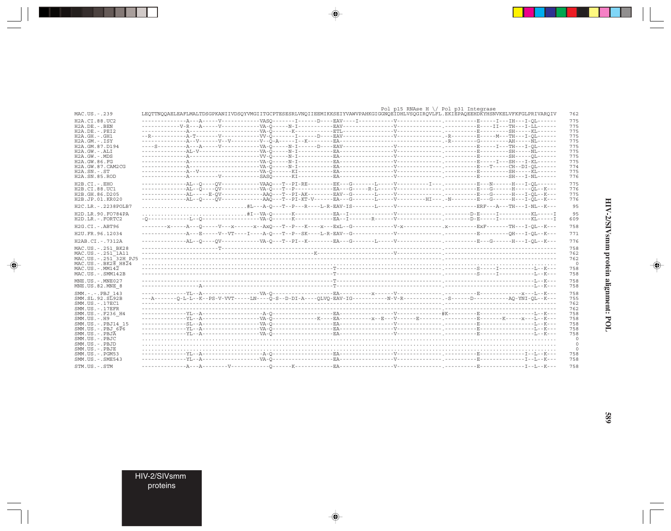|                                  |                                                                                                                                    |  | Pol p15 RNAse H \/ Pol p31 Integrase |  |            |
|----------------------------------|------------------------------------------------------------------------------------------------------------------------------------|--|--------------------------------------|--|------------|
| MAC.US.-.239                     | LEQTTNQQAELEAFLMALTDSGPKANIIVDSQYVMGIITGCPTESESRLVNQIIEEMIKKSEIYVAWVPAHKGIGGNQEIDHLVSQGIRQVLFL.EKIEPAQEEHDKYHSNVKELVFKFGLPRIVARQIV |  |                                      |  | 762        |
| H2A.CI.88.UC2                    |                                                                                                                                    |  |                                      |  | 775        |
| $H2A.DE. - . BEN$                |                                                                                                                                    |  |                                      |  | 775        |
| H2A.DE.-.PEI2                    |                                                                                                                                    |  |                                      |  | 775        |
| $H2A.GH.-.GH1$                   |                                                                                                                                    |  |                                      |  | 775        |
| $H2A.GM.-.ISY$                   |                                                                                                                                    |  |                                      |  | 775        |
| H2A.GM.87.D194                   |                                                                                                                                    |  |                                      |  | 775        |
| H2A.GW.-.ALI<br>$H2A.GW. - .MDS$ |                                                                                                                                    |  |                                      |  | 775        |
| H2A.GW.86.FG                     |                                                                                                                                    |  |                                      |  | 775<br>775 |
| H2A.GW.87.CAM2CG                 |                                                                                                                                    |  |                                      |  | 774        |
| $H2A.SN.-.ST$                    |                                                                                                                                    |  |                                      |  | 775        |
| H2A.SN.85.ROD                    |                                                                                                                                    |  |                                      |  | 776        |
| $H2B.CI.-.EHO$                   |                                                                                                                                    |  |                                      |  | 775        |
| H2B.CI.88.UC1                    |                                                                                                                                    |  |                                      |  | 776        |
| H2B.GH.86.D205                   |                                                                                                                                    |  |                                      |  | 775        |
| H2B.JP.01.KR020                  | --------------AL--Q----QV-------------AAQ---T--PI-KT-V------EA---G-------L-----V--------HI---.-N--------E--G------H---I-QL--K---   |  |                                      |  | 776        |
|                                  |                                                                                                                                    |  |                                      |  |            |
| H2C.LR. - . 2238POLB7            |                                                                                                                                    |  |                                      |  | 95         |
| H2D.LR.90.FO784PA                |                                                                                                                                    |  |                                      |  | 95         |
| H2D.LR.-.FORTC2                  |                                                                                                                                    |  |                                      |  | 609        |
| $H2G.CI.-.ABT96$                 |                                                                                                                                    |  |                                      |  | 758        |
| H2U.FR.96.12034                  |                                                                                                                                    |  |                                      |  | 771        |
| H2AB.CI.-.7312A                  |                                                                                                                                    |  |                                      |  | 776        |
| MAC.US. - . 251 BK28             |                                                                                                                                    |  |                                      |  | 758        |
| MAC.US.-.251 1A11                |                                                                                                                                    |  |                                      |  | 762        |
| MAC.US.-.251 <sup>-32H</sup> PJ5 |                                                                                                                                    |  |                                      |  | 762        |
| MAC.US.-.BK28 H824               |                                                                                                                                    |  |                                      |  | 0          |
| $MAC. US. - . MM142$             |                                                                                                                                    |  |                                      |  | 758        |
| MAC.US.-.SMM142B                 |                                                                                                                                    |  |                                      |  | 758        |
| $MNE.US.-.MNE027$                |                                                                                                                                    |  |                                      |  | 758        |
| MNE.US.82.MNE 8                  |                                                                                                                                    |  |                                      |  | 758        |
| SMM.-.-.PBJ 143                  |                                                                                                                                    |  |                                      |  | 758        |
| SMM.SL.92.SL92B                  |                                                                                                                                    |  |                                      |  | 755        |
| SMM. US. - . 17EC1               |                                                                                                                                    |  |                                      |  | 762        |
| $SMM.US. - .17EFR$               |                                                                                                                                    |  |                                      |  | 762        |
| SMM.US. -. F236 H4               |                                                                                                                                    |  |                                      |  | 758        |
| $SMM. US. - . H9$                |                                                                                                                                    |  |                                      |  | 758        |
| SMM.US.-.PBJ14 15                |                                                                                                                                    |  |                                      |  | 758        |
| SMM.US.-.PBJ 6P6                 |                                                                                                                                    |  |                                      |  | 758        |
| SMM.US.-.PBJA                    |                                                                                                                                    |  |                                      |  | 758        |
| SMM.US.-.PBJC                    |                                                                                                                                    |  |                                      |  | 0          |
| SMM.US.-.PBJD                    |                                                                                                                                    |  |                                      |  | $\circ$    |
| SMM.US.-.PBJE                    |                                                                                                                                    |  |                                      |  | 0          |
| $SMM.US. - . PGM53$              |                                                                                                                                    |  |                                      |  | 758        |
| $SMM.US. - .SME543$              |                                                                                                                                    |  |                                      |  | 758        |
| STM.US.-.STM                     |                                                                                                                                    |  |                                      |  | 758        |

 $\begin{picture}(20,5) \put(0,0){\vector(0,1){10}} \put(15,0){\vector(0,1){10}} \put(15,0){\vector(0,1){10}} \put(15,0){\vector(0,1){10}} \put(15,0){\vector(0,1){10}} \put(15,0){\vector(0,1){10}} \put(15,0){\vector(0,1){10}} \put(15,0){\vector(0,1){10}} \put(15,0){\vector(0,1){10}} \put(15,0){\vector(0,1){10}} \put(15,0){\vector(0,1){10}} \put(15,0){\vector(0,$ 

HIV-2/SIVsmm protein alignment: POL

 $\spadesuit$ 

 $\overline{\phantom{0}}$ 

ا کا ک

689

HIV-2/SIVsmm<br>proteins

. . .

 $\overrightarrow{\phantom{a}}$ 

 $\frac{1}{\sqrt{2}}$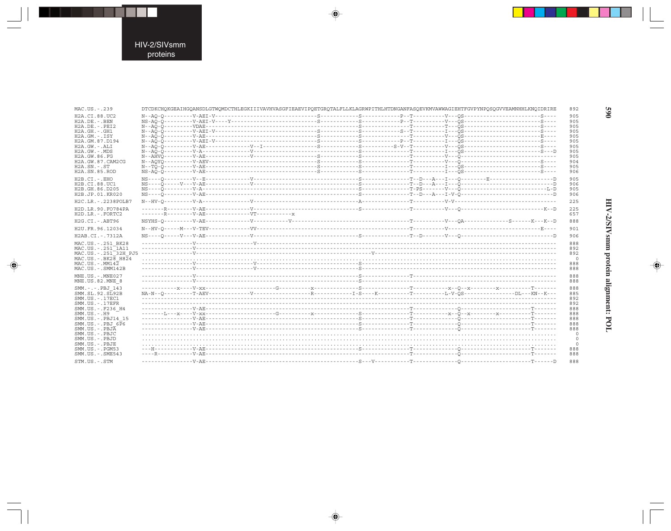. . .

 $\begin{picture}(20,5) \put(0,0){\line(1,0){10}} \put(15,0){\line(1,0){10}} \put(15,0){\line(1,0){10}} \put(15,0){\line(1,0){10}} \put(15,0){\line(1,0){10}} \put(15,0){\line(1,0){10}} \put(15,0){\line(1,0){10}} \put(15,0){\line(1,0){10}} \put(15,0){\line(1,0){10}} \put(15,0){\line(1,0){10}} \put(15,0){\line(1,0){10}} \put(15,0){\line(1,$ 

 $\frac{1}{\sqrt{2}}$ 

| MAC.US.-.239                          |     |  |  |  |  |  |  | DTCDKCHQKGEAIHGQANSDLGTWQMDCTHLEGKIIIVAVHVASGFIEAEVIPQETGRQTALFLLKLAGRWPITHLHTDNGANFASQEVKMVAWWAGIEHTFGVPYNPQSQGVVEAMNHHLKNQIDRIRE                                                                                                                                                                                                                                                                                                                                                                                                | 892        |  |
|---------------------------------------|-----|--|--|--|--|--|--|-----------------------------------------------------------------------------------------------------------------------------------------------------------------------------------------------------------------------------------------------------------------------------------------------------------------------------------------------------------------------------------------------------------------------------------------------------------------------------------------------------------------------------------|------------|--|
| H2A.CI.88.UC2                         |     |  |  |  |  |  |  |                                                                                                                                                                                                                                                                                                                                                                                                                                                                                                                                   | 905        |  |
| $H2A.DE. - .BEN$                      |     |  |  |  |  |  |  |                                                                                                                                                                                                                                                                                                                                                                                                                                                                                                                                   | 905        |  |
| $H2A.DE. - .PEI2$<br>$H2A.GH. - .GH1$ |     |  |  |  |  |  |  |                                                                                                                                                                                                                                                                                                                                                                                                                                                                                                                                   | 905<br>905 |  |
| $H2A.GM. - .ISY$                      |     |  |  |  |  |  |  |                                                                                                                                                                                                                                                                                                                                                                                                                                                                                                                                   | 905        |  |
| H2A.GM.87.D194                        |     |  |  |  |  |  |  |                                                                                                                                                                                                                                                                                                                                                                                                                                                                                                                                   | 905        |  |
| $H2A.GW. - .ALI$                      |     |  |  |  |  |  |  |                                                                                                                                                                                                                                                                                                                                                                                                                                                                                                                                   | 905        |  |
| $H2A.GW. - MDS$                       |     |  |  |  |  |  |  |                                                                                                                                                                                                                                                                                                                                                                                                                                                                                                                                   | 905        |  |
| H2A.GW.86.FG                          |     |  |  |  |  |  |  |                                                                                                                                                                                                                                                                                                                                                                                                                                                                                                                                   | 905        |  |
| H2A.GW.87.CAM2CG                      |     |  |  |  |  |  |  |                                                                                                                                                                                                                                                                                                                                                                                                                                                                                                                                   | 904        |  |
| $H2A.SN.-.ST$                         |     |  |  |  |  |  |  |                                                                                                                                                                                                                                                                                                                                                                                                                                                                                                                                   | 905        |  |
| H <sub>2</sub> A.SN.85.ROD            |     |  |  |  |  |  |  |                                                                                                                                                                                                                                                                                                                                                                                                                                                                                                                                   | 906        |  |
| $H2B.CI.-EHO$                         |     |  |  |  |  |  |  |                                                                                                                                                                                                                                                                                                                                                                                                                                                                                                                                   | 905        |  |
| H2B.CI.88.UC1                         |     |  |  |  |  |  |  |                                                                                                                                                                                                                                                                                                                                                                                                                                                                                                                                   | 906        |  |
| H2B.GH.86.D205                        |     |  |  |  |  |  |  |                                                                                                                                                                                                                                                                                                                                                                                                                                                                                                                                   | 905        |  |
| H2B.JP.01.KR020                       |     |  |  |  |  |  |  |                                                                                                                                                                                                                                                                                                                                                                                                                                                                                                                                   | 906        |  |
| H2C.LR. - . 2238POLB7                 |     |  |  |  |  |  |  |                                                                                                                                                                                                                                                                                                                                                                                                                                                                                                                                   | 225        |  |
| H2D.LR.90.FO784PA                     |     |  |  |  |  |  |  |                                                                                                                                                                                                                                                                                                                                                                                                                                                                                                                                   | 225        |  |
| H2D.LR.-.FORTC2                       |     |  |  |  |  |  |  |                                                                                                                                                                                                                                                                                                                                                                                                                                                                                                                                   | 657        |  |
| H2G.CI. - . ABT96                     |     |  |  |  |  |  |  |                                                                                                                                                                                                                                                                                                                                                                                                                                                                                                                                   | 888        |  |
| H2U.FR.96.12034                       |     |  |  |  |  |  |  |                                                                                                                                                                                                                                                                                                                                                                                                                                                                                                                                   | 901        |  |
| H2AB.CI.-.7312A                       |     |  |  |  |  |  |  |                                                                                                                                                                                                                                                                                                                                                                                                                                                                                                                                   | 906        |  |
| MAC.US. - . 251 BK28                  |     |  |  |  |  |  |  |                                                                                                                                                                                                                                                                                                                                                                                                                                                                                                                                   | 888        |  |
| MAC.US. - . 251 1A11                  | 892 |  |  |  |  |  |  |                                                                                                                                                                                                                                                                                                                                                                                                                                                                                                                                   |            |  |
| MAC.US.-.251 <sup>-32H</sup> PJ5      |     |  |  |  |  |  |  |                                                                                                                                                                                                                                                                                                                                                                                                                                                                                                                                   | 892        |  |
| $MAC. US. - . BK28$ $H824$            |     |  |  |  |  |  |  |                                                                                                                                                                                                                                                                                                                                                                                                                                                                                                                                   | $\circ$    |  |
| MAC.US.-.MM142                        |     |  |  |  |  |  |  |                                                                                                                                                                                                                                                                                                                                                                                                                                                                                                                                   | 888        |  |
| MAC.US.-.SMM142B                      |     |  |  |  |  |  |  |                                                                                                                                                                                                                                                                                                                                                                                                                                                                                                                                   | 888        |  |
| MNE.US.-.MNE027                       |     |  |  |  |  |  |  |                                                                                                                                                                                                                                                                                                                                                                                                                                                                                                                                   | 888        |  |
| MNE.US.82.MNE 8                       |     |  |  |  |  |  |  |                                                                                                                                                                                                                                                                                                                                                                                                                                                                                                                                   | 888        |  |
| SMM.-.-.PBJ 143                       |     |  |  |  |  |  |  |                                                                                                                                                                                                                                                                                                                                                                                                                                                                                                                                   | 888        |  |
| SMM.SL.92.SL92B                       |     |  |  |  |  |  |  | $\texttt{NA-N--Q}\xspace-\texttt{1---}\xspace-\texttt{RBV}\xspace-\texttt{1---}\xspace-\texttt{1---}\xspace-\texttt{1---}\xspace-\texttt{1---}\xspace-\texttt{1---}\xspace-\texttt{1---}\xspace-\texttt{1---}\xspace-\texttt{1---}\xspace-\texttt{1---}\xspace-\texttt{1---}\xspace-\texttt{1---}\xspace-\texttt{1---}\xspace-\texttt{1---}\xspace-\texttt{1---}\xspace-\texttt{1---}\xspace-\texttt{1---}\xspace-\texttt{1---}\xspace-\texttt{1---}\xspace-\texttt{1---}\xspace-\texttt{1---}\xspace-\texttt{1---}\xspace-\text$ | 885        |  |
| SMM. US. - . 17EC1                    |     |  |  |  |  |  |  |                                                                                                                                                                                                                                                                                                                                                                                                                                                                                                                                   | 892        |  |
| $SMM. US. - .17EFR$                   |     |  |  |  |  |  |  |                                                                                                                                                                                                                                                                                                                                                                                                                                                                                                                                   | 892        |  |
| SMM.US. -. F236 H4                    |     |  |  |  |  |  |  |                                                                                                                                                                                                                                                                                                                                                                                                                                                                                                                                   | 888        |  |
| $SMM. US. - . H9$                     |     |  |  |  |  |  |  |                                                                                                                                                                                                                                                                                                                                                                                                                                                                                                                                   | 888        |  |
| SMM.US.-.PBJ14 15                     |     |  |  |  |  |  |  |                                                                                                                                                                                                                                                                                                                                                                                                                                                                                                                                   | 888        |  |
| $SMM.US.-.PBJ 6\overline{P}6$         |     |  |  |  |  |  |  |                                                                                                                                                                                                                                                                                                                                                                                                                                                                                                                                   | 888        |  |
| $SMM. US. - . PBJA$                   |     |  |  |  |  |  |  |                                                                                                                                                                                                                                                                                                                                                                                                                                                                                                                                   | 888        |  |
| SMM.US.-.PBJC<br>SMM.US.-.PBJD        |     |  |  |  |  |  |  |                                                                                                                                                                                                                                                                                                                                                                                                                                                                                                                                   | 0<br>0     |  |
| SMM.US.-.PBJE                         |     |  |  |  |  |  |  |                                                                                                                                                                                                                                                                                                                                                                                                                                                                                                                                   | 0          |  |
| $SMM. US. - . PGM53$                  |     |  |  |  |  |  |  |                                                                                                                                                                                                                                                                                                                                                                                                                                                                                                                                   | 888        |  |
| $SMM.US. - .SME543$                   |     |  |  |  |  |  |  |                                                                                                                                                                                                                                                                                                                                                                                                                                                                                                                                   | 888        |  |
|                                       |     |  |  |  |  |  |  |                                                                                                                                                                                                                                                                                                                                                                                                                                                                                                                                   |            |  |
| STM.US.-.STM                          |     |  |  |  |  |  |  |                                                                                                                                                                                                                                                                                                                                                                                                                                                                                                                                   | 888        |  |

 $\begin{picture}(20,5) \put(0,0){\vector(0,1){10}} \put(15,0){\vector(0,1){10}} \put(15,0){\vector(0,1){10}} \put(15,0){\vector(0,1){10}} \put(15,0){\vector(0,1){10}} \put(15,0){\vector(0,1){10}} \put(15,0){\vector(0,1){10}} \put(15,0){\vector(0,1){10}} \put(15,0){\vector(0,1){10}} \put(15,0){\vector(0,1){10}} \put(15,0){\vector(0,1){10}} \put(15,0){\vector(0,$ 

 $\begin{picture}(20,5) \put(0,0){\vector(0,1){10}} \put(15,0){\vector(0,1){10}} \put(15,0){\vector(0,1){10}} \put(15,0){\vector(0,1){10}} \put(15,0){\vector(0,1){10}} \put(15,0){\vector(0,1){10}} \put(15,0){\vector(0,1){10}} \put(15,0){\vector(0,1){10}} \put(15,0){\vector(0,1){10}} \put(15,0){\vector(0,1){10}} \put(15,0){\vector(0,1){10}} \put(15,0){\vector(0,$ 

**990** 

▋

# HIV-2/SIVsmm protein alignment: POL

 $\begin{picture}(20,5) \put(0,0){\line(1,0){10}} \put(15,0){\line(1,0){10}} \put(15,0){\line(1,0){10}} \put(15,0){\line(1,0){10}} \put(15,0){\line(1,0){10}} \put(15,0){\line(1,0){10}} \put(15,0){\line(1,0){10}} \put(15,0){\line(1,0){10}} \put(15,0){\line(1,0){10}} \put(15,0){\line(1,0){10}} \put(15,0){\line(1,0){10}} \put(15,0){\line(1,$ 

 $\equiv$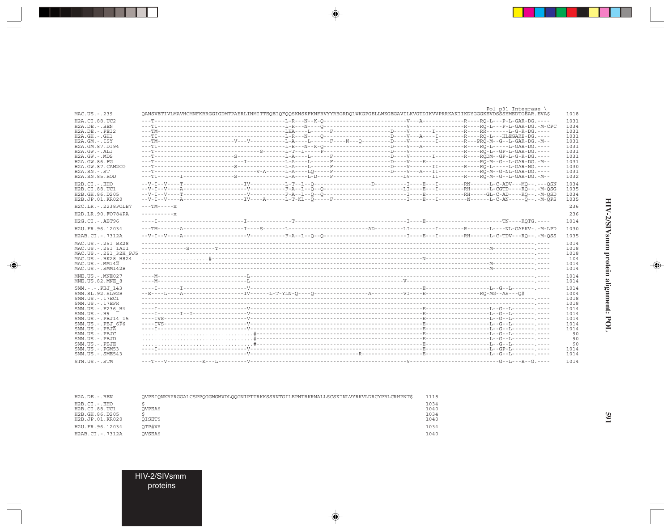| MAC.US.-.239                                                                                                       |                                              | QANSVETIVLMAVHCMNFKRRGGIGDMTPAERLINMITTEQEIQFQQSKNSKFKNFRVYYREGRDQLWKGPGELLWKGEGAVILKVGTDIKVVPRRKAKIIKDYGGGKEVDSSSHMEDTGEAR.EVA\$ | Pol $p31$ Integrase \<br>1018                |
|--------------------------------------------------------------------------------------------------------------------|----------------------------------------------|-----------------------------------------------------------------------------------------------------------------------------------|----------------------------------------------|
| H2A.CI.88.UC2<br>$H2A.DE. - .BEN$<br>H2A.DE. -. PEI2<br>$H2A.GH. - .GH1$<br>$H2A.GM. - . ISY$                      |                                              |                                                                                                                                   | 1031<br>1034<br>1031<br>1031<br>1031         |
| H2A.GM.87.D194<br>$H2A.GW. - .ALI$<br>$H2A.GW. - .MDS$<br>H2A.GW.86.FG<br>H2A.GW.87.CAM2CG<br>$H2A$ . $SN. - . ST$ |                                              | ---T----------------------------V-A-----L-A----LQ-----F-------------D----V--A---II-----------RO-M--G-NL-GAR-DG                    | 1031<br>1031<br>1031<br>1031<br>1030<br>1031 |
| H2A.SN.85.ROD<br>$H2B.CI.-EHO$                                                                                     |                                              |                                                                                                                                   | 1032<br>1034                                 |
| H2B.CI.88.UC1<br>H2B.GH.86.D205<br>H2B.JP.01.KR020                                                                 |                                              |                                                                                                                                   | 1035<br>1034<br>1035                         |
| H2C.LR. - . 2238POLB7<br>H2D.LR.90.FO784PA                                                                         | $---TM---x$<br>$- - - - - - - - - - - - - -$ |                                                                                                                                   | 236<br>236                                   |
| $H2G.CI.-.ABT96$<br>H2U.FR.96.12034                                                                                |                                              |                                                                                                                                   | 1014<br>1030                                 |
| H2AB.CI.-.7312A                                                                                                    |                                              |                                                                                                                                   | 1035                                         |
| MAC.US. - . 251 BK28<br>MAC.US. - . 251 1A11<br>MAC.US.-.251 <sup>-32H</sup> PJ5<br>$MAC. US. - . BK2B  H824$      |                                              |                                                                                                                                   | 1014<br>1018<br>1018<br>104                  |
| $MAC. US. - . MM142$<br>MAC.US.-.SMM142B                                                                           |                                              |                                                                                                                                   | 1014<br>1014                                 |
| MNE.US.-.MNE027<br>MNE.US.82.MNE 8                                                                                 |                                              |                                                                                                                                   | 1014<br>1014                                 |
| SMM.-.-.PBJ 143<br>SMM.SL.92.SL92B<br>SMM.US.-.17EC1<br>$SMM. US. - .17EFR$                                        |                                              |                                                                                                                                   | 1014<br>1004<br>1018<br>1018                 |
| SMM.US. -. F236 H4<br>$SMM. US. - . H9$                                                                            |                                              |                                                                                                                                   | 1014<br>1014                                 |
| SMM.US.-.PBJ14 15<br>$SMM.US.-.PBJ 6\overline{P}6$<br>SMM.US.-.PBJA<br>SMM.US.-.PBJC                               |                                              |                                                                                                                                   | 1014<br>1014<br>1014<br>90                   |
| SMM.US.-.PBJD<br>SMM.US.-.PBJE<br>$SMM.US. - . PGM53$<br>SMM.US.-.SME543                                           |                                              |                                                                                                                                   | 90<br>90<br>1014<br>1014                     |
| STM.US.-.STM                                                                                                       |                                              |                                                                                                                                   | 1014                                         |

 $\spadesuit$ 

 $\begin{picture}(20,5) \put(0,0){\line(1,0){10}} \put(15,0){\line(1,0){10}} \put(15,0){\line(1,0){10}} \put(15,0){\line(1,0){10}} \put(15,0){\line(1,0){10}} \put(15,0){\line(1,0){10}} \put(15,0){\line(1,0){10}} \put(15,0){\line(1,0){10}} \put(15,0){\line(1,0){10}} \put(15,0){\line(1,0){10}} \put(15,0){\line(1,0){10}} \put(15,0){\line(1,$ 

۱

| H2A.DE.-.BEN    | OVPEIONKRPRGGALCSPPOGGMGMVDLOOGNIPTTRKKSSRNTGILEPNTRKRMALLSCSKINLVYRKVLDRCYPRLCRHPNT\$ | 1118 |
|-----------------|----------------------------------------------------------------------------------------|------|
| H2B.CI.-.EHO    |                                                                                        | 1034 |
| H2B.CI.88.UC1   | <b>OVPEAS</b>                                                                          | 1040 |
| H2B.GH.86.D205  |                                                                                        | 1034 |
| H2B.JP.01.KR020 | OISETS                                                                                 | 1040 |
| H2U.FR.96.12034 | OTP#V\$                                                                                | 1034 |
| H2AB.CI.-.7312A | <b>OVSEAS</b>                                                                          | 1040 |
|                 |                                                                                        |      |

HIV-2/SIVsmm<br>proteins

---

 $\overline{\blacklozenge}$ 

 $\overline{\mathbb{R}}$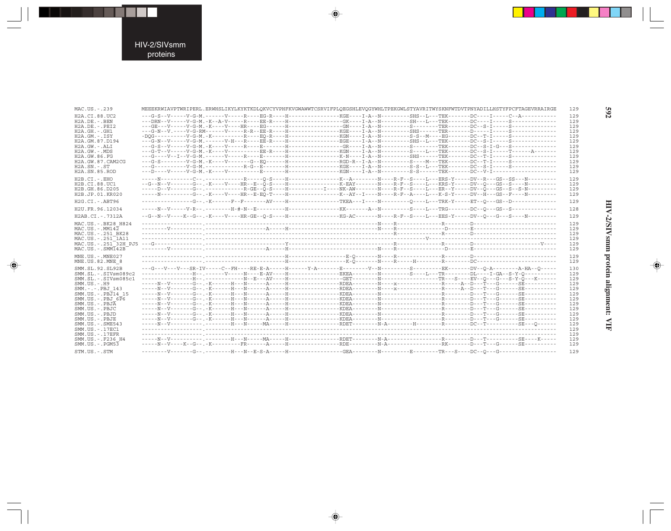н

 $\begin{picture}(20,5) \put(0,0){\line(1,0){10}} \put(15,0){\line(1,0){10}} \put(15,0){\line(1,0){10}} \put(15,0){\line(1,0){10}} \put(15,0){\line(1,0){10}} \put(15,0){\line(1,0){10}} \put(15,0){\line(1,0){10}} \put(15,0){\line(1,0){10}} \put(15,0){\line(1,0){10}} \put(15,0){\line(1,0){10}} \put(15,0){\line(1,0){10}} \put(15,0){\line(1,$ 

 $\frac{1}{\sqrt{2}}$ 

| MAC.US.-.239                            | MEEEKRWIAVPTWRIPERL.ERWHSLIKYLKYKTKDLQKVCYVPHFKVGWAWWTCSRVIFPLQEGSHLEVQGYWHLTPEKGWLSTYAVRITWYSKNFWTDVTPNYADILLHSTYFPCFTAGEVRRAIRGE                                                                                                                           |  | 129        |
|-----------------------------------------|--------------------------------------------------------------------------------------------------------------------------------------------------------------------------------------------------------------------------------------------------------------|--|------------|
| H2A.CI.88.UC2                           | ---G-S--V-----V-G-M.------V-----R----EG-R----H--------------KGE----I-A--N---------SHS--L---TEK-------DC----I-----C--A-----------                                                                                                                             |  | 129        |
| $H2A.DE. - .BEN$                        | ---DRN--V-----V-G-M.-K--A-V-----R----EE-R----H--------------GK----I-A--N--------SH---L---TEK-------DC----I-----S-------------                                                                                                                                |  | 129        |
| $H2A.DE. - .PEI2$                       |                                                                                                                                                                                                                                                              |  | 129        |
| H2A.GH. - . GH1                         |                                                                                                                                                                                                                                                              |  | 129        |
| $H2A.GM.-.ISY$                          |                                                                                                                                                                                                                                                              |  | 129        |
| H2A.GM.87.D194                          |                                                                                                                                                                                                                                                              |  | 129        |
| $H2A.GW. - .ALI$<br>H2A.GW.-.MDS        | ---G-S--V-----V-G-M.-K----V-----R----E-------H--------------GR----I-A--N--------S-----------DC--S-I-G---S----------------<br>---G-T--V-----V-G-M.-K----V---------EE-R----H---------------KGN----I-A--N--------S----I---TEK-------DC--S-I-----T------A------- |  | 129<br>129 |
| H2A.GW.86.FG                            |                                                                                                                                                                                                                                                              |  | 129        |
| H2A.GW.87.CAM2CG                        | ---G-S--------V-G-M.-K----V-------G--EQ------H--------------RGD-R--I-A--N--------S----M---TEK-------DC--T-I-----S-----------------                                                                                                                           |  | 129        |
| $H2A$ . $SN. - . ST$                    |                                                                                                                                                                                                                                                              |  | 129        |
| H2A.SN.85.ROD                           |                                                                                                                                                                                                                                                              |  | 129        |
| $H2B.CI.-EHO$                           |                                                                                                                                                                                                                                                              |  |            |
| H2B.CI.88.UC1                           | --G--N--V-------G--.-K----V----HR--E--O-S----H-----------------K-EAY-------N----R-F--S----L---KRS-Y-----DV--O---GS--S----N---------                                                                                                                          |  | 129<br>129 |
| H <sub>2</sub> B.GH.86.D <sub>205</sub> | -----D--V-------G--.-----------R-GE--O-S----H----------I----NK-AW-------N----R-F--S----L---ER--Y-----DV--O---GS--S--S-N---------                                                                                                                             |  | 129        |
| H2B.JP.01.KR020                         | -----N----------G--.-K----V----HR--E-EO-T----H------------------K--AY--I----N----R-F--A----I---K-S-Y-----DV--H---GS--F----N--------                                                                                                                          |  | 129        |
| $H2G.CI.-.ABT96$                        | ---------G--.-K------F--F-------AV----H---------------TKEA---I----N---------O---L---TRK-Y-----ET--O---GS--D--------------                                                                                                                                    |  | 129        |
| H2U.FR.96.12034                         |                                                                                                                                                                                                                                                              |  | 128        |
|                                         |                                                                                                                                                                                                                                                              |  |            |
| H2AB.CI.-.7312A                         | --G--N--V----K--G--.-K----V----HR-GE--Q-S----H------------------KG-AC-------N----R-F--S----L---EES-Y-----DV--Q---G---S----N---------                                                                                                                         |  | 129        |
| MAC.US. - . BK28 H824                   |                                                                                                                                                                                                                                                              |  | 129        |
| $MAC. US. - . MM142$                    |                                                                                                                                                                                                                                                              |  | 129        |
| MAC.US. - . 251 BK28                    |                                                                                                                                                                                                                                                              |  | 129        |
| MAC.US. - . 251 1A11                    |                                                                                                                                                                                                                                                              |  | 129        |
| $MAC . US . - . SIM142B$                |                                                                                                                                                                                                                                                              |  | 129<br>129 |
|                                         |                                                                                                                                                                                                                                                              |  |            |
| MNE.US.-.MNE027                         |                                                                                                                                                                                                                                                              |  | 129        |
| MNE.US.82.MNE 8                         |                                                                                                                                                                                                                                                              |  | 129        |
| SMM.SL.92.SL92B                         | ---G---V---V---SR-IV-----C--FH----RE-E-A-----H------Y-A-------E--------V--N--------S---------EK-------DV--O-A----------A-HA--O-----                                                                                                                          |  | 130        |
| $SMM.SL.-.SIVsm089c2$                   | ---------------H--.-----V-----N----E-AV----H--------------EKEA--------N--------S----L---TR--------DL----I-GA--S-Y-O----------                                                                                                                                |  | 129        |
| SMM.SL.-.SIVsm085c1                     |                                                                                                                                                                                                                                                              |  | 129        |
| $SMM. US. - . H9$                       |                                                                                                                                                                                                                                                              |  | 129        |
| SMM.-.-.PBJ 143                         |                                                                                                                                                                                                                                                              |  | 129        |
| SMM.US. - . PBJ14 15                    |                                                                                                                                                                                                                                                              |  | 129        |
| $SMM.US.-.PBJ 6\overline{P}6$           |                                                                                                                                                                                                                                                              |  | 129        |
| SMM.US.-.PBJA                           |                                                                                                                                                                                                                                                              |  | 129        |
| SMM.US.-.PBJC                           |                                                                                                                                                                                                                                                              |  | 129        |
| SMM.US.-.PBJD                           |                                                                                                                                                                                                                                                              |  | 129        |
| SMM.US.-.PBJE                           |                                                                                                                                                                                                                                                              |  | 129        |
| $SMM.US. - .SME543$                     |                                                                                                                                                                                                                                                              |  | 129        |
| SMM.US.-.17EC1                          |                                                                                                                                                                                                                                                              |  | 129        |
| $SMM. US. - .17EFR$                     |                                                                                                                                                                                                                                                              |  | 129        |
| SMM.US. -. F236 H4                      |                                                                                                                                                                                                                                                              |  | 129        |
| $SMM.US. - . PGM53$                     | -----N--V----K--G-- .-K---------FR------A----H--------------RDE---------N-A-------------RK------D---T---G------SE----------                                                                                                                                  |  | 129        |
| STM.US.-.STM                            |                                                                                                                                                                                                                                                              |  | 129        |

 $\begin{picture}(20,5) \put(0,0){\vector(0,1){10}} \put(15,0){\vector(0,1){10}} \put(15,0){\vector(0,1){10}} \put(15,0){\vector(0,1){10}} \put(15,0){\vector(0,1){10}} \put(15,0){\vector(0,1){10}} \put(15,0){\vector(0,1){10}} \put(15,0){\vector(0,1){10}} \put(15,0){\vector(0,1){10}} \put(15,0){\vector(0,1){10}} \put(15,0){\vector(0,1){10}} \put(15,0){\vector(0,$ 

 $\begin{picture}(20,5) \put(0,0){\vector(0,1){10}} \put(15,0){\vector(0,1){10}} \put(15,0){\vector(0,1){10}} \put(15,0){\vector(0,1){10}} \put(15,0){\vector(0,1){10}} \put(15,0){\vector(0,1){10}} \put(15,0){\vector(0,1){10}} \put(15,0){\vector(0,1){10}} \put(15,0){\vector(0,1){10}} \put(15,0){\vector(0,1){10}} \put(15,0){\vector(0,1){10}} \put(15,0){\vector(0,$ 

592

Ι

HIV-2/SIVsmm protein alignment: VIF

 $\spadesuit$ 

 $\frac{1}{\sqrt{2\pi}}$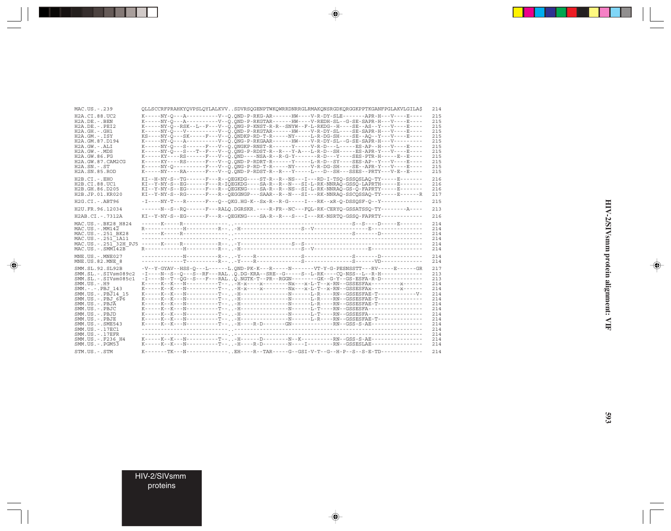| MAC.US.-.239                                                                                                                                                                                                                                                                                                                         | QLLSCCRFPRAHKYQVPSLQYLALKVVSDVRSQGENPTWKQWRRDNRRGLRMAKQNSRGDKQRGGKPPTKGANFPGLAKVLGILA\$                                                                                                                                                                                                                                                                                                                                                                                                                                                                                                                                                                                                                                                                                                                                                                                                                                                                                                                                                                                                                                                       | 214                                                                                                         |
|--------------------------------------------------------------------------------------------------------------------------------------------------------------------------------------------------------------------------------------------------------------------------------------------------------------------------------------|-----------------------------------------------------------------------------------------------------------------------------------------------------------------------------------------------------------------------------------------------------------------------------------------------------------------------------------------------------------------------------------------------------------------------------------------------------------------------------------------------------------------------------------------------------------------------------------------------------------------------------------------------------------------------------------------------------------------------------------------------------------------------------------------------------------------------------------------------------------------------------------------------------------------------------------------------------------------------------------------------------------------------------------------------------------------------------------------------------------------------------------------------|-------------------------------------------------------------------------------------------------------------|
| H <sub>2</sub> A.CI.88.UC <sub>2</sub><br>$H2A.DE. - .BEN$<br>$H2A.DE. - .PEI2$<br>$H2A.GH. - .GH1$<br>$H2A.GM.-.ISY$<br>H2A.GM.87.D194<br>$H2A.GW. - .ALI$<br>$H2A.GW. - .MDS$<br>H2A.GW.86.FG<br>H2A.GW.87.CAM2CG<br>$H2A$ . $SN. - . ST$<br>H2A.SN.85.ROD                                                                         | K-----NY-0---A-----------V--0.OND-P-RKG-AR------HW----V-R-DY-SLE-------APR-H---V----E----<br>K-----NY-0---A-----------V--0.OND-P-RKGTAR------HW----V-REDH-SL--G-SE-SAPR-H---V----E----<br>K-----NY-O--RSK--L--F---V--O.ONG-P-KNST-R-R--SNYW--F-L-RKDG--H----SE--AS--Y---V----E----<br>K-----NY-0---V----------V--0.0ND-P-RKGTAR------HW----V-R-DY-SL----SE-SAPR-H---V----E----<br>$KS---NY-O---SK---F---Y--O. ONDKP-RD-T-R----NY---L-R-DG-SH---SE---AO--Y---V---E---E---E---A$<br>K-----NY-0---A----------V--0.ONG-P-RKGAAR------HW----V-R-DY-SL--G-SE-SAPR-H---V--------<br>K-----NY-O---S------F---V-O.ONGKP-RNST-R-------Y-----V-R-D---L-----ES-AP--H---V----E----<br>K-----NY-0---S---T--F---V--0.ONG-P-RDST-R--R---Y-A---L-R-D--SH-----ES-APR-Y---V----E----<br>K-----KY----RS------F---V--O.OND----NSA-R--R-G-Y-------R-D---Y----SES-PTR-H-----E--E----<br>K-----KY----RS------F---V--O.OND-P-RDRT-R------Y-----L-R-D--SY----SES-AP--Y---V----E----<br>K-----NY-0---------F---V--0.0NG-P-RD-T-R-----NY-----V-R-DG-SH----SE--APR-Y-----E----<br>K-----NY----RA------F---V--O.OND-P-RDST-R--R---Y-----L---D--SH---SSES--PRTY---V-E--E---- | 215<br>215<br>215<br>215<br>215<br>215<br>215<br>215<br>215<br>215<br>215<br>215                            |
| $H2B.CI.-EHO$<br>H2B.CI.88.UC1<br>H2B.GH.86.D205<br>H2B.JP.01.KR020                                                                                                                                                                                                                                                                  | $KI$ --H-NY-S--TG------F---R--OEGKDG----ST-R--R--NS---I---RD-I-TSO-SSSOSLAO-TY-----E------<br>KI--Y-NY-S--EG------F---R-IOEGKDG----SA-R--R--N---SI-L-RK-NNRAO-GSSO-LAPRTH-----E------<br>KI--Y-NY-S--EG------F---R--QEGKNG----SA-R--R--NS--SI-L-RK-NNRAQ-GS-Q-FAPRTY-----E------<br>KI--Y-NY-S--RG------F---R--QEGGNGP---SAAR--R--N---SI---RK-NNRAQ-SSCOSSAQ-TY-----E------R                                                                                                                                                                                                                                                                                                                                                                                                                                                                                                                                                                                                                                                                                                                                                                  | 216<br>216<br>216<br>217                                                                                    |
| $H2G.CI.-.ABT96$                                                                                                                                                                                                                                                                                                                     | -I----NY-T---R------F---Q--QKG.HG-K--Sx-R--R-G-----I---RK--xR-Q-DSSQSF-Q--Y------------                                                                                                                                                                                                                                                                                                                                                                                                                                                                                                                                                                                                                                                                                                                                                                                                                                                                                                                                                                                                                                                       | 215                                                                                                         |
| H2U.FR.96.12034                                                                                                                                                                                                                                                                                                                      | ------N--S--RO------F---RALO.DGRSKR.----R-FR--NC---FOL-RK-CERYO-GSSATSSO-TY--------A----                                                                                                                                                                                                                                                                                                                                                                                                                                                                                                                                                                                                                                                                                                                                                                                                                                                                                                                                                                                                                                                      | 213                                                                                                         |
| H2AB.CI.-.7312A                                                                                                                                                                                                                                                                                                                      | KI--Y-NY-S--EG------F---R--OEGKNG----SA-R--R---S---I---RK-NSRTO-GSSO-FAPRTY------------                                                                                                                                                                                                                                                                                                                                                                                                                                                                                                                                                                                                                                                                                                                                                                                                                                                                                                                                                                                                                                                       | 216                                                                                                         |
| MAC.US. - . BK28 H824<br>$MAC. US. - . MM142$<br>MAC.US. - . 251 BK28<br>MAC.US. - . 251 <sup>-1</sup> A11<br>$MAC. US. - . SIMT42B$                                                                                                                                                                                                 |                                                                                                                                                                                                                                                                                                                                                                                                                                                                                                                                                                                                                                                                                                                                                                                                                                                                                                                                                                                                                                                                                                                                               | 2.14<br>214<br>214<br>214<br>2.14<br>2.14                                                                   |
| MNE.US.-.MNE027<br>MNE.US.82.MNE 8                                                                                                                                                                                                                                                                                                   |                                                                                                                                                                                                                                                                                                                                                                                                                                                                                                                                                                                                                                                                                                                                                                                                                                                                                                                                                                                                                                                                                                                                               | 214<br>214                                                                                                  |
| SMM. SL. 92. SL92B<br>$SMM.SL.-.SIVsm089c2$<br>$SMM.SL.-.SIVsm085c1$<br>$SMM. US. - . H9$<br>SMM.-.-.PBJ 143<br>SMM.US. -. PBJ14 15<br>$SMM.US.-.PBJ 6\overline{P}6$<br>$SMM. US. - . PBJA$<br>SMM.US.-.PBJC<br>SMM.US.-.PBJD<br>SMM.US.-.PBJE<br>$SMM.US. - .SME543$<br>SMM.US.-.17EC1<br>$SMM. US. - .17EFR$<br>SMM.US. -. F236 H4 | -V--Y-GYAV--HSS-O---L------L.OND-PK-K---R-----N-------VT-Y-G-PESNSSTT---RV-----E------GR<br>-I----N--S--O---S--RF---RALO.DG-KRA--SRE--G-----S--L-RK----CO-NSS--L--R-H------------<br>-I----N--T--OG--S---F---RALO.NGTK-T--PR--RGGN--------GK--G-Y--GS-ESFA-R-D------------<br>K-----K--K---N-----------T---H-x----x--------Nx---x-L-T--x-RN--GSSESFAx---------x------<br>K-----K--K---N-----------T-- -H-x----x---------Nx---x-L-T--x-RN--GSSESFAx----------x------<br>K-----K--K---N------------T---H----------------N------L-R-----RN--GSSESFAE-T--------------<br>K-----K--K---N------------T---H----------------N------L-R-----RN--GSSESFAE-T--------------<br>K-----K--K---N------------T---H----------------N------L-R----RN--GSSESFAE-T--------------<br>K-----K--K---N------------T--,,-H------D--------N--K-----------RN--GSS-S-AE----------------                                                                                                                                                                                                                                                                                   | 217<br>213<br>213<br>2.14<br>2.14<br>2.14<br>2.14<br>214<br>2.14<br>2.14<br>214<br>214<br>214<br>214<br>214 |
| $SMM. US. - . PGM53$                                                                                                                                                                                                                                                                                                                 | K-----K--K---N-----------T--,.-H----R-D--------N----I---------RN--GSSESLAE----------------                                                                                                                                                                                                                                                                                                                                                                                                                                                                                                                                                                                                                                                                                                                                                                                                                                                                                                                                                                                                                                                    | 214                                                                                                         |
| STM.US.-.STM                                                                                                                                                                                                                                                                                                                         | K-------TK---N-------------EH----R--TAR-----G--GSI-V-T--G--H-P--S--S-E-TD------------                                                                                                                                                                                                                                                                                                                                                                                                                                                                                                                                                                                                                                                                                                                                                                                                                                                                                                                                                                                                                                                         | 214                                                                                                         |

 $\begin{picture}(20,5) \put(0,0){\vector(0,1){10}} \put(15,0){\vector(0,1){10}} \put(15,0){\vector(0,1){10}} \put(15,0){\vector(0,1){10}} \put(15,0){\vector(0,1){10}} \put(15,0){\vector(0,1){10}} \put(15,0){\vector(0,1){10}} \put(15,0){\vector(0,1){10}} \put(15,0){\vector(0,1){10}} \put(15,0){\vector(0,1){10}} \put(15,0){\vector(0,1){10}} \put(15,0){\vector(0,$ 

 $\spadesuit$ 

 $\overline{\phantom{0}}$ 

 $\Box$ 

. . .

٠

HIV-2/SIVsmm proteins

a kacamatan ing Kabupatèn Kabupatèn Kabu

 $\overline{\blacklozenge}$ 

 $\frac{1}{\sqrt{2}}$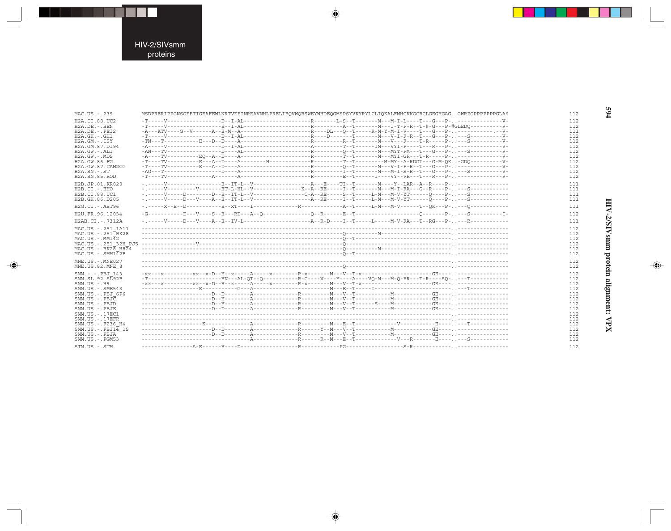---

 $\Rightarrow$ 

| $MAC$ . US. $-$ . 239                                 | MSDPRERIPPGNSGEETIGEAFEWLNRTVEEINREAVNHLPRELIFOVWORSWEYWHDEOGMSPSYVKYRYLCLIOKALFMHCKKGCRCLGEGHGAGGWRPGPPPPPPGLAS |
|-------------------------------------------------------|------------------------------------------------------------------------------------------------------------------|
| H <sub>2</sub> A.CT.88.UC <sub>2</sub>                |                                                                                                                  |
| $H2A.DE. - .BEN$                                      |                                                                                                                  |
| $H2A.DE. - PRT2$                                      |                                                                                                                  |
| $H2A.GH. - .GH1$                                      |                                                                                                                  |
| $H2A.GM. - . TSY$                                     |                                                                                                                  |
| H2A.GM.87.D194                                        |                                                                                                                  |
| $H2A.GW. - . AIIT$                                    |                                                                                                                  |
| $H2A.GW. - MDS$                                       |                                                                                                                  |
| H2A. GW. 86. FG                                       |                                                                                                                  |
| H2A.GW.87.CAM2CG                                      |                                                                                                                  |
| $H2A.SN.-.ST$                                         |                                                                                                                  |
| <b>H2A.SN.85.ROD</b>                                  |                                                                                                                  |
| H2B.JP.01.KR020                                       |                                                                                                                  |
| $H2B.CI. - . EHO$                                     |                                                                                                                  |
| H2B.CI.88.UC1                                         | - .-----V-----D--------D-E--IT-L--V--------------C-A--RE-----S--T-----L-M---M-V-YT------O----P----S------------  |
| H2B.GH.86.D205                                        |                                                                                                                  |
|                                                       |                                                                                                                  |
| $H2G.CI. - ABT96$                                     |                                                                                                                  |
| H2U.FR.96.12034                                       |                                                                                                                  |
| $H2AB.CI. - .7312A$                                   |                                                                                                                  |
| MAC.US. - . 251 1A11                                  |                                                                                                                  |
| $MAC$ . US. $-$ . 251 RK28                            |                                                                                                                  |
| $MAC$ . U.S. - $MM1\overline{4}2$                     |                                                                                                                  |
| MAC.US. - . 251 32H PJ5                               |                                                                                                                  |
| $MAC$ . US. - . BK2 $\overline{8}$ H8 $\overline{2}4$ |                                                                                                                  |
| $MAC$ . U.S. - . SMM1 $\overline{4}$ 2B               |                                                                                                                  |
|                                                       |                                                                                                                  |
| $MNE$ . U.S. - $MNE$ 027                              |                                                                                                                  |
| MNE.US.82.MNE 8                                       |                                                                                                                  |
| SMM.-.-.PBJ 143                                       |                                                                                                                  |
| $SMM.SL.92.S\overline{L}92B$                          | -T----------------------HN---AL-OT--O------------R-C----Y----A----VO-M---M-O-FR---T-R----SO-,,---T------------   |
| $SMM$ . US. $-$ . $H9$                                |                                                                                                                  |
| SMM. US. - . SME543                                   |                                                                                                                  |
| $SMM. US. - . PRJ. 6P6$                               |                                                                                                                  |
| $SMM$ . US. - . PBJ $\overline{C}$                    |                                                                                                                  |
| SMM.US.-.PBJD                                         |                                                                                                                  |
| SMM.US.-.PBJE                                         |                                                                                                                  |
| SMM.US. - . 17EC1                                     |                                                                                                                  |
| $SMM$ . US. $-$ . 17EFR                               |                                                                                                                  |
| SMM.US. - . F236 H4                                   |                                                                                                                  |
| $SMM$ . US. - . PBJ1 $\overline{4}$ 15                |                                                                                                                  |
| SMM.US.-.PBJA                                         |                                                                                                                  |
| $SMM$ . U.S. - . PGM53                                |                                                                                                                  |
|                                                       |                                                                                                                  |
| STM.US.-.STM                                          |                                                                                                                  |

 $\begin{picture}(20,5) \put(0,0){\vector(0,1){10}} \put(15,0){\vector(0,1){10}} \put(15,0){\vector(0,1){10}} \put(15,0){\vector(0,1){10}} \put(15,0){\vector(0,1){10}} \put(15,0){\vector(0,1){10}} \put(15,0){\vector(0,1){10}} \put(15,0){\vector(0,1){10}} \put(15,0){\vector(0,1){10}} \put(15,0){\vector(0,1){10}} \put(15,0){\vector(0,1){10}} \put(15,0){\vector(0,$ 

 $\begin{picture}(20,5) \put(0,0){\vector(0,1){10}} \put(15,0){\vector(0,1){10}} \put(15,0){\vector(0,1){10}} \put(15,0){\vector(0,1){10}} \put(15,0){\vector(0,1){10}} \put(15,0){\vector(0,1){10}} \put(15,0){\vector(0,1){10}} \put(15,0){\vector(0,1){10}} \put(15,0){\vector(0,1){10}} \put(15,0){\vector(0,1){10}} \put(15,0){\vector(0,1){10}} \put(15,0){\vector(0,$ 

594

HIV-2/SIVsmm protein alignment: VPX

 $\begin{picture}(20,5) \put(0,0){\line(1,0){10}} \put(15,0){\line(1,0){10}} \put(15,0){\line(1,0){10}} \put(15,0){\line(1,0){10}} \put(15,0){\line(1,0){10}} \put(15,0){\line(1,0){10}} \put(15,0){\line(1,0){10}} \put(15,0){\line(1,0){10}} \put(15,0){\line(1,0){10}} \put(15,0){\line(1,0){10}} \put(15,0){\line(1,0){10}} \put(15,0){\line(1,$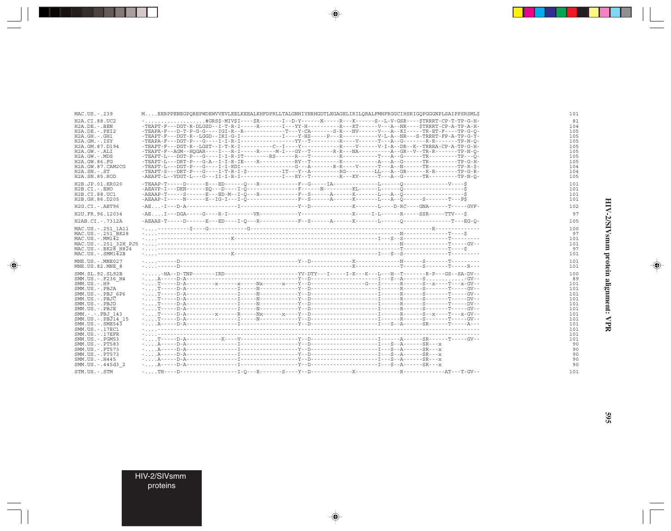| MAC.US.-.239                             | MEERPPENEGPQREPWDEWVVEVLEELKEEALKHFDPRLLTALGNHIYNRHGDTLEGAGELIRILQRALFMHFRGGCIHSRIGQPGGGNPLSAIPPSRSML\$     |  |  |  |
|------------------------------------------|-------------------------------------------------------------------------------------------------------------|--|--|--|
| H2A.CI.88.UC2                            | -#GRS\$-MIV\$I----\$R-------I--D-Y------N-----R-----S--L-V-GSR----\$TRRRT-CP-T-TP-G-H-                      |  |  |  |
| $H2A.DE. - .BEN$                         | -TEAPT-F---DGT-R-DLGSD--I-T-R-I-----R------I---YY-H----------R---KT-------V---A--NR----STRRRT-CP-A-TP-A-H-  |  |  |  |
| $H2A.DE. - PRT2$                         | -TEAPA-F---D-T-P-G-G----IGI-R--R------------T---Y-CA-------S-R---NV------V---A--KI-----TR-ET-F----TP-G-O-   |  |  |  |
| $H2A.GH.-.GH1$                           | -TEAPT-F---DGT-R--LGGD--IRI-G-I-----------I----Y-HS-----P---R--------------V-L-A--NR---S-TRRRT-FP-A-TP-G-Ÿ- |  |  |  |
| $H2A.GM.-.ISY$                           | -TEAPA-F---DGT-P---G----I-I-R-I---------------YY--T---------R-----V-------R--G-------R-R-------TP-N-O-      |  |  |  |
| H <sub>2</sub> A.GM.87.D <sub>194</sub>  | $-TEAPP-F--AGM--HOGAR---I---R-I---R-----M-I---GY--T----R-R---NA---P--A--GR--V--TR-R----TP-N-O-$             |  |  |  |
| $H2A.GW.-.ALI$                           |                                                                                                             |  |  |  |
| $H2A.GW. - .MDS$<br>H2A.GW.86.FG         |                                                                                                             |  |  |  |
| H2A.GW.87.CAM2CG                         | $-TEAPP-L--DGT-P---G---I-I-RDI----------G---A---R-R---V---T---R-N---I---TR---TR---TP---T-P-R-S-$            |  |  |  |
| $H2A$ . $SN. - . ST$                     | -TEAPT-S---DRT-P---G----I-T-R-I-S----------IT---Y--A---------RG--------LL---A--GR------R-R-------TP-G-R-    |  |  |  |
| H2A.SN.85.ROD                            | -AEAPT-L--VDGT-L---G---II-I-R-I-----------I---KY--T---------R---KV------T---A--G------TR--------TP-N-O-     |  |  |  |
|                                          |                                                                                                             |  |  |  |
| H <sub>2</sub> B.JP.01.KR020             |                                                                                                             |  |  |  |
| $H2B.CI.-.EHO$                           |                                                                                                             |  |  |  |
| H2B.CI.88.UC1                            | -AEAAP-I-----N-----E--IG-I---I-O-------------F-S------A------K-------L---A--O-----S-------T---PS            |  |  |  |
| H2B.GH.86.D205                           |                                                                                                             |  |  |  |
| $H2G.CI.-ABT96$                          |                                                                                                             |  |  |  |
| H2U.FR.96.12034                          | $-AE$ $I---DGA---G---R-I---Y-F---VR---Y---Y---Y---X---X---I-I---I---R---R---SSR---TTV---S$                  |  |  |  |
|                                          |                                                                                                             |  |  |  |
| H2AB.CI.-.7312A                          |                                                                                                             |  |  |  |
| MAC.US. - . 251 1A11                     |                                                                                                             |  |  |  |
| MAC.US.-.251 BK28                        |                                                                                                             |  |  |  |
| $MAC. US. - . MM142$                     |                                                                                                             |  |  |  |
|                                          |                                                                                                             |  |  |  |
| $MAC. US. - . BK26  H824$                |                                                                                                             |  |  |  |
| $MAC$ . U.S. - . SMM1 $\overline{4}$ 2B  |                                                                                                             |  |  |  |
| MNE.US.-.MNE027                          |                                                                                                             |  |  |  |
| MNE.US.82.MNE 8                          |                                                                                                             |  |  |  |
| SMM. SL. 92. SL92B                       |                                                                                                             |  |  |  |
| SMM.US. - . F236 H4                      |                                                                                                             |  |  |  |
| $SMM. US. - . H9$                        |                                                                                                             |  |  |  |
| SMM.US.-.PBJA                            |                                                                                                             |  |  |  |
| $SMM.US.-.PBJ 6P6$                       |                                                                                                             |  |  |  |
| $SMM$ . US. - . PBJ $\overline{C}$       |                                                                                                             |  |  |  |
| $SMM. US. - PBJD$                        |                                                                                                             |  |  |  |
| SMM.US.-.PBJE                            |                                                                                                             |  |  |  |
| SMM. -.-. PBJ 143                        |                                                                                                             |  |  |  |
| SMM.US.-.PBJ14 15                        |                                                                                                             |  |  |  |
| $SMM$ . US. $-$ . SME543                 |                                                                                                             |  |  |  |
| SMM. US. - . 17EC1                       |                                                                                                             |  |  |  |
| $SMM. US. - .17EFR$                      |                                                                                                             |  |  |  |
| $SMM$ . US. $-$ . PGM53                  |                                                                                                             |  |  |  |
| SMM.US. - . PT583                        |                                                                                                             |  |  |  |
| SMM. US. - . PT573<br>SMM. US. - . PT573 |                                                                                                             |  |  |  |
| SMM. US. - . H445                        |                                                                                                             |  |  |  |
| SMM.US.-.445d3 2                         |                                                                                                             |  |  |  |
|                                          |                                                                                                             |  |  |  |
| STM.US.-.STM                             |                                                                                                             |  |  |  |

 $\spadesuit$ 

 $\Rightarrow$ 

HIV-2/SIVsmm protein alignment: VPR

 $\Rightarrow$ 

 $\begin{array}{cccccccc} 101 & 814105 & 10505 & 10000 & 10000 & 10000 & 10000 & 10000 & 10000 & 10000 & 10000 & 10000 & 10000 & 10000 & 10000 & 10000 & 10000 & 10000 & 10000 & 10000 & 10000 & 10000 & 10000 & 10000 & 10000 & 10000 & 10000 & 10000 & 10000 & 10000 & 10$ 

٠

HIV-2/SIVsmm<br>proteins

\_\_

 $\overline{\blacklozenge}$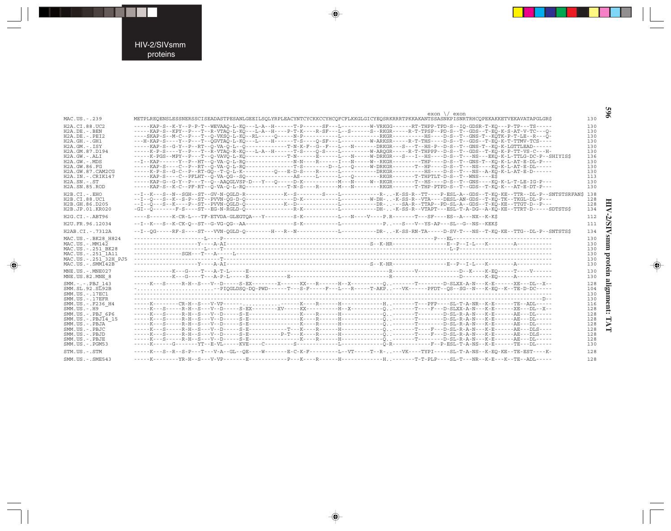#### HIV-2/SIVsmm proteins

---

 $\Rightarrow$ 

 $\overline{\mathbb{R}}$ 

| MAC.US.-.239                                                                                                                                                                                                                                                                            | exon \/ exon<br>METPLREQENSLESSNERSSCISEADASTPESANLGEEILSQLYRPLEACYNTCYCKKCCYHCQFCFLKKGLGICYEQSRKRRRTPKKAKANTSSASNKPISNRTRHCQPEKAKKETVEKAVATAPGLGR\$                                                                                                                                                                                                                                                                                                                                                                                                                                                                                                                                                                                                                                                                                                                                                                                                                                                                                                                                                                                                                                                                                                                                                                                                               | 130                                                                                            |                                  |
|-----------------------------------------------------------------------------------------------------------------------------------------------------------------------------------------------------------------------------------------------------------------------------------------|--------------------------------------------------------------------------------------------------------------------------------------------------------------------------------------------------------------------------------------------------------------------------------------------------------------------------------------------------------------------------------------------------------------------------------------------------------------------------------------------------------------------------------------------------------------------------------------------------------------------------------------------------------------------------------------------------------------------------------------------------------------------------------------------------------------------------------------------------------------------------------------------------------------------------------------------------------------------------------------------------------------------------------------------------------------------------------------------------------------------------------------------------------------------------------------------------------------------------------------------------------------------------------------------------------------------------------------------------------------------|------------------------------------------------------------------------------------------------|----------------------------------|
| H2A.CI.88.UC2<br>$H2A.DE. - . BEN$<br>$H2A.DE. - PRT2$<br>$H2A.GH.-.GH1$<br>$H2A.GM.-.ISY$<br>H2A.GM.87.D194<br>$H2A.GW. - . ALI$<br>$H2A.GW. - .MDS$<br>H2A.GW.86.FG<br>H2A.GW.87.CAM2CG<br>H2A.IN. - . CRIK147<br>$H2A$ . $SN. - . ST$<br>H2A.SN.85.ROD                               | -----KAP-S--K-Y--P-P-T--WEVAAO-L-KO---L-A--H------T-P------SF---L---------W-VRKGG------RT-THPP-TPD-S--IO-GDSR-T-KO---P-TP---TS-----<br>-----KAP-S--KPY--P---T--R-VTAO-L-KO---L-A--H----P-T-K----R-SF---L--S------S--RKGR-----R-T-TPSP--PD-S--T--GDS--T-EO-K-S-AT-V-TC---O-<br>----SKAP-S--M-C--P---T--O-VKSO-L-KO--RL-----O-----N-P-----------L----------RKGR----------HS----D-S--T--GNS-T--KOTK-P-T-LE--R---O-<br>---H-KAP-S----Y--P---T--OGVTAO-L-KO---L----H------T-S----O-SF---L---------W-ARKSR-----R-T-THS----D-S--T--GDS--T-EO-K-T-TTMV-TCS----<br>-----KAP-S--G-Y--P--RT--O-VA-O-L--O------------T-N-K-F--G--F---L---N------DRKGR---S---T--HS-P--D-S--T--GNS-T--KO-K-LGTTLEAD------<br>-----K-P-S----Y--P---T--R-VTAO-R-KO---L-A--H------T-S----O-S----L---------W-AROGR-----R-T-THPPP--D-S--T--GDS--T-KO-K-P-TT-VS-C---H-<br>-----KAP-S----C--P--RT--O-VA-O-L-RO---------------T-S-------D--L---O-----W-DRKGR-------T--HP----D-S--T---NS----KO-K-L-AT-E-DL-----<br>-----K-P-S--G-C--P--RT-G0--T-0-L-K---------0---E-D-S----R------------DRKGR---------HS----D-S--T---NS--A-K0-K-L-AT-R-D------<br>-----KAP-S----C--PFLHT--O-VA-OG--SO---------------AS-----L-----L---O---------RKGR-------T-THPTLT-D-S--T--WNS----ES<br>-----KAP-S--K-C--PF-RT--O-VA-O-L-RO------------T-N-S----R------M---N-------RKGR-------T-THP-PTPD-S--T--GDS--T-KO-K---AT-E-DT-P--- | 130<br>130<br>130<br>130<br>130<br>130<br>136<br>130<br>130<br>130<br>113<br>130<br>130        |                                  |
| $H2B.CI. - . EHO$<br>H2B.CI.88.UC1<br>H2B.GH.86.D205<br>H2B.JP.01.KR020                                                                                                                                                                                                                 |                                                                                                                                                                                                                                                                                                                                                                                                                                                                                                                                                                                                                                                                                                                                                                                                                                                                                                                                                                                                                                                                                                                                                                                                                                                                                                                                                                    | 128<br>128<br>134                                                                              | ◀                                |
| $H2G.CI.-ABT96$                                                                                                                                                                                                                                                                         | ----S-------K-CR-L---TF-ETVDA-GLEGTQA---Y---------S-K-----------L---N----V----P.R-------T---SF----ES--A---NX--K-K\$                                                                                                                                                                                                                                                                                                                                                                                                                                                                                                                                                                                                                                                                                                                                                                                                                                                                                                                                                                                                                                                                                                                                                                                                                                                | 112                                                                                            | N                                |
| H2U.FR.96.12034                                                                                                                                                                                                                                                                         |                                                                                                                                                                                                                                                                                                                                                                                                                                                                                                                                                                                                                                                                                                                                                                                                                                                                                                                                                                                                                                                                                                                                                                                                                                                                                                                                                                    | 111                                                                                            | Š                                |
| H2AB.CI.-.7312A<br>MAC.US.-.BK28 H824<br>$MAC. US. - . MM142$<br>MAC.US.-.251 BK28<br>MAC.US.-.251 <sup>-1</sup> A11<br>MAC.US. - . 251 32H PJ5<br>$MAC. US. - . SIM142B$                                                                                                               |                                                                                                                                                                                                                                                                                                                                                                                                                                                                                                                                                                                                                                                                                                                                                                                                                                                                                                                                                                                                                                                                                                                                                                                                                                                                                                                                                                    | 134<br>130<br>130<br>130<br>130<br>130<br>130                                                  | <b>Smn</b><br>Ξ<br>protein       |
| $MNE$ . U.S. - $MNE$ 027<br>MNE.US.82.MNE 8                                                                                                                                                                                                                                             |                                                                                                                                                                                                                                                                                                                                                                                                                                                                                                                                                                                                                                                                                                                                                                                                                                                                                                                                                                                                                                                                                                                                                                                                                                                                                                                                                                    | 130<br>130                                                                                     |                                  |
| SMM.-.-.PBJ 143<br>SMM.SL.92.SL92B<br>SMM.US. - . 17EC1<br>$SMM. US. - .17EFR$<br>SMM.US.-.F236 H4<br>$SMM$ . U.S. $-$ . H9<br>SMM.US.-.PBJ 6P6<br>$SMM.US.-.PBJ\overline{1}4$ 15<br>SMM.US.-.PBJA<br>SMM.US.-.PBJC<br>SMM.US.-.PBJD<br>SMM.US.-.PBJE<br>SMM.US.-.PGM53<br>STM.US.-.STM | --PIOGLDSO-DO-PWD-----T--S-F----F---L---R-----T-AKP--VK-----PFDT--OS--SG--N---K-BO--K--TE-D-DC----<br>-----K---S--R--S-P---T---V-A--GL--OE----W------E-C-K-F--------L--VT-----T--R-,,---VK----TYPI-----SL-T-A-NS--K-EO-KE--TE-EST----K-                                                                                                                                                                                                                                                                                                                                                                                                                                                                                                                                                                                                                                                                                                                                                                                                                                                                                                                                                                                                                                                                                                                            | 128<br>104<br>130<br>130<br>116<br>128<br>128<br>128<br>128<br>128<br>128<br>128<br>130<br>128 | alig<br>mnent:<br>$\blacksquare$ |
| SMM. US. - . SME543                                                                                                                                                                                                                                                                     |                                                                                                                                                                                                                                                                                                                                                                                                                                                                                                                                                                                                                                                                                                                                                                                                                                                                                                                                                                                                                                                                                                                                                                                                                                                                                                                                                                    | 128                                                                                            |                                  |

 $\begin{picture}(20,5) \put(0,0){\vector(0,1){10}} \put(15,0){\vector(0,1){10}} \put(15,0){\vector(0,1){10}} \put(15,0){\vector(0,1){10}} \put(15,0){\vector(0,1){10}} \put(15,0){\vector(0,1){10}} \put(15,0){\vector(0,1){10}} \put(15,0){\vector(0,1){10}} \put(15,0){\vector(0,1){10}} \put(15,0){\vector(0,1){10}} \put(15,0){\vector(0,1){10}} \put(15,0){\vector(0,$ 

 $\begin{picture}(20,5) \put(0,0){\vector(0,1){10}} \put(15,0){\vector(0,1){10}} \put(15,0){\vector(0,1){10}} \put(15,0){\vector(0,1){10}} \put(15,0){\vector(0,1){10}} \put(15,0){\vector(0,1){10}} \put(15,0){\vector(0,1){10}} \put(15,0){\vector(0,1){10}} \put(15,0){\vector(0,1){10}} \put(15,0){\vector(0,1){10}} \put(15,0){\vector(0,1){10}} \put(15,0){\vector(0,$ 

965

- 1

▊

 $\spadesuit$ 

 $\overline{\phantom{0}}$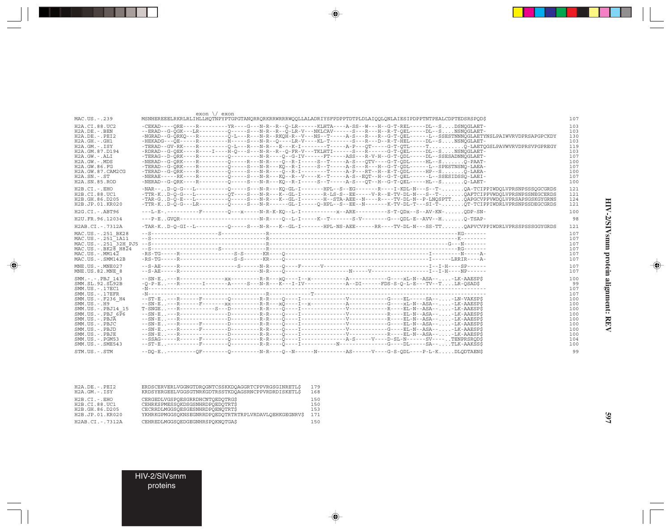|                                                                                                                                                                                                                            | $exon \ \lor \ exon$                                                                                                                                                                                                                                                                                                                                                                                                                                                                                                                                                                                                                                                                                                                                                                                                                                                                                                                                                                                                                                                                                                           |                                                                                  |
|----------------------------------------------------------------------------------------------------------------------------------------------------------------------------------------------------------------------------|--------------------------------------------------------------------------------------------------------------------------------------------------------------------------------------------------------------------------------------------------------------------------------------------------------------------------------------------------------------------------------------------------------------------------------------------------------------------------------------------------------------------------------------------------------------------------------------------------------------------------------------------------------------------------------------------------------------------------------------------------------------------------------------------------------------------------------------------------------------------------------------------------------------------------------------------------------------------------------------------------------------------------------------------------------------------------------------------------------------------------------|----------------------------------------------------------------------------------|
| MAC.US.-.239                                                                                                                                                                                                               | MSNHEREEELRKRLRLIHLLHOTNPYPTGPGTANORRORKRRWRRRWOOLLALADRIYSFPDPPTDTPLDLAIOOLONLAIESIPDPPTNTPEALCDPTEDSRSPOD\$                                                                                                                                                                                                                                                                                                                                                                                                                                                                                                                                                                                                                                                                                                                                                                                                                                                                                                                                                                                                                  | 107                                                                              |
| H2A.CI.88.UC2<br>$H2A.DE. - .BEN$<br>$H2A.DE. - .PEI2$<br>$H2A.GH. - .GH1$<br>$H2A.GM.-.ISY$<br>H2A.GM.87.D194<br>$H2A.GW.-.ALI$<br>$H2A.GW. - .MDS$<br>H2A.GW.86.FG<br>H2A.GW.87.CAM2CG<br>$H2A.SN.-.ST$<br>H2A.SN.85.ROD | $-CEKAD---ORE---R-------YR---G---N-R--R--O-LR---KLHTA---A-SS--W---H--G-T-REL----DL--S$<br>--ERAD--G-OGK---LR---------O-----S---N-R--R--O-LR-V---NKLCAV------S---R---H--R-T-OEL-----DL--SNSNOGLAET-<br>-NGRAD--G-ORKO---R---------O-L---R---N-R--RKOH-R--V---NS--T-----A-S---R---R--G-T-OEL------L--SSESTNNNOGLAETYNSLPAIWVRVDPRSAPGPCKDY<br>$-HERKADG---OR---R---R------H---S---N-R---O---I, R-V---KI,-T---S---S---R---P--R-T-HEI---DI--S$<br>-TERAD--GV-RK----R--------0-L---R---N-R---E---K-I--------T----A-P---OT----G-T-OTL-----T0-LAETOGSLPAVWVRVDPRSVPGPREGY<br>-RDRAD--G-OEK----R----I----H-O---S---N-R--R--O-FR-V---TKLHTI------S---R------G-T-OEL-----DL--SNSNOGLAET-<br>-TERAG--D-ORK----R---------D--------N-R----O-G-IV------FT----ASS---R-V-H--G-T-ODL-----DL--SSESADNNOGLAET-<br>-TERAD--G-ORK----R---------O----S---N-R---KO--R-I-----S--T-----A-S---R---H--G-T-ODL------L--SPESTNSNO-LAEA-<br>$-$ TERAD--G-ORK----R---------0-----S---N-R----0--R-I--------T-----A-P---RT--H--E-T-ODL-----HP--SO-LAEA-<br>$-{\text{NERAD}}-G-{\text{ORK}}---R-----C---S---N-R---KO-R-T---S---T---A-S---OT--H--G-T-ORL---HI--S$ | 103<br>103<br>130<br>103<br>119<br>103<br>107<br>100<br>107<br>100<br>107<br>100 |
| H2B.CI.-.EHO<br>H2B.CI.88.UC1<br>H2B.GH.86.D205<br>H2B.JP.01.KR020                                                                                                                                                         | -NAR--D-0-G---L---------0-----S---N-R---KO-GL-I--------HPL--S--EG------R----I-KDL-N---S--T-OA-TCIPPIWDOLVPRSNPSSSOGCGRDS<br>-TTR-KD-O-G---L---------OT----S---N-R---K--GL-I-------R-LS-S--EE-----V-R--E-TV-DL-N---S--T-OAFTCIPPVWDOLVPRSNPSSNEGCERDS<br>-TAR-GD-Q-E---L---------Q-----S---N-R---K--GL-I--------H--STA-AEE--N----R----TV-DL-N--P-LMOSPTTOAPGCVPPVWDOLVPRSAPSGSKGYGRNS<br>-TTR-KD-0-G---LR--------0----S---N-R------GL-I-----0-HPL--S--EE--N-------K-TV-DL-T---SI-T-OT-TCIPPIWDRLVPRSNPSSDEGCGRDS                                                                                                                                                                                                                                                                                                                                                                                                                                                                                                                                                                                                                | 121<br>121<br>124<br>121                                                         |
| $H2G.CI.-.ABT96$                                                                                                                                                                                                           |                                                                                                                                                                                                                                                                                                                                                                                                                                                                                                                                                                                                                                                                                                                                                                                                                                                                                                                                                                                                                                                                                                                                | 100                                                                              |
| H2U.FR.96.12034                                                                                                                                                                                                            |                                                                                                                                                                                                                                                                                                                                                                                                                                                                                                                                                                                                                                                                                                                                                                                                                                                                                                                                                                                                                                                                                                                                | 98                                                                               |
| H2AB.CI.-.7312A                                                                                                                                                                                                            | -TAR-KD-O-GI--L---------O-----S---N-R---K--GL-I--------HPL-NS-AEE------RR----TV-DL-N---SS-TTOAPVCVPPIWDRLVPRSSPSSSGGYGRDS                                                                                                                                                                                                                                                                                                                                                                                                                                                                                                                                                                                                                                                                                                                                                                                                                                                                                                                                                                                                      | 121                                                                              |
| MAC.US.-.251 BK28<br>MAC.US.-.251 1A11<br>$MAC.US.-.BK2\overline{8} H8\overline{2}4$<br>$MAC$ . U.S. - $MM14\overline{2}$<br>$MAC. US. - .SMM142B$<br>MNE.US.-.MNE027                                                      |                                                                                                                                                                                                                                                                                                                                                                                                                                                                                                                                                                                                                                                                                                                                                                                                                                                                                                                                                                                                                                                                                                                                | 107<br>107<br>107<br>107<br>107<br>107<br>107                                    |
| MNE.US.82.MNE 8                                                                                                                                                                                                            |                                                                                                                                                                                                                                                                                                                                                                                                                                                                                                                                                                                                                                                                                                                                                                                                                                                                                                                                                                                                                                                                                                                                | 107                                                                              |
| SMM.-.-.PBJ 143<br>SMM.SL.92.SL92B<br>SMM.US. - . 17EC1<br>$SMM$ . US. $-$ . 17EFR<br>SMM.US.-.F236 H4<br>$SMM. US. - . H9$<br>SMM.US. - PRJ14 15                                                                          | $-SN-E$ , -R-------------------R---------R-R----XO----I--x-------------A-------------G-----XL-N--ASA--, -LK-AAESPS<br>$-0-P-E$ -R------I------A-----S---N-R---K---I-IV--------------A--DI------FDS-S-0-L-E---TV--TLR-OSAD\$                                                                                                                                                                                                                                                                                                                                                                                                                                                                                                                                                                                                                                                                                                                                                                                                                                                                                                    | 100<br>99<br>107<br>107<br>100<br>100<br>100                                     |
| $SMM.US.-.PBJ 6\overline{P}6$<br>$SMM. US. - . PBJA$<br>SMM.US.-.PBJC<br>$SMM. US. - PBJD$                                                                                                                                 |                                                                                                                                                                                                                                                                                                                                                                                                                                                                                                                                                                                                                                                                                                                                                                                                                                                                                                                                                                                                                                                                                                                                | 100<br>100<br>100<br>100                                                         |
| SMM.US.-.PBJE                                                                                                                                                                                                              |                                                                                                                                                                                                                                                                                                                                                                                                                                                                                                                                                                                                                                                                                                                                                                                                                                                                                                                                                                                                                                                                                                                                | 100                                                                              |
| $SMM.US. - . PGM53$<br>$SMM.US. - .SME543$                                                                                                                                                                                 |                                                                                                                                                                                                                                                                                                                                                                                                                                                                                                                                                                                                                                                                                                                                                                                                                                                                                                                                                                                                                                                                                                                                | 104<br>100                                                                       |
| STM.US.-.STM                                                                                                                                                                                                               |                                                                                                                                                                                                                                                                                                                                                                                                                                                                                                                                                                                                                                                                                                                                                                                                                                                                                                                                                                                                                                                                                                                                | 99                                                                               |

 $\begin{picture}(20,5) \put(0,0){\line(1,0){10}} \put(15,0){\line(1,0){10}} \put(15,0){\line(1,0){10}} \put(15,0){\line(1,0){10}} \put(15,0){\line(1,0){10}} \put(15,0){\line(1,0){10}} \put(15,0){\line(1,0){10}} \put(15,0){\line(1,0){10}} \put(15,0){\line(1,0){10}} \put(15,0){\line(1,0){10}} \put(15,0){\line(1,0){10}} \put(15,0){\line(1,$ 

 $\spadesuit$ 

| $H2A.DE. - PET2$           | ERDSCERVERLVGGNGTDROGNTCSSKKDOAGGRTCPPVRGSGINRETL\$  | 179 |
|----------------------------|------------------------------------------------------|-----|
| $H2A.GM.-.ISY$             | KRDSYERGEELVGGSGTNRKGDTRSSTKDOAGSRNCPPVRDRDISKETLS   | 168 |
| $H2B.CI. - . EHO$          | CERGEDLVGSPOESGRRDHCNTOEDOTRGS                       | 150 |
| H <sub>2</sub> B.CI.88.UC1 | CEHRKSPMESSOKDSGSNHRDPOEDOTRTS                       | 150 |
| H2B.GH.86.D205             | CECRRDLMGGSOESGESNHRDPOENOTRT\$                      | 153 |
| H2B.JP.01.KR020            | YKHRKGPMGGSOKNSEGNRRDPOEDOTRTRTRPLVRDAVLOEHKGEGNRV\$ | 171 |
| H2AB.CI.-.7312A            | CEHREDLMGGSOEDGEGNHRSPOKNOTGAS                       | 150 |

HIV-2/SIVsmm proteins

 $\overline{\blacklozenge}$ 

HIV-2/SIVsmm protein alignment: REV **HIV-2/SIVsmm protein alignment: REV**

 $\Rightarrow$ 

٠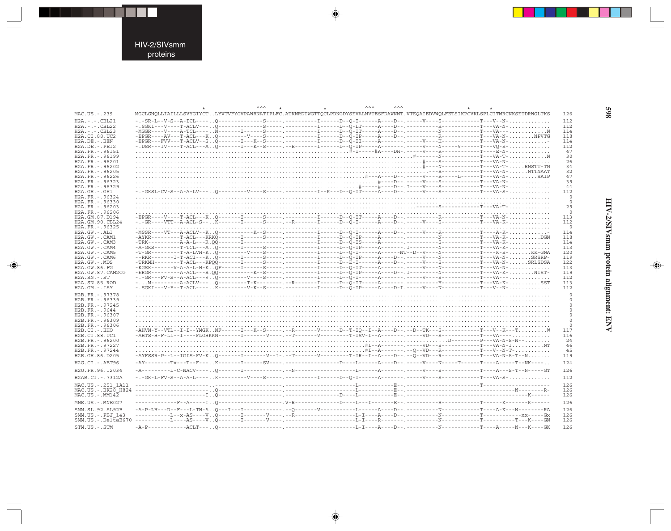⊕

|                      | $\wedge \wedge \wedge$ | $\wedge \wedge \wedge$ | <b>AAA</b> |                                                                                                                                                                                                                                                                                                                                                                            |
|----------------------|------------------------|------------------------|------------|----------------------------------------------------------------------------------------------------------------------------------------------------------------------------------------------------------------------------------------------------------------------------------------------------------------------------------------------------------------------------|
| MAC.US.-.239         |                        |                        |            | MGCLGNOLLIAILLLSVYGIYCTLYVTVFYGVPAWRNATIPLFC.ATKNRDTWGTTOCLPDNGDYSEVALNVTESFDAWNNT.VTEOAIEDVWOLFETSIKPCVKLSPLCITMRCNKSETDRWGLTKS                                                                                                                                                                                                                                           |
| $H2A. - . - . CBL21$ |                        |                        |            | -.-SR-L--V-S--A-ICL----0------------S----------------I------D-0-I------A----D--.-----V---S------------T---V--N-                                                                                                                                                                                                                                                            |
| $H2A. - . - . CBL22$ |                        |                        |            |                                                                                                                                                                                                                                                                                                                                                                            |
| $H2A. - . - . CBL23$ |                        |                        |            |                                                                                                                                                                                                                                                                                                                                                                            |
| H2A.CI.88.UC2        |                        |                        |            | -EPGR----AV---T-ACL---KQ---------V----S-----.----------I-----D--Q-IP-----A----D--.--------------------T---VA-N-NPVTG                                                                                                                                                                                                                                                       |
| $H2A.DE. - .BEN$     |                        |                        |            | -EPGR---FVV---T-ACLV--SQ-------I---K--S----- .----------I-----D--Q-II-----A-------- .-----V---H------------T---VA-N-                                                                                                                                                                                                                                                       |
| $H2A.DE. - .PEI2$    |                        |                        |            |                                                                                                                                                                                                                                                                                                                                                                            |
| H2A.FR. - . 96151    |                        |                        |            |                                                                                                                                                                                                                                                                                                                                                                            |
| H2A. FR. - . 96199   |                        |                        |            |                                                                                                                                                                                                                                                                                                                                                                            |
| H2A.FR. - . 96201    |                        |                        |            |                                                                                                                                                                                                                                                                                                                                                                            |
| H2A.FR. - . 96202    |                        |                        |            |                                                                                                                                                                                                                                                                                                                                                                            |
| H2A.FR. - . 96205    |                        |                        |            |                                                                                                                                                                                                                                                                                                                                                                            |
| H2A.FR. - .96226     |                        |                        |            |                                                                                                                                                                                                                                                                                                                                                                            |
| H2A.FR. - . 96323    |                        |                        |            |                                                                                                                                                                                                                                                                                                                                                                            |
| H2A.FR. - . 96329    |                        |                        |            |                                                                                                                                                                                                                                                                                                                                                                            |
| $H2A.GH.-.GH1$       |                        |                        |            |                                                                                                                                                                                                                                                                                                                                                                            |
| H2A.FR. - . 96324    |                        |                        |            |                                                                                                                                                                                                                                                                                                                                                                            |
| H2A.FR. - . 96330    |                        |                        |            |                                                                                                                                                                                                                                                                                                                                                                            |
| H2A.FR. - . 96203    |                        |                        |            |                                                                                                                                                                                                                                                                                                                                                                            |
| H2A.FR. - . 96206    |                        |                        |            |                                                                                                                                                                                                                                                                                                                                                                            |
| H2A.GM.87.D194       |                        |                        |            | -EPGR----V----T-ACL---K0-------I------S-----.-----------I-----D--0-IT-----A---D--.--------------------T---VA-N-                                                                                                                                                                                                                                                            |
| H2A.GM.90.CBL24      |                        |                        |            | -.-GR----VTT--A-ACL-S--K-------I------S-----.--R-------I-----D--O-I------A---D--.-----V----S---------------T---VA-K-                                                                                                                                                                                                                                                       |
| H2A.FR. - . 96325    |                        |                        |            |                                                                                                                                                                                                                                                                                                                                                                            |
| $H2A.GW. - .ALI$     |                        |                        |            | -MSSR----VT---A-ACLV--K0------------K--S-----. -----------I-----D--0-I------A----D--.-----V----R----------T----A-K-                                                                                                                                                                                                                                                        |
| H2A.GW.-.CAM1        |                        |                        |            |                                                                                                                                                                                                                                                                                                                                                                            |
| H2A.GW.-.CAM3        |                        |                        |            |                                                                                                                                                                                                                                                                                                                                                                            |
| H2A.GW.-.CAM4        |                        |                        |            | -A-GKS--------T-TCL---A0-------I------S-----.----------I------D--0-IP-----A--------. I------------------T---VA-K-                                                                                                                                                                                                                                                          |
| H2A.GW.-.CAM5        |                        |                        |            |                                                                                                                                                                                                                                                                                                                                                                            |
| H2A.GW.-.CAM6        |                        |                        |            | --RKR-------I-T-ACI---K0-------I------S-----.---------I-----D--0-IP-----A----D--.--------------------T---VA-N-SRSRP-                                                                                                                                                                                                                                                       |
| $H2A.GW. - .MDS$     |                        |                        |            | -TRKMH--------T-ACL---KPOO-------I-----S-----.----------I-----D--E-I-----A----D--.-----V---S----------T---VA-N-SRLSDSA                                                                                                                                                                                                                                                     |
| H2A.GW.86.FG         |                        |                        |            | -KGSK--------V-A-A-L-H-KOF------I------S-----.----------I------D--O-IT-----A--------------------------T---VA-N-                                                                                                                                                                                                                                                            |
| H2A.GW.87.CAM2CG     |                        |                        |            | -ERGR---------A-ACL---R.00-----------K--S-----.-----------I-----D--0-IP-----A----D--.I-----------------------T---VA-K-NIST-                                                                                                                                                                                                                                                |
| $H2A.SN.-.ST$        |                        |                        |            |                                                                                                                                                                                                                                                                                                                                                                            |
| H2A.SN.85.ROD        |                        |                        |            | -M----------A-ACLV---Q----------T-K---------.--R-------I-----D--Q-IT-----A-------.------H------------T---VA-K-SST                                                                                                                                                                                                                                                          |
| H2A.GM.-.ISY         |                        |                        |            |                                                                                                                                                                                                                                                                                                                                                                            |
| H2B.FR. - . 97378    |                        |                        |            |                                                                                                                                                                                                                                                                                                                                                                            |
| H2B.FR. - . 96339    |                        |                        |            |                                                                                                                                                                                                                                                                                                                                                                            |
| H2B.FR. - . 97245    |                        |                        |            |                                                                                                                                                                                                                                                                                                                                                                            |
| H2B.FR. - . 9644     |                        |                        |            |                                                                                                                                                                                                                                                                                                                                                                            |
| H2B.FR. - . 96307    |                        |                        |            |                                                                                                                                                                                                                                                                                                                                                                            |
| H2B.FR. - . 96309    |                        |                        |            |                                                                                                                                                                                                                                                                                                                                                                            |
| H2B.FR. - . 96306    |                        |                        |            |                                                                                                                                                                                                                                                                                                                                                                            |
| H2B.CI.-.EHO         |                        |                        |            | -AHVN-Y--VTL--I-I--YMGKNF------I---K--S-----.--R-------V-----D--T-IQ--I--A---D--.--D--TK---S------------T---V--K---TW                                                                                                                                                                                                                                                      |
| H2B.CI.88.UC1        |                        |                        |            | -AHTS-H-F-LL--I----FLGHKKN-------I-------V----.--T------V--------T-ISV-I--A-------.----VD---S------------T---VA----                                                                                                                                                                                                                                                        |
| H2B.FR. - . 96200    |                        |                        |            |                                                                                                                                                                                                                                                                                                                                                                            |
| H2B.FR. - . 97227    |                        |                        |            |                                                                                                                                                                                                                                                                                                                                                                            |
| H2B.FR. - . 97244    |                        |                        |            |                                                                                                                                                                                                                                                                                                                                                                            |
| H2B.GH.86.D205       |                        |                        |            | -AYFSSR-P--L--IGIS-FV-K0-------I--------V--I-.--T-------V--------T-IR--I--A----D--.--O--VD---R-------------T---VA-N-S-T--N                                                                                                                                                                                                                                                 |
| H2G.CI. - . ABT96    |                        |                        |            | $\hbox{-AY--}{--}-\hbox{-Y--}-\hbox{-Y--}+--\hbox{-X--}--\hbox{-X--}--\hbox{-X--}--\hbox{-X--}--\hbox{-X--}--\hbox{-X--}--\hbox{-X--}--\hbox{-X--}--\hbox{-X--}--\hbox{-X--}--\hbox{-X--}--\hbox{-X--}--\hbox{-X--}--\hbox{-X--}--\hbox{-X--}--\hbox{-X--}--\hbox{-X--}--\hbox{-X--}--\hbox{-X--}--\hbox{-X--}--\hbox{-X--}--\hbox{-X--}--\hbox{-X--}--\hbox{-X--}--\hbox$ |
| H2U.FR.96.12034      |                        |                        |            |                                                                                                                                                                                                                                                                                                                                                                            |
| H2AB.CI. - . 7312A   |                        |                        |            |                                                                                                                                                                                                                                                                                                                                                                            |
| MAC.US. - . 251 1A11 |                        |                        |            |                                                                                                                                                                                                                                                                                                                                                                            |
|                      |                        |                        |            |                                                                                                                                                                                                                                                                                                                                                                            |
|                      |                        |                        |            |                                                                                                                                                                                                                                                                                                                                                                            |
| $MAC. US. - . MM142$ |                        |                        |            |                                                                                                                                                                                                                                                                                                                                                                            |
| MNE.US. - . MNE027   |                        |                        |            |                                                                                                                                                                                                                                                                                                                                                                            |
| SMM.SL.92.SL92B      |                        |                        |            |                                                                                                                                                                                                                                                                                                                                                                            |
| SMM.US.-.PBJ 143     |                        |                        |            |                                                                                                                                                                                                                                                                                                                                                                            |
|                      |                        |                        |            |                                                                                                                                                                                                                                                                                                                                                                            |
| STM.US.-.STM         |                        |                        |            |                                                                                                                                                                                                                                                                                                                                                                            |

◈

◈

### **598**

HIV-2/SIVsmm protein alignment: ENV

◈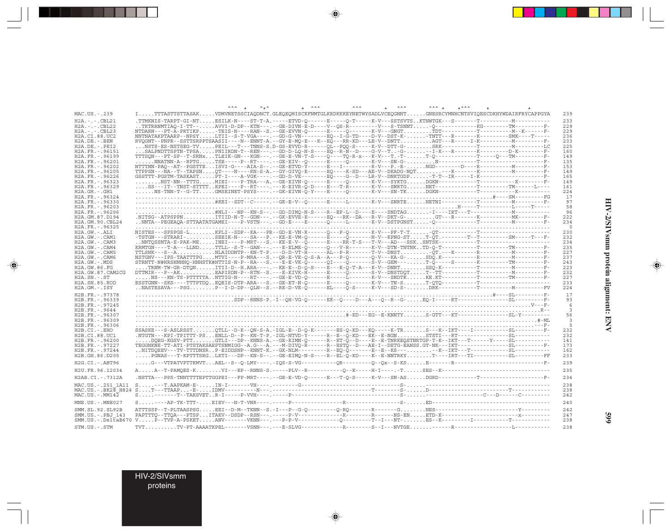| ITTTASTTSTTASAKVDMVNETSSCIAODNCT.GLEOEOMISCKFNMTGLKRDKKKEYNETWYSADLVCEOGNNTGNESRCYMNHCNTSVIOESCDKHYWDAIRFRYCAPPGYA<br>MAC.US.-.239<br>239<br>.TTMKNIS-TARPT-GI-NTESILK-N----ST-T-A.-----ETVD-0------E-----0-T-----K-V---SSTSVTSKTNWTGK---S-------T---------------M----------<br>$H2A. - . - . CBL21$<br>233<br>TKTRRNMTIAO-I-TT--AVVI-D-DP--KTN---.--GE-DIVN-E-D----V--OS-R---------V---S-TSNNT-O-------------KG--------TM--------------<br>$H2A. - . - . CBL22$<br>229<br>NTDARN---PT-A-PRTIKP-TEIS-N----RAN--S.--GE-EVVN-0------E-----0-------K-V---GNGTTDT----------T---------M--K------F-<br>229<br>$H2A. - . - . CBL23$<br>NNTNATAKPTAARP--NPSYLTII--S-T-VGA----.--GD-G-VN--------EO--I-G-TD----D-V--DST-K--TNTT---R------K-------SMK----T----<br>H2A.CI.88.UC2<br>236<br>$H2A.DE. -.BEN$<br>233<br>NSTS-ES-NSTSEG-TVPEIL---T---TNNS-S.D-GS-EVVD-R------QL--POO-S-----K-V--DTT-G-SRK----------T--------------M--------LC<br>$H2A.DE. - .PEI2$<br>225<br>SALPNDTTSPTN-TPSAPNIIRDN-T--REN---.--GD-D-LQ-N-S----EQ--R-N--D----G-V--TG--I-K---R------K-------D-K--------F-<br>H2A.FR. - . 96151<br>160<br>TTTSON---PT-SP--T-SRNxTLEIK-GN---KGN---.--GE-E-VN-T-S----O----TO-R-x---K-V---T.-T-T-O--------------T-----O---TM---------F-<br>H2A.FR. - . 96199<br>149<br>H2A.FR. - . 96201<br>135<br>H2A.FR. - . 96202<br>153<br>H2A.FR. - . 96205<br>149<br>$GSSTTT-PGSTM-TABLEASSRST$ $\tilde{p}T-I---A-VGK---S-S-D-D-V\bar{E}---S-\tilde{G}---B-P---LR-V--DNKTGDP-T-T--IR---I-K----------------F-$<br>H2A.FR. - . 96226<br>165<br>H2A.FR. - . 96323<br>149<br>SS---IT--TNST-STTTTKPEI----P--RT----.---E-EIVR-O-D----E---T-R-------K-V---SNRTGNET--------------T---------TM------L----<br>161<br>H2A.FR. - . 96329<br>224<br>$H2A.GH.-.GH1$<br>H2A.FR. - . 96324<br>17<br>#KEI--SDT--C-----.--GE-E-V--O------E-----L--------K-V---SNRTENETNI-----------T---------------F-<br>97<br>H2A.FR. - . 96330<br>H2A.FR. - . 96203<br>58<br>H2A.FR. - .96206<br>96<br>H2A.GM.87.D194<br>222<br>H2A.GM.90.CBL24<br>234<br>H2A.FR. - . 96325<br>$\Omega$<br>H2A.GW.-.ALI<br>230<br>H2A.GW.-.CAM1<br>232<br>H2A.GW.-.CAM3<br>234<br>KRMTGN----T-A---LLNDTTLL--S-T--GAN---.---E-ELME-O------O---V-R-------K-V--DTN-TNTNKTD-O-T---------T---------TM--------F-<br>$H2A.GW. - . CAM4$<br>235<br>$H2A.GW. - . CAM5$<br>227<br>H2A.GW.-.CAM6<br>237<br>STRNTT-N#HRSHNHNQ-HNHSTK#NTTIS-N-P--RA---S.---E-E-VK-Q------QI----O-------S-V--GEM---T-O----S-------K---------TM---------F-<br>H2A.GW.-.MDS<br>243<br>TRNM-TW-GR-DTONITII-D--H.ARA----.--KE-E--D-Õ-S----Ē---R-Õ-T-A---K-V--DNNTSSÕ-K----------T----------M---------F-<br>223<br>H2A.GW.86.FG<br>232<br>H2A.GW.87.CAM2CG<br>NS---KN-TS-PTTTTTANTTIG-N----RT----.-GE-E-VD-0------E-----L-------K-V---SNDTKKE.KT----------T---------TM---------F-<br>227<br>$H2A.SN.-.ST$<br>233<br>H <sub>2</sub> A.SN.85.ROD<br>H2A.GM.-.ISY<br>224<br>17<br>H2B.FR. - . 97378<br>93<br>H2B.FR. - . 96339<br>H2B.FR. - . 97245<br>H2B.FR. - . 9644<br>H2B.FR. - . 96307<br>56<br>H2B.FR. - . 96309<br>H2B.FR. - . 96306<br>SSASKE---S-ASLRSSTOTLL--D-K--ON-S-A.-IGL-E--D-O-K-------ES-O-KD---KO-----K-TRS---K--IKT----I----------SL---------F-<br>$H2B.CI.-.EHO$<br>232<br>.NTGTN---KPI-TPITTT-PSENLL-D--P--KN-T-P.-IGL-NTVD-Y------R--B--Õ-KD---EK--E-NGNSTSTI---RT--------------SL-----------------<br>H2B.CI.88.UC1<br>232<br>DOEG-KGSV-PTTGTLI---DP--KNNS-A.--GE-KIMN-O------R--ET-O--D----E--E-TNRKEOSTNRTGP-T-K--IKT---T-----Y-----SL----------<br>H2B.FR. - . 96200<br>141<br>TEGGNKNE-TT-ATI-PTSTAKSAEPTSNMIGG--A.G---A.---M-DIVQ-R-----R--ESTQ--D---AE-I--DETG-EANSS.GT-NK---IKT-------------SL--------F-<br>H2B.FR. - . 97227<br>173<br>$\label{thm:main} \begin{minipage}[t]{0.9\textwidth} \begin{minipage}[t]{0.9\textwidth} \begin{minipage}[t]{0.9\textwidth} \begin{minipage}[t]{0.9\textwidth} \begin{minipage}[t]{0.9\textwidth} \begin{minipage}[t]{0.9\textwidth} \begin{minipage}[t]{0.9\textwidth} \begin{minipage}[t]{0.9\textwidth} \begin{minipage}[t]{0.9\textwidth} \begin{minipage}[t]{0.9\textwidth} \begin{minipage}[t]{0.9\textwidth} \begin{minipage}[t]{0.9\textwidth} \begin{minipage}[t]{0.9\textwidth} \begin{min$<br>H2B.FR. - . 97244<br>162<br>$\ldots$ . PGNAS---T-KPTTTSRGLKTI---DP--KN-S--.--GE-EIMO-N-S----R--EL-O-KD----E--E-NNTRKYT----IRT---TI---------SL--------FF<br>H2B.GH.86.D205<br>233<br>239<br>H2G.CI.-.ABT96<br>H2U.FR.96.12034<br>235<br>.NSTTA---PPS-TNNTTTTEPTTGGPEI---FP-MRT----.--GE-E-VD-O------E---T-O-S-----K-V---SN-ASDGRD-----------T---------------------F-<br>H2AB.CI.-.7312A<br>234<br>238<br>MAC.US. - . 251 1A11<br>238<br>$MAC. US.-. MM142$<br>242<br>MNE.US.-.MNE027<br>240<br>242<br>SMM.SL.92.SL92B<br>247<br>SMM.US. - . PBJ 143<br>238<br>.TV-PT-AAAATKPEL-------VSNN---.---E-SLVG------------R-------S--I---NVTGE------R------------------<br>238<br>STM.US.-.STM |  | $\wedge \wedge \wedge$ | $\lambda_{\pm}$ | $+$ $\lambda \lambda \lambda$ |  | $\wedge \wedge \wedge$ | $\lambda \lambda \lambda$ | $*^{\wedge\wedge\wedge}$ |  |  |
|-------------------------------------------------------------------------------------------------------------------------------------------------------------------------------------------------------------------------------------------------------------------------------------------------------------------------------------------------------------------------------------------------------------------------------------------------------------------------------------------------------------------------------------------------------------------------------------------------------------------------------------------------------------------------------------------------------------------------------------------------------------------------------------------------------------------------------------------------------------------------------------------------------------------------------------------------------------------------------------------------------------------------------------------------------------------------------------------------------------------------------------------------------------------------------------------------------------------------------------------------------------------------------------------------------------------------------------------------------------------------------------------------------------------------------------------------------------------------------------------------------------------------------------------------------------------------------------------------------------------------------------------------------------------------------------------------------------------------------------------------------------------------------------------------------------------------------------------------------------------------------------------------------------------------------------------------------------------------------------------------------------------------------------------------------------------------------------------------------------------------------------------------------------------------------------------------------------------------------------------------------------------------------------------------------------------------------------------------------------------------------------------------------------------------------------------------------------------------------------------------------------------------------------------------------------------------------------------------------------------------------------------------------------------------------------------------------------------------------------------------------------------------------------------------------------------------------------------------------------------------------------------------------------------------------------------------------------------------------------------------------------------------------------------------------------------------------------------------------------------------------------------------------------------------------------------------------------------------------------------------------------------------------------------------------------------------------------------------------------------------------------------------------------------------------------------------------------------------------------------------------------------------------------------------------------------------------------------------------------------------------------------------------------------------------------------------------------------------------------------------------------------------------------------------------------------------------------------------------------------------------------------------------------------------------------------------------------------------------------------------------------------------------------------------------------------------------------------------------------------------------------------------------------------------------------------------------------------------------------------------------------------------------------------------------------------------------------------------------------------------------------------------------------------------------------------------------------------------------------------------------------------------------------------------------------------------------------------------------------------------------------------------------------------------------------------------------------------------------------------------------------------------------------------------------------------------------------------------------------------|--|------------------------|-----------------|-------------------------------|--|------------------------|---------------------------|--------------------------|--|--|
|                                                                                                                                                                                                                                                                                                                                                                                                                                                                                                                                                                                                                                                                                                                                                                                                                                                                                                                                                                                                                                                                                                                                                                                                                                                                                                                                                                                                                                                                                                                                                                                                                                                                                                                                                                                                                                                                                                                                                                                                                                                                                                                                                                                                                                                                                                                                                                                                                                                                                                                                                                                                                                                                                                                                                                                                                                                                                                                                                                                                                                                                                                                                                                                                                                                                                                                                                                                                                                                                                                                                                                                                                                                                                                                                                                                                                                                                                                                                                                                                                                                                                                                                                                                                                                                                                                                                                                                                                                                                                                                                                                                                                                                                                                                                                                                                                                                                   |  |                        |                 |                               |  |                        |                           |                          |  |  |
|                                                                                                                                                                                                                                                                                                                                                                                                                                                                                                                                                                                                                                                                                                                                                                                                                                                                                                                                                                                                                                                                                                                                                                                                                                                                                                                                                                                                                                                                                                                                                                                                                                                                                                                                                                                                                                                                                                                                                                                                                                                                                                                                                                                                                                                                                                                                                                                                                                                                                                                                                                                                                                                                                                                                                                                                                                                                                                                                                                                                                                                                                                                                                                                                                                                                                                                                                                                                                                                                                                                                                                                                                                                                                                                                                                                                                                                                                                                                                                                                                                                                                                                                                                                                                                                                                                                                                                                                                                                                                                                                                                                                                                                                                                                                                                                                                                                                   |  |                        |                 |                               |  |                        |                           |                          |  |  |
|                                                                                                                                                                                                                                                                                                                                                                                                                                                                                                                                                                                                                                                                                                                                                                                                                                                                                                                                                                                                                                                                                                                                                                                                                                                                                                                                                                                                                                                                                                                                                                                                                                                                                                                                                                                                                                                                                                                                                                                                                                                                                                                                                                                                                                                                                                                                                                                                                                                                                                                                                                                                                                                                                                                                                                                                                                                                                                                                                                                                                                                                                                                                                                                                                                                                                                                                                                                                                                                                                                                                                                                                                                                                                                                                                                                                                                                                                                                                                                                                                                                                                                                                                                                                                                                                                                                                                                                                                                                                                                                                                                                                                                                                                                                                                                                                                                                                   |  |                        |                 |                               |  |                        |                           |                          |  |  |
|                                                                                                                                                                                                                                                                                                                                                                                                                                                                                                                                                                                                                                                                                                                                                                                                                                                                                                                                                                                                                                                                                                                                                                                                                                                                                                                                                                                                                                                                                                                                                                                                                                                                                                                                                                                                                                                                                                                                                                                                                                                                                                                                                                                                                                                                                                                                                                                                                                                                                                                                                                                                                                                                                                                                                                                                                                                                                                                                                                                                                                                                                                                                                                                                                                                                                                                                                                                                                                                                                                                                                                                                                                                                                                                                                                                                                                                                                                                                                                                                                                                                                                                                                                                                                                                                                                                                                                                                                                                                                                                                                                                                                                                                                                                                                                                                                                                                   |  |                        |                 |                               |  |                        |                           |                          |  |  |
|                                                                                                                                                                                                                                                                                                                                                                                                                                                                                                                                                                                                                                                                                                                                                                                                                                                                                                                                                                                                                                                                                                                                                                                                                                                                                                                                                                                                                                                                                                                                                                                                                                                                                                                                                                                                                                                                                                                                                                                                                                                                                                                                                                                                                                                                                                                                                                                                                                                                                                                                                                                                                                                                                                                                                                                                                                                                                                                                                                                                                                                                                                                                                                                                                                                                                                                                                                                                                                                                                                                                                                                                                                                                                                                                                                                                                                                                                                                                                                                                                                                                                                                                                                                                                                                                                                                                                                                                                                                                                                                                                                                                                                                                                                                                                                                                                                                                   |  |                        |                 |                               |  |                        |                           |                          |  |  |
|                                                                                                                                                                                                                                                                                                                                                                                                                                                                                                                                                                                                                                                                                                                                                                                                                                                                                                                                                                                                                                                                                                                                                                                                                                                                                                                                                                                                                                                                                                                                                                                                                                                                                                                                                                                                                                                                                                                                                                                                                                                                                                                                                                                                                                                                                                                                                                                                                                                                                                                                                                                                                                                                                                                                                                                                                                                                                                                                                                                                                                                                                                                                                                                                                                                                                                                                                                                                                                                                                                                                                                                                                                                                                                                                                                                                                                                                                                                                                                                                                                                                                                                                                                                                                                                                                                                                                                                                                                                                                                                                                                                                                                                                                                                                                                                                                                                                   |  |                        |                 |                               |  |                        |                           |                          |  |  |
|                                                                                                                                                                                                                                                                                                                                                                                                                                                                                                                                                                                                                                                                                                                                                                                                                                                                                                                                                                                                                                                                                                                                                                                                                                                                                                                                                                                                                                                                                                                                                                                                                                                                                                                                                                                                                                                                                                                                                                                                                                                                                                                                                                                                                                                                                                                                                                                                                                                                                                                                                                                                                                                                                                                                                                                                                                                                                                                                                                                                                                                                                                                                                                                                                                                                                                                                                                                                                                                                                                                                                                                                                                                                                                                                                                                                                                                                                                                                                                                                                                                                                                                                                                                                                                                                                                                                                                                                                                                                                                                                                                                                                                                                                                                                                                                                                                                                   |  |                        |                 |                               |  |                        |                           |                          |  |  |
|                                                                                                                                                                                                                                                                                                                                                                                                                                                                                                                                                                                                                                                                                                                                                                                                                                                                                                                                                                                                                                                                                                                                                                                                                                                                                                                                                                                                                                                                                                                                                                                                                                                                                                                                                                                                                                                                                                                                                                                                                                                                                                                                                                                                                                                                                                                                                                                                                                                                                                                                                                                                                                                                                                                                                                                                                                                                                                                                                                                                                                                                                                                                                                                                                                                                                                                                                                                                                                                                                                                                                                                                                                                                                                                                                                                                                                                                                                                                                                                                                                                                                                                                                                                                                                                                                                                                                                                                                                                                                                                                                                                                                                                                                                                                                                                                                                                                   |  |                        |                 |                               |  |                        |                           |                          |  |  |
|                                                                                                                                                                                                                                                                                                                                                                                                                                                                                                                                                                                                                                                                                                                                                                                                                                                                                                                                                                                                                                                                                                                                                                                                                                                                                                                                                                                                                                                                                                                                                                                                                                                                                                                                                                                                                                                                                                                                                                                                                                                                                                                                                                                                                                                                                                                                                                                                                                                                                                                                                                                                                                                                                                                                                                                                                                                                                                                                                                                                                                                                                                                                                                                                                                                                                                                                                                                                                                                                                                                                                                                                                                                                                                                                                                                                                                                                                                                                                                                                                                                                                                                                                                                                                                                                                                                                                                                                                                                                                                                                                                                                                                                                                                                                                                                                                                                                   |  |                        |                 |                               |  |                        |                           |                          |  |  |
|                                                                                                                                                                                                                                                                                                                                                                                                                                                                                                                                                                                                                                                                                                                                                                                                                                                                                                                                                                                                                                                                                                                                                                                                                                                                                                                                                                                                                                                                                                                                                                                                                                                                                                                                                                                                                                                                                                                                                                                                                                                                                                                                                                                                                                                                                                                                                                                                                                                                                                                                                                                                                                                                                                                                                                                                                                                                                                                                                                                                                                                                                                                                                                                                                                                                                                                                                                                                                                                                                                                                                                                                                                                                                                                                                                                                                                                                                                                                                                                                                                                                                                                                                                                                                                                                                                                                                                                                                                                                                                                                                                                                                                                                                                                                                                                                                                                                   |  |                        |                 |                               |  |                        |                           |                          |  |  |
|                                                                                                                                                                                                                                                                                                                                                                                                                                                                                                                                                                                                                                                                                                                                                                                                                                                                                                                                                                                                                                                                                                                                                                                                                                                                                                                                                                                                                                                                                                                                                                                                                                                                                                                                                                                                                                                                                                                                                                                                                                                                                                                                                                                                                                                                                                                                                                                                                                                                                                                                                                                                                                                                                                                                                                                                                                                                                                                                                                                                                                                                                                                                                                                                                                                                                                                                                                                                                                                                                                                                                                                                                                                                                                                                                                                                                                                                                                                                                                                                                                                                                                                                                                                                                                                                                                                                                                                                                                                                                                                                                                                                                                                                                                                                                                                                                                                                   |  |                        |                 |                               |  |                        |                           |                          |  |  |
|                                                                                                                                                                                                                                                                                                                                                                                                                                                                                                                                                                                                                                                                                                                                                                                                                                                                                                                                                                                                                                                                                                                                                                                                                                                                                                                                                                                                                                                                                                                                                                                                                                                                                                                                                                                                                                                                                                                                                                                                                                                                                                                                                                                                                                                                                                                                                                                                                                                                                                                                                                                                                                                                                                                                                                                                                                                                                                                                                                                                                                                                                                                                                                                                                                                                                                                                                                                                                                                                                                                                                                                                                                                                                                                                                                                                                                                                                                                                                                                                                                                                                                                                                                                                                                                                                                                                                                                                                                                                                                                                                                                                                                                                                                                                                                                                                                                                   |  |                        |                 |                               |  |                        |                           |                          |  |  |
|                                                                                                                                                                                                                                                                                                                                                                                                                                                                                                                                                                                                                                                                                                                                                                                                                                                                                                                                                                                                                                                                                                                                                                                                                                                                                                                                                                                                                                                                                                                                                                                                                                                                                                                                                                                                                                                                                                                                                                                                                                                                                                                                                                                                                                                                                                                                                                                                                                                                                                                                                                                                                                                                                                                                                                                                                                                                                                                                                                                                                                                                                                                                                                                                                                                                                                                                                                                                                                                                                                                                                                                                                                                                                                                                                                                                                                                                                                                                                                                                                                                                                                                                                                                                                                                                                                                                                                                                                                                                                                                                                                                                                                                                                                                                                                                                                                                                   |  |                        |                 |                               |  |                        |                           |                          |  |  |
|                                                                                                                                                                                                                                                                                                                                                                                                                                                                                                                                                                                                                                                                                                                                                                                                                                                                                                                                                                                                                                                                                                                                                                                                                                                                                                                                                                                                                                                                                                                                                                                                                                                                                                                                                                                                                                                                                                                                                                                                                                                                                                                                                                                                                                                                                                                                                                                                                                                                                                                                                                                                                                                                                                                                                                                                                                                                                                                                                                                                                                                                                                                                                                                                                                                                                                                                                                                                                                                                                                                                                                                                                                                                                                                                                                                                                                                                                                                                                                                                                                                                                                                                                                                                                                                                                                                                                                                                                                                                                                                                                                                                                                                                                                                                                                                                                                                                   |  |                        |                 |                               |  |                        |                           |                          |  |  |
|                                                                                                                                                                                                                                                                                                                                                                                                                                                                                                                                                                                                                                                                                                                                                                                                                                                                                                                                                                                                                                                                                                                                                                                                                                                                                                                                                                                                                                                                                                                                                                                                                                                                                                                                                                                                                                                                                                                                                                                                                                                                                                                                                                                                                                                                                                                                                                                                                                                                                                                                                                                                                                                                                                                                                                                                                                                                                                                                                                                                                                                                                                                                                                                                                                                                                                                                                                                                                                                                                                                                                                                                                                                                                                                                                                                                                                                                                                                                                                                                                                                                                                                                                                                                                                                                                                                                                                                                                                                                                                                                                                                                                                                                                                                                                                                                                                                                   |  |                        |                 |                               |  |                        |                           |                          |  |  |
|                                                                                                                                                                                                                                                                                                                                                                                                                                                                                                                                                                                                                                                                                                                                                                                                                                                                                                                                                                                                                                                                                                                                                                                                                                                                                                                                                                                                                                                                                                                                                                                                                                                                                                                                                                                                                                                                                                                                                                                                                                                                                                                                                                                                                                                                                                                                                                                                                                                                                                                                                                                                                                                                                                                                                                                                                                                                                                                                                                                                                                                                                                                                                                                                                                                                                                                                                                                                                                                                                                                                                                                                                                                                                                                                                                                                                                                                                                                                                                                                                                                                                                                                                                                                                                                                                                                                                                                                                                                                                                                                                                                                                                                                                                                                                                                                                                                                   |  |                        |                 |                               |  |                        |                           |                          |  |  |
|                                                                                                                                                                                                                                                                                                                                                                                                                                                                                                                                                                                                                                                                                                                                                                                                                                                                                                                                                                                                                                                                                                                                                                                                                                                                                                                                                                                                                                                                                                                                                                                                                                                                                                                                                                                                                                                                                                                                                                                                                                                                                                                                                                                                                                                                                                                                                                                                                                                                                                                                                                                                                                                                                                                                                                                                                                                                                                                                                                                                                                                                                                                                                                                                                                                                                                                                                                                                                                                                                                                                                                                                                                                                                                                                                                                                                                                                                                                                                                                                                                                                                                                                                                                                                                                                                                                                                                                                                                                                                                                                                                                                                                                                                                                                                                                                                                                                   |  |                        |                 |                               |  |                        |                           |                          |  |  |
|                                                                                                                                                                                                                                                                                                                                                                                                                                                                                                                                                                                                                                                                                                                                                                                                                                                                                                                                                                                                                                                                                                                                                                                                                                                                                                                                                                                                                                                                                                                                                                                                                                                                                                                                                                                                                                                                                                                                                                                                                                                                                                                                                                                                                                                                                                                                                                                                                                                                                                                                                                                                                                                                                                                                                                                                                                                                                                                                                                                                                                                                                                                                                                                                                                                                                                                                                                                                                                                                                                                                                                                                                                                                                                                                                                                                                                                                                                                                                                                                                                                                                                                                                                                                                                                                                                                                                                                                                                                                                                                                                                                                                                                                                                                                                                                                                                                                   |  |                        |                 |                               |  |                        |                           |                          |  |  |
|                                                                                                                                                                                                                                                                                                                                                                                                                                                                                                                                                                                                                                                                                                                                                                                                                                                                                                                                                                                                                                                                                                                                                                                                                                                                                                                                                                                                                                                                                                                                                                                                                                                                                                                                                                                                                                                                                                                                                                                                                                                                                                                                                                                                                                                                                                                                                                                                                                                                                                                                                                                                                                                                                                                                                                                                                                                                                                                                                                                                                                                                                                                                                                                                                                                                                                                                                                                                                                                                                                                                                                                                                                                                                                                                                                                                                                                                                                                                                                                                                                                                                                                                                                                                                                                                                                                                                                                                                                                                                                                                                                                                                                                                                                                                                                                                                                                                   |  |                        |                 |                               |  |                        |                           |                          |  |  |
|                                                                                                                                                                                                                                                                                                                                                                                                                                                                                                                                                                                                                                                                                                                                                                                                                                                                                                                                                                                                                                                                                                                                                                                                                                                                                                                                                                                                                                                                                                                                                                                                                                                                                                                                                                                                                                                                                                                                                                                                                                                                                                                                                                                                                                                                                                                                                                                                                                                                                                                                                                                                                                                                                                                                                                                                                                                                                                                                                                                                                                                                                                                                                                                                                                                                                                                                                                                                                                                                                                                                                                                                                                                                                                                                                                                                                                                                                                                                                                                                                                                                                                                                                                                                                                                                                                                                                                                                                                                                                                                                                                                                                                                                                                                                                                                                                                                                   |  |                        |                 |                               |  |                        |                           |                          |  |  |
|                                                                                                                                                                                                                                                                                                                                                                                                                                                                                                                                                                                                                                                                                                                                                                                                                                                                                                                                                                                                                                                                                                                                                                                                                                                                                                                                                                                                                                                                                                                                                                                                                                                                                                                                                                                                                                                                                                                                                                                                                                                                                                                                                                                                                                                                                                                                                                                                                                                                                                                                                                                                                                                                                                                                                                                                                                                                                                                                                                                                                                                                                                                                                                                                                                                                                                                                                                                                                                                                                                                                                                                                                                                                                                                                                                                                                                                                                                                                                                                                                                                                                                                                                                                                                                                                                                                                                                                                                                                                                                                                                                                                                                                                                                                                                                                                                                                                   |  |                        |                 |                               |  |                        |                           |                          |  |  |
|                                                                                                                                                                                                                                                                                                                                                                                                                                                                                                                                                                                                                                                                                                                                                                                                                                                                                                                                                                                                                                                                                                                                                                                                                                                                                                                                                                                                                                                                                                                                                                                                                                                                                                                                                                                                                                                                                                                                                                                                                                                                                                                                                                                                                                                                                                                                                                                                                                                                                                                                                                                                                                                                                                                                                                                                                                                                                                                                                                                                                                                                                                                                                                                                                                                                                                                                                                                                                                                                                                                                                                                                                                                                                                                                                                                                                                                                                                                                                                                                                                                                                                                                                                                                                                                                                                                                                                                                                                                                                                                                                                                                                                                                                                                                                                                                                                                                   |  |                        |                 |                               |  |                        |                           |                          |  |  |
|                                                                                                                                                                                                                                                                                                                                                                                                                                                                                                                                                                                                                                                                                                                                                                                                                                                                                                                                                                                                                                                                                                                                                                                                                                                                                                                                                                                                                                                                                                                                                                                                                                                                                                                                                                                                                                                                                                                                                                                                                                                                                                                                                                                                                                                                                                                                                                                                                                                                                                                                                                                                                                                                                                                                                                                                                                                                                                                                                                                                                                                                                                                                                                                                                                                                                                                                                                                                                                                                                                                                                                                                                                                                                                                                                                                                                                                                                                                                                                                                                                                                                                                                                                                                                                                                                                                                                                                                                                                                                                                                                                                                                                                                                                                                                                                                                                                                   |  |                        |                 |                               |  |                        |                           |                          |  |  |
|                                                                                                                                                                                                                                                                                                                                                                                                                                                                                                                                                                                                                                                                                                                                                                                                                                                                                                                                                                                                                                                                                                                                                                                                                                                                                                                                                                                                                                                                                                                                                                                                                                                                                                                                                                                                                                                                                                                                                                                                                                                                                                                                                                                                                                                                                                                                                                                                                                                                                                                                                                                                                                                                                                                                                                                                                                                                                                                                                                                                                                                                                                                                                                                                                                                                                                                                                                                                                                                                                                                                                                                                                                                                                                                                                                                                                                                                                                                                                                                                                                                                                                                                                                                                                                                                                                                                                                                                                                                                                                                                                                                                                                                                                                                                                                                                                                                                   |  |                        |                 |                               |  |                        |                           |                          |  |  |
|                                                                                                                                                                                                                                                                                                                                                                                                                                                                                                                                                                                                                                                                                                                                                                                                                                                                                                                                                                                                                                                                                                                                                                                                                                                                                                                                                                                                                                                                                                                                                                                                                                                                                                                                                                                                                                                                                                                                                                                                                                                                                                                                                                                                                                                                                                                                                                                                                                                                                                                                                                                                                                                                                                                                                                                                                                                                                                                                                                                                                                                                                                                                                                                                                                                                                                                                                                                                                                                                                                                                                                                                                                                                                                                                                                                                                                                                                                                                                                                                                                                                                                                                                                                                                                                                                                                                                                                                                                                                                                                                                                                                                                                                                                                                                                                                                                                                   |  |                        |                 |                               |  |                        |                           |                          |  |  |
|                                                                                                                                                                                                                                                                                                                                                                                                                                                                                                                                                                                                                                                                                                                                                                                                                                                                                                                                                                                                                                                                                                                                                                                                                                                                                                                                                                                                                                                                                                                                                                                                                                                                                                                                                                                                                                                                                                                                                                                                                                                                                                                                                                                                                                                                                                                                                                                                                                                                                                                                                                                                                                                                                                                                                                                                                                                                                                                                                                                                                                                                                                                                                                                                                                                                                                                                                                                                                                                                                                                                                                                                                                                                                                                                                                                                                                                                                                                                                                                                                                                                                                                                                                                                                                                                                                                                                                                                                                                                                                                                                                                                                                                                                                                                                                                                                                                                   |  |                        |                 |                               |  |                        |                           |                          |  |  |
|                                                                                                                                                                                                                                                                                                                                                                                                                                                                                                                                                                                                                                                                                                                                                                                                                                                                                                                                                                                                                                                                                                                                                                                                                                                                                                                                                                                                                                                                                                                                                                                                                                                                                                                                                                                                                                                                                                                                                                                                                                                                                                                                                                                                                                                                                                                                                                                                                                                                                                                                                                                                                                                                                                                                                                                                                                                                                                                                                                                                                                                                                                                                                                                                                                                                                                                                                                                                                                                                                                                                                                                                                                                                                                                                                                                                                                                                                                                                                                                                                                                                                                                                                                                                                                                                                                                                                                                                                                                                                                                                                                                                                                                                                                                                                                                                                                                                   |  |                        |                 |                               |  |                        |                           |                          |  |  |
|                                                                                                                                                                                                                                                                                                                                                                                                                                                                                                                                                                                                                                                                                                                                                                                                                                                                                                                                                                                                                                                                                                                                                                                                                                                                                                                                                                                                                                                                                                                                                                                                                                                                                                                                                                                                                                                                                                                                                                                                                                                                                                                                                                                                                                                                                                                                                                                                                                                                                                                                                                                                                                                                                                                                                                                                                                                                                                                                                                                                                                                                                                                                                                                                                                                                                                                                                                                                                                                                                                                                                                                                                                                                                                                                                                                                                                                                                                                                                                                                                                                                                                                                                                                                                                                                                                                                                                                                                                                                                                                                                                                                                                                                                                                                                                                                                                                                   |  |                        |                 |                               |  |                        |                           |                          |  |  |
|                                                                                                                                                                                                                                                                                                                                                                                                                                                                                                                                                                                                                                                                                                                                                                                                                                                                                                                                                                                                                                                                                                                                                                                                                                                                                                                                                                                                                                                                                                                                                                                                                                                                                                                                                                                                                                                                                                                                                                                                                                                                                                                                                                                                                                                                                                                                                                                                                                                                                                                                                                                                                                                                                                                                                                                                                                                                                                                                                                                                                                                                                                                                                                                                                                                                                                                                                                                                                                                                                                                                                                                                                                                                                                                                                                                                                                                                                                                                                                                                                                                                                                                                                                                                                                                                                                                                                                                                                                                                                                                                                                                                                                                                                                                                                                                                                                                                   |  |                        |                 |                               |  |                        |                           |                          |  |  |
|                                                                                                                                                                                                                                                                                                                                                                                                                                                                                                                                                                                                                                                                                                                                                                                                                                                                                                                                                                                                                                                                                                                                                                                                                                                                                                                                                                                                                                                                                                                                                                                                                                                                                                                                                                                                                                                                                                                                                                                                                                                                                                                                                                                                                                                                                                                                                                                                                                                                                                                                                                                                                                                                                                                                                                                                                                                                                                                                                                                                                                                                                                                                                                                                                                                                                                                                                                                                                                                                                                                                                                                                                                                                                                                                                                                                                                                                                                                                                                                                                                                                                                                                                                                                                                                                                                                                                                                                                                                                                                                                                                                                                                                                                                                                                                                                                                                                   |  |                        |                 |                               |  |                        |                           |                          |  |  |
|                                                                                                                                                                                                                                                                                                                                                                                                                                                                                                                                                                                                                                                                                                                                                                                                                                                                                                                                                                                                                                                                                                                                                                                                                                                                                                                                                                                                                                                                                                                                                                                                                                                                                                                                                                                                                                                                                                                                                                                                                                                                                                                                                                                                                                                                                                                                                                                                                                                                                                                                                                                                                                                                                                                                                                                                                                                                                                                                                                                                                                                                                                                                                                                                                                                                                                                                                                                                                                                                                                                                                                                                                                                                                                                                                                                                                                                                                                                                                                                                                                                                                                                                                                                                                                                                                                                                                                                                                                                                                                                                                                                                                                                                                                                                                                                                                                                                   |  |                        |                 |                               |  |                        |                           |                          |  |  |
|                                                                                                                                                                                                                                                                                                                                                                                                                                                                                                                                                                                                                                                                                                                                                                                                                                                                                                                                                                                                                                                                                                                                                                                                                                                                                                                                                                                                                                                                                                                                                                                                                                                                                                                                                                                                                                                                                                                                                                                                                                                                                                                                                                                                                                                                                                                                                                                                                                                                                                                                                                                                                                                                                                                                                                                                                                                                                                                                                                                                                                                                                                                                                                                                                                                                                                                                                                                                                                                                                                                                                                                                                                                                                                                                                                                                                                                                                                                                                                                                                                                                                                                                                                                                                                                                                                                                                                                                                                                                                                                                                                                                                                                                                                                                                                                                                                                                   |  |                        |                 |                               |  |                        |                           |                          |  |  |
|                                                                                                                                                                                                                                                                                                                                                                                                                                                                                                                                                                                                                                                                                                                                                                                                                                                                                                                                                                                                                                                                                                                                                                                                                                                                                                                                                                                                                                                                                                                                                                                                                                                                                                                                                                                                                                                                                                                                                                                                                                                                                                                                                                                                                                                                                                                                                                                                                                                                                                                                                                                                                                                                                                                                                                                                                                                                                                                                                                                                                                                                                                                                                                                                                                                                                                                                                                                                                                                                                                                                                                                                                                                                                                                                                                                                                                                                                                                                                                                                                                                                                                                                                                                                                                                                                                                                                                                                                                                                                                                                                                                                                                                                                                                                                                                                                                                                   |  |                        |                 |                               |  |                        |                           |                          |  |  |
|                                                                                                                                                                                                                                                                                                                                                                                                                                                                                                                                                                                                                                                                                                                                                                                                                                                                                                                                                                                                                                                                                                                                                                                                                                                                                                                                                                                                                                                                                                                                                                                                                                                                                                                                                                                                                                                                                                                                                                                                                                                                                                                                                                                                                                                                                                                                                                                                                                                                                                                                                                                                                                                                                                                                                                                                                                                                                                                                                                                                                                                                                                                                                                                                                                                                                                                                                                                                                                                                                                                                                                                                                                                                                                                                                                                                                                                                                                                                                                                                                                                                                                                                                                                                                                                                                                                                                                                                                                                                                                                                                                                                                                                                                                                                                                                                                                                                   |  |                        |                 |                               |  |                        |                           |                          |  |  |
|                                                                                                                                                                                                                                                                                                                                                                                                                                                                                                                                                                                                                                                                                                                                                                                                                                                                                                                                                                                                                                                                                                                                                                                                                                                                                                                                                                                                                                                                                                                                                                                                                                                                                                                                                                                                                                                                                                                                                                                                                                                                                                                                                                                                                                                                                                                                                                                                                                                                                                                                                                                                                                                                                                                                                                                                                                                                                                                                                                                                                                                                                                                                                                                                                                                                                                                                                                                                                                                                                                                                                                                                                                                                                                                                                                                                                                                                                                                                                                                                                                                                                                                                                                                                                                                                                                                                                                                                                                                                                                                                                                                                                                                                                                                                                                                                                                                                   |  |                        |                 |                               |  |                        |                           |                          |  |  |
|                                                                                                                                                                                                                                                                                                                                                                                                                                                                                                                                                                                                                                                                                                                                                                                                                                                                                                                                                                                                                                                                                                                                                                                                                                                                                                                                                                                                                                                                                                                                                                                                                                                                                                                                                                                                                                                                                                                                                                                                                                                                                                                                                                                                                                                                                                                                                                                                                                                                                                                                                                                                                                                                                                                                                                                                                                                                                                                                                                                                                                                                                                                                                                                                                                                                                                                                                                                                                                                                                                                                                                                                                                                                                                                                                                                                                                                                                                                                                                                                                                                                                                                                                                                                                                                                                                                                                                                                                                                                                                                                                                                                                                                                                                                                                                                                                                                                   |  |                        |                 |                               |  |                        |                           |                          |  |  |
|                                                                                                                                                                                                                                                                                                                                                                                                                                                                                                                                                                                                                                                                                                                                                                                                                                                                                                                                                                                                                                                                                                                                                                                                                                                                                                                                                                                                                                                                                                                                                                                                                                                                                                                                                                                                                                                                                                                                                                                                                                                                                                                                                                                                                                                                                                                                                                                                                                                                                                                                                                                                                                                                                                                                                                                                                                                                                                                                                                                                                                                                                                                                                                                                                                                                                                                                                                                                                                                                                                                                                                                                                                                                                                                                                                                                                                                                                                                                                                                                                                                                                                                                                                                                                                                                                                                                                                                                                                                                                                                                                                                                                                                                                                                                                                                                                                                                   |  |                        |                 |                               |  |                        |                           |                          |  |  |
|                                                                                                                                                                                                                                                                                                                                                                                                                                                                                                                                                                                                                                                                                                                                                                                                                                                                                                                                                                                                                                                                                                                                                                                                                                                                                                                                                                                                                                                                                                                                                                                                                                                                                                                                                                                                                                                                                                                                                                                                                                                                                                                                                                                                                                                                                                                                                                                                                                                                                                                                                                                                                                                                                                                                                                                                                                                                                                                                                                                                                                                                                                                                                                                                                                                                                                                                                                                                                                                                                                                                                                                                                                                                                                                                                                                                                                                                                                                                                                                                                                                                                                                                                                                                                                                                                                                                                                                                                                                                                                                                                                                                                                                                                                                                                                                                                                                                   |  |                        |                 |                               |  |                        |                           |                          |  |  |
|                                                                                                                                                                                                                                                                                                                                                                                                                                                                                                                                                                                                                                                                                                                                                                                                                                                                                                                                                                                                                                                                                                                                                                                                                                                                                                                                                                                                                                                                                                                                                                                                                                                                                                                                                                                                                                                                                                                                                                                                                                                                                                                                                                                                                                                                                                                                                                                                                                                                                                                                                                                                                                                                                                                                                                                                                                                                                                                                                                                                                                                                                                                                                                                                                                                                                                                                                                                                                                                                                                                                                                                                                                                                                                                                                                                                                                                                                                                                                                                                                                                                                                                                                                                                                                                                                                                                                                                                                                                                                                                                                                                                                                                                                                                                                                                                                                                                   |  |                        |                 |                               |  |                        |                           |                          |  |  |
|                                                                                                                                                                                                                                                                                                                                                                                                                                                                                                                                                                                                                                                                                                                                                                                                                                                                                                                                                                                                                                                                                                                                                                                                                                                                                                                                                                                                                                                                                                                                                                                                                                                                                                                                                                                                                                                                                                                                                                                                                                                                                                                                                                                                                                                                                                                                                                                                                                                                                                                                                                                                                                                                                                                                                                                                                                                                                                                                                                                                                                                                                                                                                                                                                                                                                                                                                                                                                                                                                                                                                                                                                                                                                                                                                                                                                                                                                                                                                                                                                                                                                                                                                                                                                                                                                                                                                                                                                                                                                                                                                                                                                                                                                                                                                                                                                                                                   |  |                        |                 |                               |  |                        |                           |                          |  |  |
|                                                                                                                                                                                                                                                                                                                                                                                                                                                                                                                                                                                                                                                                                                                                                                                                                                                                                                                                                                                                                                                                                                                                                                                                                                                                                                                                                                                                                                                                                                                                                                                                                                                                                                                                                                                                                                                                                                                                                                                                                                                                                                                                                                                                                                                                                                                                                                                                                                                                                                                                                                                                                                                                                                                                                                                                                                                                                                                                                                                                                                                                                                                                                                                                                                                                                                                                                                                                                                                                                                                                                                                                                                                                                                                                                                                                                                                                                                                                                                                                                                                                                                                                                                                                                                                                                                                                                                                                                                                                                                                                                                                                                                                                                                                                                                                                                                                                   |  |                        |                 |                               |  |                        |                           |                          |  |  |
|                                                                                                                                                                                                                                                                                                                                                                                                                                                                                                                                                                                                                                                                                                                                                                                                                                                                                                                                                                                                                                                                                                                                                                                                                                                                                                                                                                                                                                                                                                                                                                                                                                                                                                                                                                                                                                                                                                                                                                                                                                                                                                                                                                                                                                                                                                                                                                                                                                                                                                                                                                                                                                                                                                                                                                                                                                                                                                                                                                                                                                                                                                                                                                                                                                                                                                                                                                                                                                                                                                                                                                                                                                                                                                                                                                                                                                                                                                                                                                                                                                                                                                                                                                                                                                                                                                                                                                                                                                                                                                                                                                                                                                                                                                                                                                                                                                                                   |  |                        |                 |                               |  |                        |                           |                          |  |  |
|                                                                                                                                                                                                                                                                                                                                                                                                                                                                                                                                                                                                                                                                                                                                                                                                                                                                                                                                                                                                                                                                                                                                                                                                                                                                                                                                                                                                                                                                                                                                                                                                                                                                                                                                                                                                                                                                                                                                                                                                                                                                                                                                                                                                                                                                                                                                                                                                                                                                                                                                                                                                                                                                                                                                                                                                                                                                                                                                                                                                                                                                                                                                                                                                                                                                                                                                                                                                                                                                                                                                                                                                                                                                                                                                                                                                                                                                                                                                                                                                                                                                                                                                                                                                                                                                                                                                                                                                                                                                                                                                                                                                                                                                                                                                                                                                                                                                   |  |                        |                 |                               |  |                        |                           |                          |  |  |
|                                                                                                                                                                                                                                                                                                                                                                                                                                                                                                                                                                                                                                                                                                                                                                                                                                                                                                                                                                                                                                                                                                                                                                                                                                                                                                                                                                                                                                                                                                                                                                                                                                                                                                                                                                                                                                                                                                                                                                                                                                                                                                                                                                                                                                                                                                                                                                                                                                                                                                                                                                                                                                                                                                                                                                                                                                                                                                                                                                                                                                                                                                                                                                                                                                                                                                                                                                                                                                                                                                                                                                                                                                                                                                                                                                                                                                                                                                                                                                                                                                                                                                                                                                                                                                                                                                                                                                                                                                                                                                                                                                                                                                                                                                                                                                                                                                                                   |  |                        |                 |                               |  |                        |                           |                          |  |  |
|                                                                                                                                                                                                                                                                                                                                                                                                                                                                                                                                                                                                                                                                                                                                                                                                                                                                                                                                                                                                                                                                                                                                                                                                                                                                                                                                                                                                                                                                                                                                                                                                                                                                                                                                                                                                                                                                                                                                                                                                                                                                                                                                                                                                                                                                                                                                                                                                                                                                                                                                                                                                                                                                                                                                                                                                                                                                                                                                                                                                                                                                                                                                                                                                                                                                                                                                                                                                                                                                                                                                                                                                                                                                                                                                                                                                                                                                                                                                                                                                                                                                                                                                                                                                                                                                                                                                                                                                                                                                                                                                                                                                                                                                                                                                                                                                                                                                   |  |                        |                 |                               |  |                        |                           |                          |  |  |
|                                                                                                                                                                                                                                                                                                                                                                                                                                                                                                                                                                                                                                                                                                                                                                                                                                                                                                                                                                                                                                                                                                                                                                                                                                                                                                                                                                                                                                                                                                                                                                                                                                                                                                                                                                                                                                                                                                                                                                                                                                                                                                                                                                                                                                                                                                                                                                                                                                                                                                                                                                                                                                                                                                                                                                                                                                                                                                                                                                                                                                                                                                                                                                                                                                                                                                                                                                                                                                                                                                                                                                                                                                                                                                                                                                                                                                                                                                                                                                                                                                                                                                                                                                                                                                                                                                                                                                                                                                                                                                                                                                                                                                                                                                                                                                                                                                                                   |  |                        |                 |                               |  |                        |                           |                          |  |  |
|                                                                                                                                                                                                                                                                                                                                                                                                                                                                                                                                                                                                                                                                                                                                                                                                                                                                                                                                                                                                                                                                                                                                                                                                                                                                                                                                                                                                                                                                                                                                                                                                                                                                                                                                                                                                                                                                                                                                                                                                                                                                                                                                                                                                                                                                                                                                                                                                                                                                                                                                                                                                                                                                                                                                                                                                                                                                                                                                                                                                                                                                                                                                                                                                                                                                                                                                                                                                                                                                                                                                                                                                                                                                                                                                                                                                                                                                                                                                                                                                                                                                                                                                                                                                                                                                                                                                                                                                                                                                                                                                                                                                                                                                                                                                                                                                                                                                   |  |                        |                 |                               |  |                        |                           |                          |  |  |
|                                                                                                                                                                                                                                                                                                                                                                                                                                                                                                                                                                                                                                                                                                                                                                                                                                                                                                                                                                                                                                                                                                                                                                                                                                                                                                                                                                                                                                                                                                                                                                                                                                                                                                                                                                                                                                                                                                                                                                                                                                                                                                                                                                                                                                                                                                                                                                                                                                                                                                                                                                                                                                                                                                                                                                                                                                                                                                                                                                                                                                                                                                                                                                                                                                                                                                                                                                                                                                                                                                                                                                                                                                                                                                                                                                                                                                                                                                                                                                                                                                                                                                                                                                                                                                                                                                                                                                                                                                                                                                                                                                                                                                                                                                                                                                                                                                                                   |  |                        |                 |                               |  |                        |                           |                          |  |  |
|                                                                                                                                                                                                                                                                                                                                                                                                                                                                                                                                                                                                                                                                                                                                                                                                                                                                                                                                                                                                                                                                                                                                                                                                                                                                                                                                                                                                                                                                                                                                                                                                                                                                                                                                                                                                                                                                                                                                                                                                                                                                                                                                                                                                                                                                                                                                                                                                                                                                                                                                                                                                                                                                                                                                                                                                                                                                                                                                                                                                                                                                                                                                                                                                                                                                                                                                                                                                                                                                                                                                                                                                                                                                                                                                                                                                                                                                                                                                                                                                                                                                                                                                                                                                                                                                                                                                                                                                                                                                                                                                                                                                                                                                                                                                                                                                                                                                   |  |                        |                 |                               |  |                        |                           |                          |  |  |
|                                                                                                                                                                                                                                                                                                                                                                                                                                                                                                                                                                                                                                                                                                                                                                                                                                                                                                                                                                                                                                                                                                                                                                                                                                                                                                                                                                                                                                                                                                                                                                                                                                                                                                                                                                                                                                                                                                                                                                                                                                                                                                                                                                                                                                                                                                                                                                                                                                                                                                                                                                                                                                                                                                                                                                                                                                                                                                                                                                                                                                                                                                                                                                                                                                                                                                                                                                                                                                                                                                                                                                                                                                                                                                                                                                                                                                                                                                                                                                                                                                                                                                                                                                                                                                                                                                                                                                                                                                                                                                                                                                                                                                                                                                                                                                                                                                                                   |  |                        |                 |                               |  |                        |                           |                          |  |  |
|                                                                                                                                                                                                                                                                                                                                                                                                                                                                                                                                                                                                                                                                                                                                                                                                                                                                                                                                                                                                                                                                                                                                                                                                                                                                                                                                                                                                                                                                                                                                                                                                                                                                                                                                                                                                                                                                                                                                                                                                                                                                                                                                                                                                                                                                                                                                                                                                                                                                                                                                                                                                                                                                                                                                                                                                                                                                                                                                                                                                                                                                                                                                                                                                                                                                                                                                                                                                                                                                                                                                                                                                                                                                                                                                                                                                                                                                                                                                                                                                                                                                                                                                                                                                                                                                                                                                                                                                                                                                                                                                                                                                                                                                                                                                                                                                                                                                   |  |                        |                 |                               |  |                        |                           |                          |  |  |
|                                                                                                                                                                                                                                                                                                                                                                                                                                                                                                                                                                                                                                                                                                                                                                                                                                                                                                                                                                                                                                                                                                                                                                                                                                                                                                                                                                                                                                                                                                                                                                                                                                                                                                                                                                                                                                                                                                                                                                                                                                                                                                                                                                                                                                                                                                                                                                                                                                                                                                                                                                                                                                                                                                                                                                                                                                                                                                                                                                                                                                                                                                                                                                                                                                                                                                                                                                                                                                                                                                                                                                                                                                                                                                                                                                                                                                                                                                                                                                                                                                                                                                                                                                                                                                                                                                                                                                                                                                                                                                                                                                                                                                                                                                                                                                                                                                                                   |  |                        |                 |                               |  |                        |                           |                          |  |  |
|                                                                                                                                                                                                                                                                                                                                                                                                                                                                                                                                                                                                                                                                                                                                                                                                                                                                                                                                                                                                                                                                                                                                                                                                                                                                                                                                                                                                                                                                                                                                                                                                                                                                                                                                                                                                                                                                                                                                                                                                                                                                                                                                                                                                                                                                                                                                                                                                                                                                                                                                                                                                                                                                                                                                                                                                                                                                                                                                                                                                                                                                                                                                                                                                                                                                                                                                                                                                                                                                                                                                                                                                                                                                                                                                                                                                                                                                                                                                                                                                                                                                                                                                                                                                                                                                                                                                                                                                                                                                                                                                                                                                                                                                                                                                                                                                                                                                   |  |                        |                 |                               |  |                        |                           |                          |  |  |
|                                                                                                                                                                                                                                                                                                                                                                                                                                                                                                                                                                                                                                                                                                                                                                                                                                                                                                                                                                                                                                                                                                                                                                                                                                                                                                                                                                                                                                                                                                                                                                                                                                                                                                                                                                                                                                                                                                                                                                                                                                                                                                                                                                                                                                                                                                                                                                                                                                                                                                                                                                                                                                                                                                                                                                                                                                                                                                                                                                                                                                                                                                                                                                                                                                                                                                                                                                                                                                                                                                                                                                                                                                                                                                                                                                                                                                                                                                                                                                                                                                                                                                                                                                                                                                                                                                                                                                                                                                                                                                                                                                                                                                                                                                                                                                                                                                                                   |  |                        |                 |                               |  |                        |                           |                          |  |  |
|                                                                                                                                                                                                                                                                                                                                                                                                                                                                                                                                                                                                                                                                                                                                                                                                                                                                                                                                                                                                                                                                                                                                                                                                                                                                                                                                                                                                                                                                                                                                                                                                                                                                                                                                                                                                                                                                                                                                                                                                                                                                                                                                                                                                                                                                                                                                                                                                                                                                                                                                                                                                                                                                                                                                                                                                                                                                                                                                                                                                                                                                                                                                                                                                                                                                                                                                                                                                                                                                                                                                                                                                                                                                                                                                                                                                                                                                                                                                                                                                                                                                                                                                                                                                                                                                                                                                                                                                                                                                                                                                                                                                                                                                                                                                                                                                                                                                   |  |                        |                 |                               |  |                        |                           |                          |  |  |

 $\Rightarrow$ 

 $\Rightarrow$ 

HIV-2/SIVsmm protein alignment: ENV **HIV-2/SIVsmm protein alignment: ENV**

 $\Rightarrow$ 

**599**

HIV-2/SIVsmm proteins

--

 $\Rightarrow$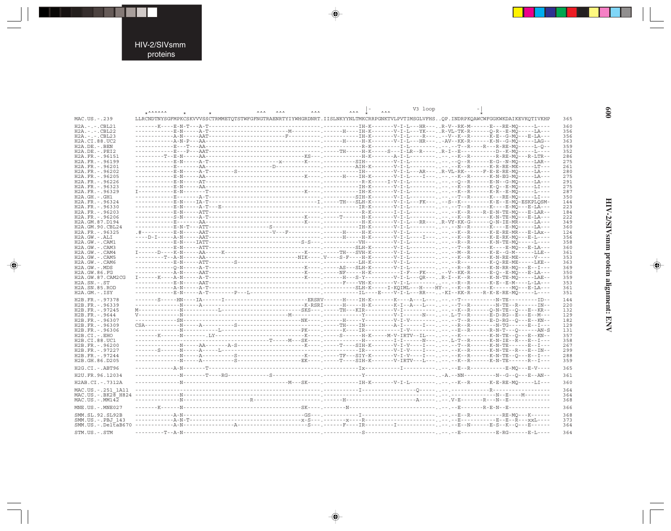. . .

 $\begin{picture}(20,5) \put(0,0){\line(1,0){10}} \put(15,0){\line(1,0){10}} \put(15,0){\line(1,0){10}} \put(15,0){\line(1,0){10}} \put(15,0){\line(1,0){10}} \put(15,0){\line(1,0){10}} \put(15,0){\line(1,0){10}} \put(15,0){\line(1,0){10}} \put(15,0){\line(1,0){10}} \put(15,0){\line(1,0){10}} \put(15,0){\line(1,0){10}} \put(15,0){\line(1,$ 

 $\frac{1}{\sqrt{2}}$ 

|                      |                                          |                                                                                                                                                                                                                                                                                                                                                                                                                                                                                                  | $\wedge\wedge\wedge$ | V3 loop<br>$\wedge \wedge \wedge$ |  |
|----------------------|------------------------------------------|--------------------------------------------------------------------------------------------------------------------------------------------------------------------------------------------------------------------------------------------------------------------------------------------------------------------------------------------------------------------------------------------------------------------------------------------------------------------------------------------------|----------------------|-----------------------------------|--|
|                      | $*$ $\wedge \wedge \wedge \wedge \wedge$ | <b>AAA</b><br><b>AAA</b><br><b>AAA</b>                                                                                                                                                                                                                                                                                                                                                                                                                                                           |                      |                                   |  |
| MAC.US. - . 239      |                                          | LLRCNDTNYSGFMPKCSKVVVSSCTRMMETOTSTWFGFNGTRAENRTYIYWHGRDNRT.IISLNKYYNLTMKCRRPGNKTVLPVTIMSGLVFHSOP.INDRPKOAWCWFGGKWKDAIKEVKOTIVKHP                                                                                                                                                                                                                                                                                                                                                                 |                      |                                   |  |
|                      |                                          |                                                                                                                                                                                                                                                                                                                                                                                                                                                                                                  |                      |                                   |  |
| $H2A. - . - . CBL21$ |                                          |                                                                                                                                                                                                                                                                                                                                                                                                                                                                                                  |                      |                                   |  |
| $H2A. - . - . CBL22$ |                                          |                                                                                                                                                                                                                                                                                                                                                                                                                                                                                                  |                      |                                   |  |
| $H2A. - . - . CBL23$ |                                          |                                                                                                                                                                                                                                                                                                                                                                                                                                                                                                  |                      |                                   |  |
| H2A.CI.88.UC2        |                                          |                                                                                                                                                                                                                                                                                                                                                                                                                                                                                                  |                      |                                   |  |
| H2A.DE. - .BEN       |                                          |                                                                                                                                                                                                                                                                                                                                                                                                                                                                                                  |                      |                                   |  |
| H2A.DE. -. PEI2      |                                          |                                                                                                                                                                                                                                                                                                                                                                                                                                                                                                  |                      |                                   |  |
| H2A.FR. - . 96151    |                                          |                                                                                                                                                                                                                                                                                                                                                                                                                                                                                                  |                      |                                   |  |
| H2A.FR. - . 96199    |                                          |                                                                                                                                                                                                                                                                                                                                                                                                                                                                                                  |                      |                                   |  |
| H2A.FR. - . 96201    |                                          |                                                                                                                                                                                                                                                                                                                                                                                                                                                                                                  |                      |                                   |  |
|                      |                                          |                                                                                                                                                                                                                                                                                                                                                                                                                                                                                                  |                      |                                   |  |
| H2A.FR. - . 96202    |                                          |                                                                                                                                                                                                                                                                                                                                                                                                                                                                                                  |                      |                                   |  |
| H2A. FR. - . 96205   |                                          |                                                                                                                                                                                                                                                                                                                                                                                                                                                                                                  |                      |                                   |  |
| H2A.FR. - . 96226    |                                          |                                                                                                                                                                                                                                                                                                                                                                                                                                                                                                  |                      |                                   |  |
| H2A.FR. - . 96323    |                                          |                                                                                                                                                                                                                                                                                                                                                                                                                                                                                                  |                      |                                   |  |
| H2A.FR. - . 96329    |                                          |                                                                                                                                                                                                                                                                                                                                                                                                                                                                                                  |                      |                                   |  |
| $H2A.GH. - .GH1$     |                                          |                                                                                                                                                                                                                                                                                                                                                                                                                                                                                                  |                      |                                   |  |
| H2A.FR. - . 96324    |                                          |                                                                                                                                                                                                                                                                                                                                                                                                                                                                                                  |                      |                                   |  |
| H2A.FR. - . 96330    |                                          |                                                                                                                                                                                                                                                                                                                                                                                                                                                                                                  |                      |                                   |  |
| H2A.FR. - . 96203    |                                          |                                                                                                                                                                                                                                                                                                                                                                                                                                                                                                  |                      |                                   |  |
|                      |                                          |                                                                                                                                                                                                                                                                                                                                                                                                                                                                                                  |                      |                                   |  |
| H2A.FR. - .96206     |                                          |                                                                                                                                                                                                                                                                                                                                                                                                                                                                                                  |                      |                                   |  |
| H2A.GM.87.D194       |                                          |                                                                                                                                                                                                                                                                                                                                                                                                                                                                                                  |                      |                                   |  |
| H2A.GM.90.CBL24      |                                          |                                                                                                                                                                                                                                                                                                                                                                                                                                                                                                  |                      |                                   |  |
| H2A.FR. - . 96325    |                                          |                                                                                                                                                                                                                                                                                                                                                                                                                                                                                                  |                      |                                   |  |
| H2A.GW.-.ALI         |                                          |                                                                                                                                                                                                                                                                                                                                                                                                                                                                                                  |                      |                                   |  |
| H2A.GW.-.CAM1        |                                          |                                                                                                                                                                                                                                                                                                                                                                                                                                                                                                  |                      |                                   |  |
| H2A.GW.-.CAM3        |                                          |                                                                                                                                                                                                                                                                                                                                                                                                                                                                                                  |                      |                                   |  |
| H2A.GW.-.CAM4        |                                          | $\texttt{I}\texttt{-----D}\texttt{---} \texttt{K}\texttt{--} \texttt{---} \texttt{AA}\texttt{---} \texttt{---} \texttt{K}\texttt{---} \texttt{---} \texttt{---} \texttt{---} \texttt{---} \texttt{---} \texttt{--} \texttt{---} \texttt{---} \texttt{---} \texttt{---} \texttt{---} \texttt{---} \texttt{---} \texttt{---} \texttt{---} \texttt{---} \texttt{---} \texttt{---} \texttt{---} \texttt{---} \texttt{---} \texttt{---} \texttt{---} \texttt{---} \texttt{---} \texttt{---} \text$    |                      |                                   |  |
| H2A.GW.-.CAM5        |                                          |                                                                                                                                                                                                                                                                                                                                                                                                                                                                                                  |                      |                                   |  |
|                      |                                          |                                                                                                                                                                                                                                                                                                                                                                                                                                                                                                  |                      |                                   |  |
| H2A.GW.-.CAM6        |                                          |                                                                                                                                                                                                                                                                                                                                                                                                                                                                                                  |                      |                                   |  |
| $H2A.GW. - MDS$      |                                          |                                                                                                                                                                                                                                                                                                                                                                                                                                                                                                  |                      |                                   |  |
| H2A.GW.86.FG         |                                          |                                                                                                                                                                                                                                                                                                                                                                                                                                                                                                  |                      |                                   |  |
| H2A.GW.87.CAM2CG     |                                          | $\texttt{I}\texttt{-----K}\texttt{---A-N} \texttt{---A-T} \texttt{---}\texttt{---}\texttt{---}\texttt{---}\texttt{---}\texttt{---K}\texttt{---K}\texttt{---} \texttt{---H}\texttt{---} \texttt{---}\texttt{---}\texttt{---}\texttt{--Q} \texttt{---}\texttt{---}\texttt{Q} \texttt{---}\texttt{---}\texttt{--K}\texttt{---} \texttt{--K}\texttt{--N}\texttt{-TE-MQ} \texttt{---}\texttt{-LAE} \texttt{-1} \texttt{--A} \texttt{---}\texttt{---}\texttt{--A} \texttt{---}\texttt{---}\texttt{--A$ |                      |                                   |  |
| $H2A.SN.-.ST$        |                                          |                                                                                                                                                                                                                                                                                                                                                                                                                                                                                                  |                      |                                   |  |
| H2A.SN.85.ROD        |                                          |                                                                                                                                                                                                                                                                                                                                                                                                                                                                                                  |                      |                                   |  |
| $H2A.GM.-.ISY$       |                                          |                                                                                                                                                                                                                                                                                                                                                                                                                                                                                                  |                      |                                   |  |
|                      |                                          |                                                                                                                                                                                                                                                                                                                                                                                                                                                                                                  |                      |                                   |  |
| H2B.FR. - . 97378    |                                          |                                                                                                                                                                                                                                                                                                                                                                                                                                                                                                  |                      |                                   |  |
| H2B.FR. - . 96339    |                                          |                                                                                                                                                                                                                                                                                                                                                                                                                                                                                                  |                      |                                   |  |
| H2B.FR. - . 97245    |                                          |                                                                                                                                                                                                                                                                                                                                                                                                                                                                                                  |                      |                                   |  |
| H2B.FR. - . 9644     |                                          |                                                                                                                                                                                                                                                                                                                                                                                                                                                                                                  |                      |                                   |  |
| H2B.FR. - . 96307    |                                          |                                                                                                                                                                                                                                                                                                                                                                                                                                                                                                  |                      |                                   |  |
| H2B.FR. - . 96309    |                                          |                                                                                                                                                                                                                                                                                                                                                                                                                                                                                                  |                      |                                   |  |
|                      |                                          |                                                                                                                                                                                                                                                                                                                                                                                                                                                                                                  |                      |                                   |  |
| H2B.FR. - . 96306    |                                          |                                                                                                                                                                                                                                                                                                                                                                                                                                                                                                  |                      |                                   |  |
| $H2B.CI.-EHO$        |                                          |                                                                                                                                                                                                                                                                                                                                                                                                                                                                                                  |                      |                                   |  |
| H2B.CI.88.UC1        |                                          |                                                                                                                                                                                                                                                                                                                                                                                                                                                                                                  |                      |                                   |  |
| H2B.FR. - . 96200    |                                          |                                                                                                                                                                                                                                                                                                                                                                                                                                                                                                  |                      |                                   |  |
| H2B.FR. - . 97227    |                                          |                                                                                                                                                                                                                                                                                                                                                                                                                                                                                                  |                      |                                   |  |
| H2B.FR. - . 97244    |                                          |                                                                                                                                                                                                                                                                                                                                                                                                                                                                                                  |                      |                                   |  |
| H2B.GH.86.D205       |                                          |                                                                                                                                                                                                                                                                                                                                                                                                                                                                                                  |                      |                                   |  |
|                      |                                          |                                                                                                                                                                                                                                                                                                                                                                                                                                                                                                  |                      |                                   |  |
| H2G.CI.-.ABT96       |                                          |                                                                                                                                                                                                                                                                                                                                                                                                                                                                                                  |                      |                                   |  |
|                      |                                          |                                                                                                                                                                                                                                                                                                                                                                                                                                                                                                  |                      |                                   |  |
| H2U.FR.96.12034      |                                          |                                                                                                                                                                                                                                                                                                                                                                                                                                                                                                  |                      |                                   |  |
| H2AB.CI.-.7312A      |                                          |                                                                                                                                                                                                                                                                                                                                                                                                                                                                                                  |                      |                                   |  |
|                      |                                          |                                                                                                                                                                                                                                                                                                                                                                                                                                                                                                  |                      |                                   |  |
| MAC.US. - . 251 1A11 |                                          |                                                                                                                                                                                                                                                                                                                                                                                                                                                                                                  |                      |                                   |  |
| MAC.US.-.BK28 H824   |                                          |                                                                                                                                                                                                                                                                                                                                                                                                                                                                                                  |                      |                                   |  |
| $MAC. US. - . MM142$ |                                          |                                                                                                                                                                                                                                                                                                                                                                                                                                                                                                  |                      |                                   |  |
|                      |                                          |                                                                                                                                                                                                                                                                                                                                                                                                                                                                                                  |                      |                                   |  |
| MNE.US. - . MNE027   |                                          |                                                                                                                                                                                                                                                                                                                                                                                                                                                                                                  |                      |                                   |  |
|                      |                                          |                                                                                                                                                                                                                                                                                                                                                                                                                                                                                                  |                      |                                   |  |
| SMM.SL.92.SL92B      |                                          |                                                                                                                                                                                                                                                                                                                                                                                                                                                                                                  |                      |                                   |  |
| SMM.US.-.PBJ 143     |                                          |                                                                                                                                                                                                                                                                                                                                                                                                                                                                                                  |                      |                                   |  |
| $SMM.US.-.DelEAB670$ |                                          |                                                                                                                                                                                                                                                                                                                                                                                                                                                                                                  |                      |                                   |  |
|                      |                                          |                                                                                                                                                                                                                                                                                                                                                                                                                                                                                                  |                      |                                   |  |
| STM.US.-.STM         |                                          |                                                                                                                                                                                                                                                                                                                                                                                                                                                                                                  |                      |                                   |  |

 $\begin{picture}(20,5) \put(0,0){\vector(0,1){10}} \put(15,0){\vector(0,1){10}} \put(15,0){\vector(0,1){10}} \put(15,0){\vector(0,1){10}} \put(15,0){\vector(0,1){10}} \put(15,0){\vector(0,1){10}} \put(15,0){\vector(0,1){10}} \put(15,0){\vector(0,1){10}} \put(15,0){\vector(0,1){10}} \put(15,0){\vector(0,1){10}} \put(15,0){\vector(0,1){10}} \put(15,0){\vector(0,$ 

 $\begin{picture}(20,5) \put(0,0){\vector(0,1){10}} \put(15,0){\vector(0,1){10}} \put(15,0){\vector(0,1){10}} \put(15,0){\vector(0,1){10}} \put(15,0){\vector(0,1){10}} \put(15,0){\vector(0,1){10}} \put(15,0){\vector(0,1){10}} \put(15,0){\vector(0,1){10}} \put(15,0){\vector(0,1){10}} \put(15,0){\vector(0,1){10}} \put(15,0){\vector(0,1){10}} \put(15,0){\vector(0,$ 

HIV-2/SIVsmm protein alignment: ENV

 $\begin{picture}(20,5) \put(0,0){\line(1,0){10}} \put(15,0){\line(1,0){10}} \put(15,0){\line(1,0){10}} \put(15,0){\line(1,0){10}} \put(15,0){\line(1,0){10}} \put(15,0){\line(1,0){10}} \put(15,0){\line(1,0){10}} \put(15,0){\line(1,0){10}} \put(15,0){\line(1,0){10}} \put(15,0){\line(1,0){10}} \put(15,0){\line(1,0){10}} \put(15,0){\line(1,$ 

 $\equiv$ 

009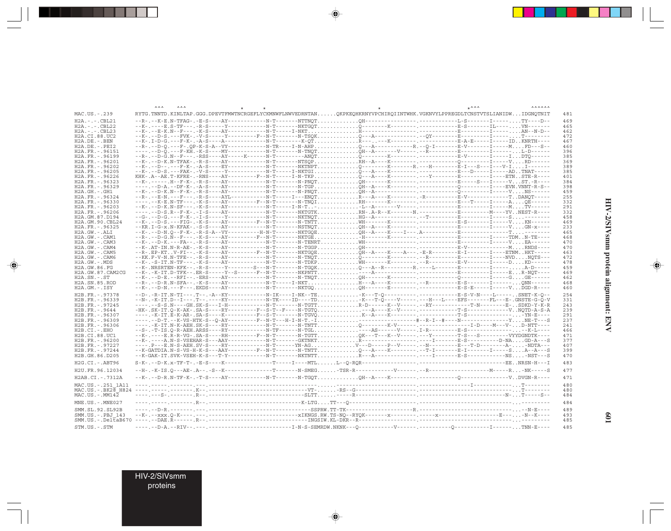|                                              | <b>AAA</b> |  |  |  | <b>AAAAAA</b>                                                                                                                                                                                                                                     |
|----------------------------------------------|------------|--|--|--|---------------------------------------------------------------------------------------------------------------------------------------------------------------------------------------------------------------------------------------------------|
| MAC.US.-.239                                 |            |  |  |  | RYTG.TNNTD.KINLTAP.GGG.DPEVTFMWTNCRGEFLYCKMNWFLNWVEDRNTANOKPKEOHKRNYVPCHIROIINTWHK.VGKNVYLPPREGDLTCNSTVTSLIANIDWIDGNOTNIT                                                                                                                         |
| $H2A. - . - . CBL21$<br>$H2A. - . - . CBL22$ |            |  |  |  |                                                                                                                                                                                                                                                   |
| $H2A. - . - . CBL23$                         |            |  |  |  |                                                                                                                                                                                                                                                   |
| H2A.CI.88.UC2<br>$H2A.DE. - .BEN$            |            |  |  |  |                                                                                                                                                                                                                                                   |
| $H2A.DE. - .PEI2$                            |            |  |  |  |                                                                                                                                                                                                                                                   |
| H2A.FR. - . 96151<br>H2A.FR. - . 96199       |            |  |  |  |                                                                                                                                                                                                                                                   |
| H2A.FR. - . 96201                            |            |  |  |  |                                                                                                                                                                                                                                                   |
| H2A.FR. - . 96202                            |            |  |  |  |                                                                                                                                                                                                                                                   |
| H2A.FR. - . 96205<br>H2A.FR. - . 96226       |            |  |  |  |                                                                                                                                                                                                                                                   |
| H2A.FR. - . 96323                            |            |  |  |  |                                                                                                                                                                                                                                                   |
| H2A.FR. - . 96329                            |            |  |  |  |                                                                                                                                                                                                                                                   |
| $H2A.GH.-.GH1$<br>H2A.FR. - .96324           |            |  |  |  |                                                                                                                                                                                                                                                   |
| H2A.FR. - . 96330                            |            |  |  |  |                                                                                                                                                                                                                                                   |
| H2A.FR. - . 96203<br>H2A.FR. - . 96206       |            |  |  |  |                                                                                                                                                                                                                                                   |
| H2A.GM.87.D194                               |            |  |  |  |                                                                                                                                                                                                                                                   |
| H2A.GM.90.CBL24                              |            |  |  |  |                                                                                                                                                                                                                                                   |
| H2A.FR. - . 96325<br>H2A.GW.-.ALI            |            |  |  |  |                                                                                                                                                                                                                                                   |
| H2A.GW.-.CAM1                                |            |  |  |  |                                                                                                                                                                                                                                                   |
| H2A.GW.-.CAM3                                |            |  |  |  |                                                                                                                                                                                                                                                   |
| $H2A.GW. - . CAM4$<br>$H2A.GW. - . CAM5$     |            |  |  |  | --R-.EP-KTV-FI--.-K-S----AY---------F--N-T-------NKTGQEÕH--A----K----A---.-E-R---------E-I-----E-I-----ETNMHKT----                                                                                                                                |
| H2A.GW.-.CAM6                                |            |  |  |  |                                                                                                                                                                                                                                                   |
| H2A.GW.-.MDS                                 |            |  |  |  |                                                                                                                                                                                                                                                   |
| H2A.GW.86.FG<br>H2A.GW.87.CAM2CG             |            |  |  |  | --K-.NRSRTEN-KFK--.-R-S-----Y--------S---N-T-------N-TGQKQ---A--R---------R.----L--------E---------I------A-D-----                                                                                                                                |
| $H2A.SN.-.ST$                                |            |  |  |  |                                                                                                                                                                                                                                                   |
| H2A.SN.85.ROD                                |            |  |  |  |                                                                                                                                                                                                                                                   |
| $H2A.GM.-.ISY$                               |            |  |  |  |                                                                                                                                                                                                                                                   |
| H2B.FR. - . 97378<br>H2B.FR. - . 96339       |            |  |  |  | --D-.-R-IT.N-TI---.T--.-A--KY-----------N-IK----I-NK--TEK---T-O--------------E-S-V-N----I------.SNET-K-O-<br>--N-.-K-IT.D--I---.T--.-----KY-------------N-TK----ID----TDK---T-Q----V-----.---H---L----EFS-------FL---E-.GNSTE-G-Q-V               |
| H2B.FR.-.97245                               |            |  |  |  |                                                                                                                                                                                                                                                   |
| H2B.FR.-.9644                                |            |  |  |  |                                                                                                                                                                                                                                                   |
| H2B.FR. - . 96307<br>H2B.FR. - . 96309       |            |  |  |  |                                                                                                                                                                                                                                                   |
| H2B.FR. - . 96306                            |            |  |  |  |                                                                                                                                                                                                                                                   |
| H2B.CI.-.EHO<br>H2B.CI.88.UC1                |            |  |  |  | --S-.-T-IS.Q-R-AEH.ARSS----RY-------------N-TF------N-TGL <sup>-</sup> ---AS------V-----.I-R-------------E-S---------------K-L----<br>--K-.----B.R-R-VG-.SA-S----RH---------F--N-T-------N-TGTTQK---T---K--V-----.------------------VYYDGNDTK---- |
| H2B.FR. - . 96200                            |            |  |  |  |                                                                                                                                                                                                                                                   |
| H2B.FR. - . 97227                            |            |  |  |  |                                                                                                                                                                                                                                                   |
| H2B.FR. - . 97244<br>H2B.GH.86.D205          |            |  |  |  |                                                                                                                                                                                                                                                   |
| H2G.CI.-.ABT96                               |            |  |  |  |                                                                                                                                                                                                                                                   |
| H2U.FR.96.12034                              |            |  |  |  |                                                                                                                                                                                                                                                   |
| H2AB.CI.-.7312A                              |            |  |  |  |                                                                                                                                                                                                                                                   |
| MAC.US. - . 251 1A11                         |            |  |  |  |                                                                                                                                                                                                                                                   |
|                                              |            |  |  |  |                                                                                                                                                                                                                                                   |
| MAC.US.-.MM142                               |            |  |  |  |                                                                                                                                                                                                                                                   |
| MNE.US. - . MNE027                           |            |  |  |  |                                                                                                                                                                                                                                                   |
| SMM.SL.92.SL92B                              |            |  |  |  |                                                                                                                                                                                                                                                   |
| SMM.US. -. PBJ 143<br>$SMM.US.-.DelEAB670$   |            |  |  |  |                                                                                                                                                                                                                                                   |
| STM.US.-.STM                                 |            |  |  |  |                                                                                                                                                                                                                                                   |

 $\spadesuit$ 

HIV-2/SIVsmm protein alignment: ENV

 $\spadesuit$ 

■

109

HIV-2/SIVsmm<br>proteins

--

 $\overline{\blacklozenge}$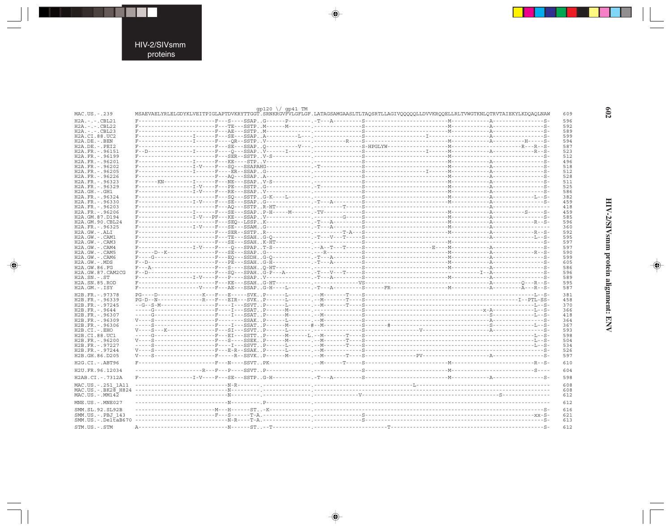. . .

 $\begin{picture}(20,5) \put(0,0){\line(1,0){10}} \put(15,0){\line(1,0){10}} \put(15,0){\line(1,0){10}} \put(15,0){\line(1,0){10}} \put(15,0){\line(1,0){10}} \put(15,0){\line(1,0){10}} \put(15,0){\line(1,0){10}} \put(15,0){\line(1,0){10}} \put(15,0){\line(1,0){10}} \put(15,0){\line(1,0){10}} \put(15,0){\line(1,0){10}} \put(15,0){\line(1,$ 

 $\frac{1}{\sqrt{2}}$ 

|                                        | qp120 $\sqrt{}$ qp41 TM                                                                                                            |  |            |
|----------------------------------------|------------------------------------------------------------------------------------------------------------------------------------|--|------------|
| MAC.US.-.239                           | MSAEVAELYRLELGDYKLVEITPIGLAPTDVKRYTTGGT.SRNKRGVFVLGFLGF.LATAGSAMGAASLTLTAQSRTLLAGIVQQQQQLLDVVKRQQELLRLTVWGTKNLQTRVTAIEKYLKDQAQLNAW |  | 609        |
| $H2A. - . - . CBL21$                   |                                                                                                                                    |  | 596        |
| $H2A. - . - . CBL22$                   |                                                                                                                                    |  | 592        |
| $H2A. - . - . CBL23$                   |                                                                                                                                    |  | 589        |
| H2A.CI.88.UC2                          |                                                                                                                                    |  | 599        |
| H2A.DE. - . BEN<br>$H2A.DE. - .PEI2$   |                                                                                                                                    |  | 594<br>587 |
| H2A.FR. - . 96151                      |                                                                                                                                    |  | 523        |
| H2A.FR. - . 96199                      |                                                                                                                                    |  | 512        |
| H2A.FR. - . 96201                      |                                                                                                                                    |  | 496        |
| H2A.FR. - . 96202                      |                                                                                                                                    |  | 518        |
| H2A.FR. - . 96205                      |                                                                                                                                    |  | 512        |
| H2A.FR. - . 96226                      |                                                                                                                                    |  | 528        |
| H2A.FR. - . 96323<br>H2A.FR. - .96329  |                                                                                                                                    |  | 511<br>525 |
| $H2A.GH.-.GH1$                         |                                                                                                                                    |  | 586        |
| H2A.FR. - . 96324                      |                                                                                                                                    |  | 382        |
| H2A.FR. - . 96330                      |                                                                                                                                    |  | 459        |
| H2A.FR. - . 96203                      |                                                                                                                                    |  | 418        |
| H2A.FR. - . 96206                      |                                                                                                                                    |  | 459        |
| H2A.GM.87.D194                         |                                                                                                                                    |  | 585        |
| H2A.GM.90.CBL24                        |                                                                                                                                    |  | 596        |
| H2A.FR. - . 96325<br>$H2A.GW.-.ALI$    |                                                                                                                                    |  | 360<br>592 |
| H2A.GW.-.CAM1                          |                                                                                                                                    |  | 595        |
| H2A.GW.-.CAM3                          |                                                                                                                                    |  | 597        |
| H2A.GW.-.CAM4                          |                                                                                                                                    |  | 597        |
| H2A.GW.-.CAM5                          |                                                                                                                                    |  | 590        |
| H2A.GW.-.CAM6                          |                                                                                                                                    |  | 599        |
| H2A.GW.-.MDS                           |                                                                                                                                    |  | 605        |
| H2A.GW.86.FG                           |                                                                                                                                    |  | 586        |
| H2A.GW.87.CAM2CG<br>$H2A.SN.-.ST$      |                                                                                                                                    |  | 596        |
| H2A.SN.85.ROD                          |                                                                                                                                    |  | 589<br>595 |
| H2A.GM.-.ISY                           |                                                                                                                                    |  | 587        |
|                                        |                                                                                                                                    |  |            |
| H2B.FR. - . 97378                      |                                                                                                                                    |  | 381        |
| H2B.FR. - . 96339<br>H2B.FR. - . 97245 |                                                                                                                                    |  | 458<br>370 |
| H2B.FR. - . 9644                       |                                                                                                                                    |  | 366        |
| H2B.FR. - . 96307                      |                                                                                                                                    |  | 418        |
| H2B.FR. - . 96309                      |                                                                                                                                    |  | 364        |
| H2B.FR. - . 96306                      |                                                                                                                                    |  | 367        |
| H2B.CI.-.EHO                           |                                                                                                                                    |  | 593        |
| H2B.CI.88.UC1                          |                                                                                                                                    |  | 598        |
| H2B.FR. - . 96200<br>H2B.FR. - . 97227 |                                                                                                                                    |  | 504<br>534 |
| H2B.FR. - . 97244                      |                                                                                                                                    |  | 526        |
| H2B.GH.86.D205                         |                                                                                                                                    |  | 597        |
|                                        |                                                                                                                                    |  |            |
| H2G.CI.-.ABT96                         |                                                                                                                                    |  | 610        |
| H2U.FR.96.12034                        |                                                                                                                                    |  | 604        |
| H2AB.CI. - . 7312A                     |                                                                                                                                    |  | 598        |
| MAC.US. - . 251 1A11                   |                                                                                                                                    |  | 608        |
|                                        |                                                                                                                                    |  | 608        |
| MAC.US.-.MM142                         |                                                                                                                                    |  | 612        |
|                                        |                                                                                                                                    |  |            |
| MNE.US.-.MNE027                        |                                                                                                                                    |  | 612        |
| SMM.SL.92.SL92B                        |                                                                                                                                    |  | 616        |
| SMM.US.-.PBJ 143                       |                                                                                                                                    |  | 621        |
| $SMM.US.-.DelEAB670$                   |                                                                                                                                    |  | 613        |
| STM.US.-.STM                           |                                                                                                                                    |  | 612        |

 $\begin{picture}(20,5) \put(0,0){\vector(0,1){10}} \put(15,0){\vector(0,1){10}} \put(15,0){\vector(0,1){10}} \put(15,0){\vector(0,1){10}} \put(15,0){\vector(0,1){10}} \put(15,0){\vector(0,1){10}} \put(15,0){\vector(0,1){10}} \put(15,0){\vector(0,1){10}} \put(15,0){\vector(0,1){10}} \put(15,0){\vector(0,1){10}} \put(15,0){\vector(0,1){10}} \put(15,0){\vector(0,$ 

 $\begin{picture}(20,5) \put(0,0){\vector(0,1){10}} \put(15,0){\vector(0,1){10}} \put(15,0){\vector(0,1){10}} \put(15,0){\vector(0,1){10}} \put(15,0){\vector(0,1){10}} \put(15,0){\vector(0,1){10}} \put(15,0){\vector(0,1){10}} \put(15,0){\vector(0,1){10}} \put(15,0){\vector(0,1){10}} \put(15,0){\vector(0,1){10}} \put(15,0){\vector(0,1){10}} \put(15,0){\vector(0,$ 

 $602$ 

# HIV-2/SIVsmm protein alignment: ENV

 $\begin{picture}(20,5) \put(0,0){\line(1,0){10}} \put(15,0){\line(1,0){10}} \put(15,0){\line(1,0){10}} \put(15,0){\line(1,0){10}} \put(15,0){\line(1,0){10}} \put(15,0){\line(1,0){10}} \put(15,0){\line(1,0){10}} \put(15,0){\line(1,0){10}} \put(15,0){\line(1,0){10}} \put(15,0){\line(1,0){10}} \put(15,0){\line(1,0){10}} \put(15,0){\line(1,$ 

 $\equiv$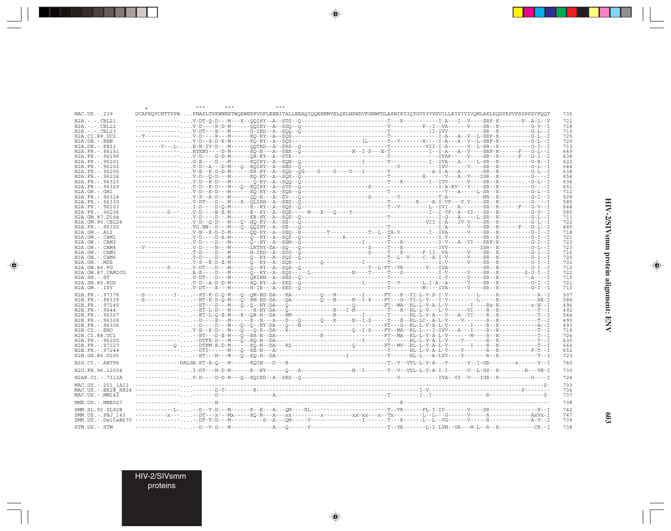|                                 | ᆺᆺ |  |                                                                                                                                      |  |            |
|---------------------------------|----|--|--------------------------------------------------------------------------------------------------------------------------------------|--|------------|
| MAC.US.-.239                    |    |  | GCAFRQVCHTTVPWPNASLTPKWNNETWQEWERKVDFLEENITALLEEAQIQQEKNMYELQKLNSWDVFGNWFDLASWIKYIQYGVYIVVGVILLRIVIYIVQMLAKLRQGYRPVFSSPPSYFQQT       |  | 735        |
| $H2A. - . - . CBL21$            |    |  |                                                                                                                                      |  | 722        |
| $H2A. - . - . CBL22$            |    |  |                                                                                                                                      |  | 718        |
| $H2A. - . - . CBL23$            |    |  |                                                                                                                                      |  | 715        |
| H2A.CI.88.UC2                   |    |  |                                                                                                                                      |  | 725        |
| $H2A.DE. - . BEN$               |    |  | --------------V-D--S-D-K-M------KQ-RY--A--SQS---------------------IL------T--V-------H----I-A--A--V--L-SRF-K----------G-L--I         |  | 720        |
| $H2A.DE. - .PEI2$               |    |  |                                                                                                                                      |  | 713        |
| H2A.FR. - . 96151               |    |  | -------------EYKNY----D-M------KQ-N---A--SEK--Q----------------N--I-S---E-T-----------I--I-A--A--V----SRF-K------F---G-L--I          |  | 649        |
| H2A.FR. - . 96199               |    |  |                                                                                                                                      |  | 638        |
| H2A.FR. - . 96201               |    |  |                                                                                                                                      |  | 622        |
| H2A.FR. - . 96202               |    |  |                                                                                                                                      |  | 644        |
| H2A.FR. - . 96205               |    |  |                                                                                                                                      |  | 638        |
| H2A.FR. - . 96226               |    |  |                                                                                                                                      |  | 654        |
| H2A.FR. - . 96323               |    |  |                                                                                                                                      |  | 636        |
| H2A.FR. - . 96329               |    |  |                                                                                                                                      |  | 651        |
| $H2A.GH.-.GH1$                  |    |  |                                                                                                                                      |  | 712        |
| H2A.FR. - . 96324               |    |  |                                                                                                                                      |  | 508        |
| H2A.FR. - . 96330               |    |  |                                                                                                                                      |  | 585        |
| H2A.FR. - .96203                |    |  |                                                                                                                                      |  | 544        |
| H2A.FR. - . 96206               |    |  |                                                                                                                                      |  | 585        |
| H2A.GM.87.D194                  |    |  |                                                                                                                                      |  | 711        |
| H2A.GM.90.CBL24                 |    |  |                                                                                                                                      |  | 722        |
| H2A.FR. - . 96325               |    |  |                                                                                                                                      |  | 485        |
| H2A.GW.-.ALI                    |    |  | --------------V-N--K-D-D-M------QQ-RY--A--SEQ--R--------T----------T--L--TA-V--------I--IVA------V----SR--K----------G-I--I          |  | 718        |
| H2A.GW.-.CAM1                   |    |  |                                                                                                                                      |  | 721        |
| H2A.GW.-.CAM3                   |    |  |                                                                                                                                      |  | 723        |
| H2A.GW.-.CAM4                   |    |  |                                                                                                                                      |  | 723        |
| $H2A.GW. - . CAM5$              |    |  | --------------T-D----D---M------H-IRD--A--SDS--Q-------------------S----T---R------F-II--VA------V----SR--K----------G-I--I          |  | 716        |
| H2A.GW.-.CAM6                   |    |  |                                                                                                                                      |  | 725        |
| H2A.GW.-.MDS                    |    |  |                                                                                                                                      |  | 731        |
| H2A.GW.86.FG                    |    |  | ----------S---V-DT---D---M------Q--RY--A--SQS--Q--------------------T--I-FT--VR-------V---IVA-------------------G-I--I               |  | 712        |
| H2A.GW.87.CAM2CG                |    |  |                                                                                                                                      |  | 722        |
| $H2A.SN.-.ST$                   |    |  |                                                                                                                                      |  | 715        |
| H2A.SN.85.ROD                   |    |  | --------------V-D--A-D-D-M------KQ-RY--A--SKS--Q---------------------T---V------L-I-A--A------V----SR--K----------G-I--I             |  | 721        |
| $H2A.GM.-.ISY$                  |    |  |                                                                                                                                      |  | 713        |
|                                 |    |  |                                                                                                                                      |  |            |
| H2B.FR. - . 97378               |    |  | --S---------I---KT-K-D-Q-M---Q--QM-EG-DA----KA--------Q---N--------I------FT---R--YI-L-V-S-I-V--------L-------K-----------------A--I |  | 507        |
| H2B.FR. - . 96339               |    |  |                                                                                                                                      |  | 584        |
| H2B.FR.-.97245                  |    |  | --------------ET--D---M---Q--Q--NY-DA---Q----------------Q--------FT--MA--RL-L-V-A-L-V-------I----Rx-K--------------X-N--I           |  | 496        |
| H2B.FR. - . 9644                |    |  | -------------,-ET-L-D---M--------R-NY-DA---O--------------N---I-N---------T---R--HL-L-V---L-V--------R--K------------T--I            |  | 492        |
| H2B.FR. - . 96307               |    |  | --------------ET-L-Q-E-M---K--QR-H--DA---HM-----------N-------I------T------HL-L-V-A--VI---A--VI----R--K----------T--I               |  | 544        |
| H2B.FR. - . 96309               |    |  | ----------------D----E---M------K--N---A---D---Q------Q----K-----N--I-S-----T---E--RL-LC--A-L-V-----V-------R--K------------T--I     |  | 490        |
| H2B.FR. - . 96306               |    |  | -------------,-D---D---M---O--O--NY-DA---O---N--------------------FT---G--RL-L-V-A-L-V-------I----R--K-------------A--I              |  | 493        |
| $H2B.CI.-.EHO$<br>H2B.CI.88.UC1 |    |  | --------------V-E--K-D---M---Q---Q-R--DA---K------------------Q--I-S----FT--MA--RL-L---I-IVV---A---I----R--K------------T---I        |  | 719<br>724 |
|                                 |    |  |                                                                                                                                      |  |            |
| H2B.FR. - . 96200               |    |  | --------------,-DTFK-D---M---O--KO-N--DA------------------------------T-------HL-L-V-A-L-V----V------E--K------------T--I            |  | 630        |
| H2B.FR. - . 97227               |    |  | -----------Q--DTFM-R-D-M------KQ-N--DA---KS---------------Q--------FT--MV--RL-L-V-A-L-V-------I----R--K-------------T--I             |  | 660        |
| H2B.FR. - . 97244               |    |  |                                                                                                                                      |  | 652        |
| H2B.GH.86.D205                  |    |  |                                                                                                                                      |  | 723        |
| H2G.CI.-.ABT96                  |    |  |                                                                                                                                      |  | 740        |
| H2U.FR.96.12034                 |    |  | --------------I-DT---N-D-M------E--NY------Q---A-----------------N--I-------T--V--VYL-L-V-A-I-I------V--L-GS--K---------H---VE-I     |  | 730        |
|                                 |    |  |                                                                                                                                      |  |            |
| H2AB.CI. - . 7312A              |    |  |                                                                                                                                      |  | 724        |
| MAC.US. - . 251 1A11            |    |  |                                                                                                                                      |  | 733        |
| $MAC. US. - . BK28$ $H824$      |    |  |                                                                                                                                      |  | 734        |
| $MAC. US. - . MM142$            |    |  |                                                                                                                                      |  | 737        |
|                                 |    |  |                                                                                                                                      |  |            |
| MNE.US.-.MNE027                 |    |  |                                                                                                                                      |  | 738        |
| SMM. SL. 92. SL92B              |    |  |                                                                                                                                      |  | 742        |
| SMM.US.-.PBJ 143                |    |  |                                                                                                                                      |  | 747        |
|                                 |    |  |                                                                                                                                      |  | 739        |
|                                 |    |  |                                                                                                                                      |  |            |
| STM.US.-.STM                    |    |  |                                                                                                                                      |  | 738        |

 $\Rightarrow$ 

 $\Rightarrow$ 

HIV-2/SIVsmm protein alignment: ENV

 $\overrightarrow{\bigcirc}$ 

 $603$ 

HIV-2/SIVsmm<br>proteins

. . .

 $\overline{\bullet}$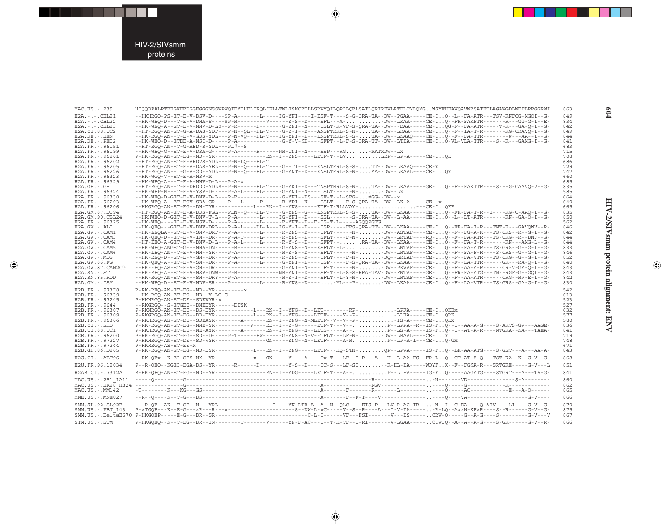

⊕

| MAC.US.-.239                                                                                          | HIQQDPALPTREGKERDGGEGGGNSSWPWQIEYIHFLIRQLIRLLTWLFSNCRTLLSRVYQILQPILQRLSATLQRIREVLRTELTYLQYGWSYFHEAVQAVWRSATETLAGAWGDLWETLRRGGRWI                                                                                                                                                                                                                                                                                                                                                                                                         | 863                             |
|-------------------------------------------------------------------------------------------------------|------------------------------------------------------------------------------------------------------------------------------------------------------------------------------------------------------------------------------------------------------------------------------------------------------------------------------------------------------------------------------------------------------------------------------------------------------------------------------------------------------------------------------------------|---------------------------------|
| $H2A. - . - . CBL21$<br>$H2A. - . - . CBL22$<br>$H2A - - -$ CBL23<br>H2A.CI.88.UC2                    | --HKHRGO-PS-ET-E-V-DSV-D----\$P-A-------L-----IG-YNI----I-KSF-T----S-G-ORA-TA--DW--PGAA-----CE-IO--L--FA-ATR---TSV-RNFCG-MGOI--G-<br>--HK-WEQ-D---T-E-V-DNA-S----\$P-R---------V------Y-S--D----SFL---A-DW--LKAA-----CE-IQ--FR-FAKFTR-------R---GG-G-I--E-<br>--HK-WEO-A--ET-E-V-NNV-D-LS--P-R------H------G-YNI--N----ISLT-R-VF-S-ORA-TA--DW---DAA-----CE-IOG-F--FA-ATR-----T-R--GA-O-I--G-<br>--HT-RGO-AN-ET-G-A-DAS-YDF---P-N--OL--HL-T----G-Y-I--D---ANSPTRRL-S-N-TA--DW--LKAA-----CE-IO--F--IA-T-R-------RG-CKAVO-I--G-             | 849<br>834<br>842<br>849        |
| H2A.DE. - . BEN<br>$H2A.DE. - .PEI2$                                                                  | --HK-RGO-AN--T-E-V-GDS-YDL---P-N-VO---HL-T---IG-YNI--D---KNSPTRRL-S-S-TA--DW--LKAAO----CE-IO--F--FA-TTR--------W---AA--I--G-<br>--HK-WEO-D--ETDE-A-NST-D-----P-A------------G-Y-V-KD----SFPT--I-F-S-ORA-TT--DW--ITIA-----CE-IO-VI-VIA-TTR----S--R---GAMG-T--G-<br>$-$ -HT-RGO-AN--T-G-AED-S-YDL---PL#--S                                                                                                                                                                                                                                 | 844<br>841                      |
| H2A.FR. - . 96151<br>H2A.FR. - . 96199<br>H2A.FR. - . 96201<br>H2A.FR. - . 96202                      | --HK-WEO-G--ET-E-V-DSA-G-----P-A------H------NR-CNI--N----SSP---RG-xATxDW--Lx<br>P-HK-RGO-AN-ET-EG--ND--YR---------------RN--I--YNS-----LKTF-T--LVLRP--LP-A-----CE-IOK<br>$-$ -HT-RGO-AN-ET-E-ARDVS-YDL---P-N-LO---HL-T                                                                                                                                                                                                                                                                                                                  | 683<br>715<br>708<br>686        |
| H2A.FR. - . 96205<br>H2A.FR. - . 96226<br>H2A.FR. - . 96323                                           | --HT-RGO-AN-ET-E-A-DAS-YEL---P-N--O---HL-T----G--TI--D---KNSLTRRL-S-S-TT--DW--LKAAO----CE-x<br>--HT-RGO-AN--I-G-A-GD--YDL---P-N--O---HL------G-YNT--D---KNSLTRRL-S-N-AA--DW--LKAAL----CE-IOx<br>$-$ -HK-WGO-V--ET-E-A-NSV- $x$                                                                                                                                                                                                                                                                                                           | 729<br>747<br>660<br>685        |
| H2A.FR. - . 96329<br>$H2A.GH. - .GH1$<br>H2A.FR. - . 96324<br>H2A.FR. - . 96330                       | $-$ -HK-WEO-A---T-E-A-NNV-D-L---P-A- $x$<br>--HT-RGO-AN--T-E-DRDDD-YDL\$--P-N------HL-T----G-YKI--D---TNSPTHRL-S-N-TA--DW--LKAA-----GE-IO--F--FAKTTR----S---G-CAAVO-V--G-<br>-- HK-WEP-N---T-E-V-YSV-D----- P-A-L---- HL------G-YNI--N---- ISLT------N-DW--Lx<br>--HK-WEO-D-GET-E-V-DNV-D-L---P-R------------G-YNI--DS---SF-T--L-SRG-#GG--DW--x                                                                                                                                                                                          | 835<br>585<br>664               |
| H2A.FR. - . 96203<br>H2A.FR. - . 96206<br>H2A.GM.87.D194<br>H2A.GM.90.CBL24                           | --HK-WEO-A--ET-EGV-SDA-GR----P---L-----P-----R-YDI--N----ISLT----F-S-ORA-TA--DW--LK-A-----CE--x<br>--HKGRGO-AN-ET-EG--DN-DYR------------L---RN--I--YNS------KTF-T-RLLVAY---CE-IOKE<br>--HT-RGO-AN-ET-E-A-DDS-FGL---PLN--O---HL-T----G-YNS--G---KNSPTRRL-S-S-TA--DW--LKAA-----CE-IO--FR-FA-T-R--I----RG-C-AAO-I--G-<br>--HRHWEO-D-GET-E-V-DNV-T-L---P-A-------L-----IG-YNI--D----SSL-------S-ORA-TA--DW--L-AA-----CE-IO--L--LT-ATR-------RN--GA-O-I--G-<br>--HK-WEO----EI-E-V-NSV-D-----P-A--------L------R-YNT--D--F-IS-T-L-----AGOOPGTG | 640<br>665<br>835<br>850        |
| H2A.FR. - . 96325<br>$H2A.GW.-.ALI$<br>H2A.GW.-.CAM1<br>H2A.GW.-.CAM3                                 | --HK-OEO---GET-E-V-DNV-DRL---P-A-L----HL-A---IG-Y-I--D----ISP-----FRS-ORA-TT--DW--LKAA-----CE-IO--FR-FA-I-R---TNT-R---GAVOWV--R-<br>-- HK-LEOLA--ET-E-V-SNV-DRF--- P-A------- L------R-YNS--D---- IFLT------ N- DW--ASTAF----CE-I. . O--F--FG-A-K---TS-CRS--R--G-I--G-<br>--HK-OEO-D--ET-E-V-IN--DR----P-A-T-----L------R-YNS--D----SFLT----F-N-DW--LRTAF---RO-IO--F--FA-ATR---TS-CRG--R--DNF--G-                                                                                                                                        | 562<br>846<br>842<br>844        |
| H2A.GW.-.CAM4<br>$H2A.GW. - . CAM5$<br>H2A.GW.-.CAM6<br>H2A.GW.-.MDS                                  | --HT-KEO-A-GET-E-V-DNV-D-L---P-A-L-----L------R-Y-S--D----SFPT--RA-TA--DW--LKAA-----CE-IO--F--FA-T-R-------RN---AMG-L--G-<br>--HK-WEO-ANGET-G---NNA-DN------R-----------G-YNS--N---KSFLT--L-DW--LNTAF---CE-IQ--F--FA-ATR---TS-GRS--G--G-I--G-<br>--HK-LEO-AN--T-E-V-NN--YR----P-A-------L------R-Y-S--D----SFLT------N--DW--LRTAF---CE-IQ--F--FA-F-R----S-CRS--G--G-I--G-<br>--HK-REO-D--ET-E-V-GN--DR----P-A--------L------R-YNS--D----IFLT----F-N-DO--LRIAF---CE-IO--F--FA-VTR---TS-CRG--G--G-I--G-                                    | 844<br>833<br>846<br>852        |
| H2A.GW.86.FG<br>H2A.GW.87.CAM2CG<br>$H2A.SN.-.ST$<br>H2A.SN.85.ROD<br>$H2A.GM.-.ISY$                  | --HK-OEO-A--ET-E-V-SN--DR----P-A-------I------G-YNI--D----ISP-----F-S-ORA-TA--DW--LKAA-----CE-IO--F--LA-TTR------GR---RA-O-I--G-<br>--HK-REO-A--ET-E-V-NSV-DNW---P-R-------------NR-YNI--D----SF-T--L-S-S-RRA-TAV-DW--FNTA-----GE-IO--FR-FA-ATG---TN--RGF-G--GOI--G-<br>--HK-RGO-AN-ET-E---SN--DRY---P-A--------------R-Y-I--D----SFLT--L-Y-N- DW--LRTAF----CE-IO--F--AA-ATR------CRG--RV-E-I--G-<br>--HK-WEO-D--ET-E-V-NDV-SR----P---------L------R-YNS--D-----YL---P--DW--LKAA-----CE-IQ--F--LA-VTR---TS-GRS--GA-G-I--G-               | 840<br>843<br>843<br>842<br>830 |
| H2B.FR. - . 97378<br>H2B.FR. - . 96339<br>H2B.FR. - . 97245<br>H2B.FR. - . 9644<br>$H2B.FR. - .96307$ | R-RK-REQ-AN-ET-EG--ND--YR----------<br>$-$ -HK-RGO-AN-ET-EG--ND--Y-LG-G<br>P-HKHRGO-AN-ET-DE--SDEVYR-x<br>--RKGRGO--S-ETGEE--DNEDYR------DTSK<br>$P-RKNRGO-AN-RT-ERR--DS-DYR---------I1---RN--I-YNG--D--I1KT----RP---IPR---I1PRA----CR-TOKRx$                                                                                                                                                                                                                                                                                            | 542<br>613<br>523<br>527<br>632 |
| H2B.FR. - . 96309<br>H2B.FR. - . 96306<br>$H2B.CI.-.EHO$<br>H2B.CI.88.UC1<br>H2B.FR. - . 96200        | P-RKGRGO-AN-ET-EG--DD-DYR-----------L---RN--I--YNG-----LKTF-----V--P-LLFA-----CE-IORK<br>P-RKHRGO-AS-ET-DE--SDEAYR---------A-------RN--I--YNG--N-MLKTF--V--V--P-5S-A----CE-IOKx<br>P-RK-RGO-AN-ET-EG--NNE-YR-----------P----RD--I--Y-G------KTF-T---V-- P--LPPA--R--IS-FO--I--AA-A-G----S-ARTS-GV---AAGE-<br>P-RKHRGO-AN-ET-DE--NE-AYR---------------RN--I--YNG--N--LKTS-----A--P--LS-A-----IS-FO--I--AT-A-R----NTGRA--KA---TAEA-<br>$P-RK-RGO-AN-ET-EG--SD--D---P-T---P-T---HX---G-YNS--N-V--TFLT---LF-N---DW--LRAAL---CE-Ix$           | 577<br>580<br>836<br>841<br>719 |
| H2B.FR. - . 97227<br>H2B.FR. - . 97244<br>H2B.GH.86.D205                                              | $P-HKHRGO-AN-ET-DE--SD-VYR-----1$<br>P-RKRRGO-AS-ET-EE-x<br>P-RK-RGO-AN-ET-EG--ND-DYR-----------L---RN--I--YNG-----LKTF---HO-STN-OP--LPVA-----IS-FO--LR-AA-ATG----S-GET---A---AA-A-                                                                                                                                                                                                                                                                                                                                                      | 748<br>671<br>843               |
| $H2G.CI.-.ABT96$                                                                                      | --RK-OEx--K-EI-GES-NK--YR------------x---GN-----Y----A----Ix-T---LF--I-R---A---H--L-AA-FS--FR-LQ--CT-AT-A-Q---TST-RA--K--G-V--G-                                                                                                                                                                                                                                                                                                                                                                                                         | 868                             |
| H2U.FR.96.12034                                                                                       | P--R-OEO--KGEI-EGA-DS--YR------R------H--------Y-S--D----IC-S---LF-SI--R-HL-IA-----WOYFK--F--FGKA-R---SRTGRE-----G-V---L                                                                                                                                                                                                                                                                                                                                                                                                                 | 851                             |
| H2AB.CI.-.7312A                                                                                       | R-HK-OEO-AN-ET-EG--ND--YR----------------RN--I--YDG-----LKTF-T---A-- P--LLFA-----IG-FQ-----AAGATG----STGRT---A---TA-G-                                                                                                                                                                                                                                                                                                                                                                                                                   | 841                             |
| MAC.US. - . 251 1A11<br>$MAC. US.-. MM142$                                                            |                                                                                                                                                                                                                                                                                                                                                                                                                                                                                                                                          | 860<br>862<br>865               |
| MNE.US.-.MNE027                                                                                       |                                                                                                                                                                                                                                                                                                                                                                                                                                                                                                                                          | 866                             |
| SMM. SL. 92. SL92B<br>SMM.US.-.PBJ 143                                                                |                                                                                                                                                                                                                                                                                                                                                                                                                                                                                                                                          | 870<br>875<br>867               |
| STM.US.-.STM                                                                                          |                                                                                                                                                                                                                                                                                                                                                                                                                                                                                                                                          | 866                             |

 $\color{red}\blacklozenge$ 

 $\color{red} \blacklozenge$ 

 $604$ 

 $\color{red} \blacklozenge$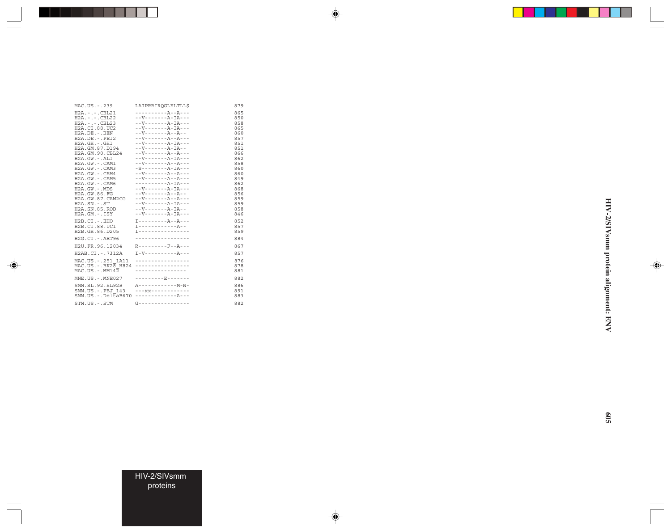| MAC.US.-.239                                                                                                                                                                                                                                                                                                                                                                                                           | LAIPRRIROGLELTLL\$                                                                                                                                                                                                                                                                                                                                                                                                                                                                                                                                                                                                                                                                                                                                            | 879                                                                                                                                             |
|------------------------------------------------------------------------------------------------------------------------------------------------------------------------------------------------------------------------------------------------------------------------------------------------------------------------------------------------------------------------------------------------------------------------|---------------------------------------------------------------------------------------------------------------------------------------------------------------------------------------------------------------------------------------------------------------------------------------------------------------------------------------------------------------------------------------------------------------------------------------------------------------------------------------------------------------------------------------------------------------------------------------------------------------------------------------------------------------------------------------------------------------------------------------------------------------|-------------------------------------------------------------------------------------------------------------------------------------------------|
| $H2A. - . - . CBL21$<br>$H2A. - . - . CBL22$<br>$H2A. - . - . CBL23$<br>H2A.CI.88.UC2<br>H2A.DE. - .BEN<br>H2A.DE. -. PEI2<br>$H2A.GH. - .GH1$<br>H2A.GM.87.D194<br>H2A.GM.90.CBL24<br>$H2A.GW. - .ALI$<br>H2A.GW. - . CAM1<br>H2A.GW.-.CAM3<br>$H2A.GW. - . CAM4$<br>$H2A.GW. - . CAMS$<br>$H2A.GW. - . CAM6$<br>H2A.GW.-.MDS<br>H2A.GW.86.FG<br>H2A.GW.87.CAM2CG<br>$H2A.SN.-.ST$<br>H2A.SN.85.ROD<br>$H2A.GM.-.ISY$ | -----------A--A---<br>$-$ - V - - - - - - - A - T A - - -<br>$-$ - V - - - - - - - A - T A - - -<br>$-$ - V - - - - - - - A - IA - - -<br>$-$ - V - - - - - - - A - - A - -<br>$-$ - V - - - - - - - A - - A - - -<br>$-$ - V - - - - - - - A - T A - - -<br>$-$ - V - - - - - - - A - IA - -<br>$  V$ $      A$ $  A$ $  -$<br>$- -V - - - - - - - - - IA - - - -$<br>$-$ - V - - - - - - - A - - A - - -<br>$-S------A-IA---$<br>$-$ - V - - - - - - - A - - A - - -<br>$  V$ $      A$ $  A$ $  -$<br>$------A-TA---$<br>$-$ - V - - - - - - - A - T A - - -<br>$-$ - V - - - - - - - A - - A - -<br>$-$ - V - - - - - - - A - - A - - -<br>$-$ - V - - - - - - - A - IA - - -<br>$-$ - V - - - - - - - A - T A - -<br>$-$ - V - - - - - - - A - T A - - - | 865<br>850<br>858<br>865<br>860<br>857<br>851<br>851<br>866<br>862<br>858<br>860<br>860<br>849<br>862<br>868<br>856<br>859<br>859<br>858<br>846 |
| $H2B.CI.-EHO$<br>H2B.CI.88.UC1<br>H2B.GH.86.D205                                                                                                                                                                                                                                                                                                                                                                       | T - - - - - - - - - - - - - - - -                                                                                                                                                                                                                                                                                                                                                                                                                                                                                                                                                                                                                                                                                                                             | 852<br>857<br>859                                                                                                                               |
| H2G.CI.-.ABT96                                                                                                                                                                                                                                                                                                                                                                                                         | -----------------                                                                                                                                                                                                                                                                                                                                                                                                                                                                                                                                                                                                                                                                                                                                             | 884                                                                                                                                             |
| H2U.FR.96.12034                                                                                                                                                                                                                                                                                                                                                                                                        | $R - - - - - - - - - F - - A - - -$                                                                                                                                                                                                                                                                                                                                                                                                                                                                                                                                                                                                                                                                                                                           | 867                                                                                                                                             |
| H2AB.CI.-.7312A                                                                                                                                                                                                                                                                                                                                                                                                        |                                                                                                                                                                                                                                                                                                                                                                                                                                                                                                                                                                                                                                                                                                                                                               | 857                                                                                                                                             |
| MAC.US. - . 251 1A11<br>MAC.US. - . BK28 H824<br>$MAC. US. - . MM142$                                                                                                                                                                                                                                                                                                                                                  | -----------------<br>_________________<br>----------------                                                                                                                                                                                                                                                                                                                                                                                                                                                                                                                                                                                                                                                                                                    | 876<br>878<br>881                                                                                                                               |
| $MNE. US. - . MNE027$                                                                                                                                                                                                                                                                                                                                                                                                  | ---------E------                                                                                                                                                                                                                                                                                                                                                                                                                                                                                                                                                                                                                                                                                                                                              | 882                                                                                                                                             |
| SMM.SL.92.SL92B<br>SMM.US.-.PBJ 143<br>$SMM.US.-.DelEAB670$                                                                                                                                                                                                                                                                                                                                                            | $- - - XX - - - - - - - - - - -$<br>-------------A---                                                                                                                                                                                                                                                                                                                                                                                                                                                                                                                                                                                                                                                                                                         | 886<br>891<br>883                                                                                                                               |
| STM.US.-.STM                                                                                                                                                                                                                                                                                                                                                                                                           | $G - - - - - - - - - - - - - - - - - -$                                                                                                                                                                                                                                                                                                                                                                                                                                                                                                                                                                                                                                                                                                                       | 882                                                                                                                                             |

an an Tar

 $\Rightarrow$ 

 $\spadesuit$ 

 $\Rightarrow$ 

HIV-2/SIVsmm protein alignment: ENV **HIV-2/SIVsmm protein alignment: ENV**

 $\Rightarrow$ 

▊

HIV-2/SIVsmm proteins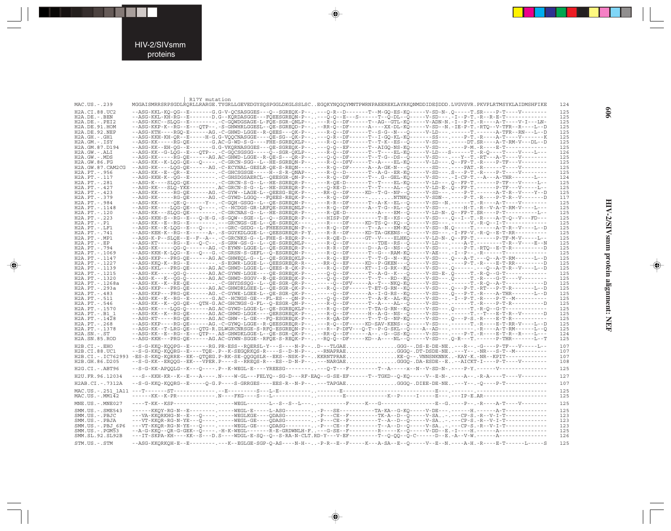#### HIV-2/SIVsmm proteins

. . .

 $\begin{picture}(20,5) \put(0,0){\line(1,0){10}} \put(15,0){\line(1,0){10}} \put(15,0){\line(1,0){10}} \put(15,0){\line(1,0){10}} \put(15,0){\line(1,0){10}} \put(15,0){\line(1,0){10}} \put(15,0){\line(1,0){10}} \put(15,0){\line(1,0){10}} \put(15,0){\line(1,0){10}} \put(15,0){\line(1,0){10}} \put(15,0){\line(1,0){10}} \put(15,0){\line(1,$ 

 $\frac{1}{\sqrt{2}}$ 

|                                         | R17Y mutation                                                                                                                                                                                                                                                           |            |
|-----------------------------------------|-------------------------------------------------------------------------------------------------------------------------------------------------------------------------------------------------------------------------------------------------------------------------|------------|
| MAC.US.-.239                            | MGGAISMRRSRPSGDLRQRLLRARGE.TYGRLLGEVEDGYSQSPGGLDKGLSSLSCEGQKYNQGQYMNTPWRNPAEEREKLAYRKQNMDDIDE\$DDD.LVGVSVR.PKVPLRTMSYKLAIDMSHFIKE                                                                                                                                       | 124        |
| H2A.CI.88.UC2                           | --ASG-KKL-KQ-QG--E-------G.G-V-QCSASGGES---Q--SGREQK-P-----Q-R--D------T--M-GQ-ES-KQ-----V-SD-N-.Q-----T.SR----P-T----V-------                                                                                                                                          | 125        |
| $H2A.DE. - .BEN$<br>$H2A.DE. - .PEI2$   | --ASG-KKL-KH-RG--E-------D.G--KORDASGGE---FOEESGREON-P-----0-0--E--S------T--0-DL--0-----V-SD---.-I--P-T.-R--R-E-T-------------<br>--ASG-KKC--SLQG--E--------.-C-GQWDGSAGE-L-FQE-SGR-QNLP-----R-Q--DF------T--AG--GTL-KQ-----V-ADN-N.-I--P-T.-R----A-T----V-I---LN-     | 125<br>125 |
| H2A.DE.91.HOM                           | --ASG-KKP-K--RG--E---QTP--.-S-GHWHRLGGESL--QE-SGREQD-P----RR-Q--DF------A----XX-DL-KQ-----V-SD--N.-IE-P-T.-RTQ--V-TFR--R----L--D                                                                                                                                        | 125        |
| H2A.DE.92.NEP                           | --ASG-KTH----RGO-E------AG.-C-GHWD-LGGE--R-OEES---OK-P-----R-O--DF------T--S-G--N---O-----V-LD---.------T.------A-TFR--RN---L--D                                                                                                                                        | 125        |
| $H2A.GH.-.GH1$                          | --ASG-KKH-KH-QR--E-----H-G.G-VQQCNASGGE----QE-SG--QK-P-----Q-R--DF------T--I-GQ-KL-KQ-------SS---.----P-T.-R----A-T----V-------K                                                                                                                                        | 125        |
| $H2A.GM.-.ISY$                          | --ASG-KK-----RG-QE-------G.AC-G-WD-S-G----FHE-SGREQKLP-----R-Q--DF------T--T-K--ES--Q------V-SD-------DT.SR----A-T-RM-V---DL--D                                                                                                                                         | 125        |
| H2A.GM.87.D194                          | --ASG-KK--EH-QG--E-------G.G-VKQRNASGGES---QE-SGREQK-P-----Q-Q--EF------T--AIGQ-NS-KQ-----V-SD---.----P-M.-R----E-T------------                                                                                                                                         | 125        |
| H2A.GW.-.ALI<br>H2A.GW.-.MDS            | --ASG-KK--G-LQG--E---QTP--.-C-GQCSGSGG-----Q--SGR-QKLP-----R-Q--DF------T--T---EL-KQ-----V-LD---S------T.-R-Q----T----V----L---<br>--ASG-KK-----RG-QE------AG.AC-GHWD-LGGE--R-QE-S---QR-P-----Q-Q--DF------T--T-G--DS--Q------V-SD---.---Y--T.-RT---A-T----V-------     | 126<br>125 |
| H2A.GW.86.FG                            | --ASG-KK--K-LOG-OE---O----.-C-GRCN-SGG--L--HE-SGREON-P-----R-O--DFV-----T--A----EL-KO-----V-LD---.O--FP-T.-R----P-TF---V-------                                                                                                                                         | 125        |
| H2A.GW.87.CAM2CG                        |                                                                                                                                                                                                                                                                         | 125        |
| $H2A.PT.-.956$                          | --ASG-KK--E--QR--E--------.-C-GHCSGSGE-----H--S-R-QNAP-----R-Q--D------T--A-G--ER-KQ-----V-SD---.S---P-T.-R----P-T----V-------                                                                                                                                          | 125        |
| H2A. PT. - . 117                        | --ASG-KKH-K--OG--E--------.-C-GHSDGSAERCL--OEESGR-ON-P-----R-O--DF------T--.G--GEL-KO-----V-SD---.-I-CP-T.--A---A-THR--------L---                                                                                                                                       | 124        |
| H2A. PT. - . 281                        | --ASG-K----SLOG-OE--------.-C-GRCN-S-G--L--HE-SGREOR-P-----R-OE-D-------T--T----EL-KO-----V-LD---.O--FP-T.------P-TF---V----L-                                                                                                                                          | 125        |
| $H2A.PT. - .427$<br>$H2A.PT. - .423$    | --ASG-KK---SLQ-YKE-------- AC-GRCN-S-G--L--HE-SGREQR-P-----Q-RE-D------T--T---AL--Q-----V-LD-E-.Q--FP-T.------P-TF---V-----L-<br>--ASG-KK-----RG-OE------AG.-C-GYW--LAGE-L--OEESG-EOK-P----RR-O--DF-----KD--T-G--NP--O-----V-SD---.----P-T.------A-T-R--V----Y-D        | 125<br>125 |
| H2A. PT. - . 379                        | --ASG-KK-----RG-OE------AG.-C-GYWD-LGGO---FOEES-REOK-P-----R-O--DF------NTNKO-----V-SDN--.---P-T.-R----P-T-R--V------D                                                                                                                                                  | 117        |
| H2A. PT. - . 984                        | --ASG-KK-----QE-Q------Y--.-C-GQH-GSGG--L--QE-SGREQN-P-----R-R--DF------T--A-K--EL--Q------V-SD--N.------T.-R----A-T----V-------                                                                                                                                        | 125        |
| H2A. PT. - . 1148                       | --ASG-KK----LOG-OE---O----.-C--HCDGS-GR-LRFOE-SGREONLP-----R-O--DF------A--T-G--RL--O------V-SD---.----H-T.-R--V-A-T-RM-V----L--                                                                                                                                        | 125        |
| H2A. PT. - . 120                        | --ASG-KK---SLQG-QE--------.-C-GRCNAS-G--L--HE-SGREQR-P-----R-QE-D-----------A----EM--Q-----V-LD-N-.Q--FP-T.SR----P-T---------L--                                                                                                                                        | 125        |
| H2A. PT. - . 223                        | --ASG-KKH-S--RG--E---Q-H-G.-S-GQW--SGE--L--Q--SGREQR-P-----HISP-DF---------T-E--KS--Q-----V-SD---.Q--I--T.-R----A-T-Q--V---FD---<br>--ASG-KK--E--RG--E--------.---GRCNGS-GE-L--OE-SGREOK-------R---DF-----KD-TS-O--KO--O------V-SD---.------V.-R-O--I-T------------     | 125        |
| $H2A.PT.-.P1$<br>$H2A.PT.-LF1$          | --ASG-KK--K-LQG--E---Q----.---GRC-GSDG--L-FHEESGREQN-P-----R-Q--DF------T--A----EM-KQ-----V-SD--N.Q-----T.------A-T-R--V----L--D                                                                                                                                        | 125<br>125 |
| H2A. PT. - . 741                        | --ASG-KEH-K--RG--E------A-.-S-GGYKDLGGE-L--QEESGREQR-P-Y---R-R--DF-----KD-TA-GKENS--Q-----V-SD---.-I-FP-V.-R-Q--E-T-RR----------                                                                                                                                        | 125        |
| $H2A.PT.-MP1$                           | --ASG-K-P--SLQE--E--F--A--.-C-GRCNKS-G--L-FHE-S-REQR-P-----R-QE-D------GT--V----ELHKQ-----V-LD-N-.O--FP-T.-----P-TF-M-V-----L-                                                                                                                                          | 125        |
| $H2A.PT.-EP$                            | --ASG-KT-----RG--E---Q-C--.-S-GRW-GS-G--L--QE-SGREQNLP-----R-Q--DF---------TDE--RS--Q-----V-LD---.----A-T.---------T-R--V----E--N                                                                                                                                       | 125        |
| H2A. PT. - . 794                        | --ASG-KK-----0G-0-------AG.-C-EYWN-LGGE-L--OE-SGREOR-P-----R-R--DF------D--A-G--NS--O------V-SD---.----P-T.-RTO--E-T-R----------D                                                                                                                                       | 125        |
| H2A. PT. - . 1069<br>H2A. PT. - . 1147  | --ASG-KKH-K-LQG--E---Q---G.-C-GRSN-S-GEFL--Q-ESGREQN-P-----R-Q--DF------T--G---RAM-KQ-----V-AE---.-I--P--.-R-----T------------------<br>--ASG-KKP---PRG-QE------AG.AC-GHWEQL-G--L--QE-SGREQKLP-----R-Q--EF------T--T-G--N--KQ-----V-SD---.O---A-T.--O--A-T-RM------L--D | 125<br>125 |
| H2A. PT. - . 1227                       | --ASG-KKQ-K--RG--E--------.-S-EGWR-LGGE-L--QEESGREQR-R----RR-Q--EF-----KD--P-GKEN---Q-----V-SD---.----P-T.-R----E-T-RR---------D                                                                                                                                        | 125        |
| H2A. PT. - . 1139                       | --ASG-KKL---PRG-OE------AG.AC-GHWD-LGGE-L--OEES-R-OK-P-----R-O--DF-----KT--I-G-RK--KO-----V-SD---.O-----.--O--A-T-R--V----L-D                                                                                                                                           | 125        |
| H2A. PT. - . 1215                       | --ASG-KK-----QG-Q-------AG.AC-GYWN-LGGE----QE-SGREQK-P-----Q-Q--DF------T--A-G--K---Q-----V-SD-E-.Q------T.-R-Q--G-T-------------                                                                                                                                       | 125        |
| H2A. PT. - . 1320                       | --ASG-K---K--QG-Q-------AG.AC-GHWD-SGGV--R-QE-SGREQK-P-----Q-Q--DF------T--T--RD--KQ-----V-SD---.Q-----T.-R---G-T----V-------                                                                                                                                           | 125        |
| H2A.PT.-.1268a                          | --ASG-KK--K--RE-QE--------.-C-GHYDSSQG--L--QE-SGR-QR-P-------Q--DFV-----A--T---NKQ-KQ-----V-SD---.------T.-R-Q--A-T-----------D                                                                                                                                         | 125        |
| H2A.PT.-.293a                           | --ASG-KKP---PRG-QE------AG.AC-GHWDRLGEE-L--QE-SGR-QK-P-----R-Q--DF------T-ET-G-RN--KQ-----V-SD---.Q---P-T.-RT---P-T-R--------L--D<br>--ASG-KKP---PRG-QE------AG.-C-GYWE-LGEE-L--QE-SGR-QK-P-------Q--DF------A--I-G-RS--KQ-----V-SD---.Q---P-T.-R----A-THR-------L--D   | 125<br>125 |
| $H2A.PT.-.483$<br>H2A. PT. - . 511      | --ASG-KK--K--RG--E-------G.AC--HCNGS-GE---FL-ES---QN-P-----Q-Q--DF------T--A-K--AL-KQ-----V-SD---.-I--P-T.-R----P-T--M---------                                                                                                                                         | 125        |
| H2A.PT.-.546                            | --ASG-KK--K--QG-QE---QTH-G.AC-GHCNGS-G-FL--Q-ESGR-QN-P-----R-Q--DF------T--A----AL--Q------V-SD---.-----T.-R----P-T-R---------D                                                                                                                                         | 125        |
| H2A. PT. - . 1570                       | --ASG-KK----LQG-Q-------AG.AC-GYWD-LGGE-L--QE-SGREQKLP-----R-Q--DF------T-TA-G-RN--KQ-----V-SD---.Q-----T.-R-Q--G-T------------                                                                                                                                         | 125        |
| H2A. PT. - . B1 1                       | --ASG-KK--K--RG-OE------AG.AC-GHWD-LGGK----OERSGREOK-P-----R-O--DF------H--A-G--NS--O------V-SD---.------T.--T---E-T-R--V------D                                                                                                                                        | 125        |
| H2A. PT. - . 1428                       | --ASG-KT-----RG-OE------AG.AC-GHW--L-GE---FO-ESGREOK-P-----R-OA-DF------T-G--NP-KO-----V-SD---.O---P-S.-R----E-T-R----------                                                                                                                                            | 125        |
| $H2A.PT.-.268$<br>H2A. PT. - . 1378     | --ASG-KKP----RG-QE------AG.-C-GYWQ-LGGE--R-QEESGREQR-P-----R-Q--DF-----KD-SAV-KENS--Q-----V-SD---.------T.-R----E-T-RR-V----L--D<br>--ASG-KK--T-LRG-QE---QTG-R.DLWGRCNRSGE-S-RFQ-ESGREQN-P-----R--P-DFV---Q-T--P-G-SKL--Q----A--AD----------.R----A-T-RM------L--Q      | 125<br>125 |
| $H2A.SN.-.ST$                           | --ASG-KK--E--RG--E---QTP--.AS-GHWDKLGGE-L--QE-SGR-QK-P----RR-Q--DF------A--.-G--GS-KQ-----V-SD---.----P-T.-R----E-T-R---R----L---                                                                                                                                       | 124        |
| H2A.SN.85.ROD                           | --ASG-KKH---PRG-QE------AG.AC-GYWN-SGGE--RFQE-S-REQK-P----RQ-Q--DF-----KD--A----NL--Q-----V-SD---.Q-R---T.------P-THR-------L--T                                                                                                                                        | 125        |
| H2B.CI.-.EHO                            | --S-G-KKQ-KQQPG--E------RG.PR-ESS--RQERSL-Y---S----N-P--D---TLGAEGGG--.DS-E-DE-NE---R--.-G----P-TF---V-----L--                                                                                                                                                          | 107        |
| H2B.CI.88.UC1                           | --S-G-KKQ-KQQRG--E----TQE-.P--K-SEGQRKQS-R----S--D-N-P----RNAPRAEGGGQ-.DT-DSDE-NE---Y--.-NR---S-T--M---------                                                                                                                                                           | 107        |
|                                         | H2B.CI.-.IC762993 -ES-S-KKQ-KQRRE--EK--QTQEG.P-RK-SE-QQGQSLR--EKS--NSK-P--KKRNTPRAEKE-Q--.VNNSNKNNK-KAY-K.-NR--KPIT------------                                                                                                                                         | 107        |
| H2B.GH.86.D205                          | --S-G-KK--ERQQG--EK---VPER.P----S--RREQS-R---ES--D-N-P-----NARGAEGGGQ-.DA-ESDE--E--AICKT-I----P-T----V-------                                                                                                                                                           | 108        |
| $H2G.CI.-.ABT96$                        | --S-G-KK-APOOLG--K---O----. P--K-WEGL-E----YREESG--------. .---O-T---F---------T--A-----X--N--V-SD-N-.----P-Y.------V-----------------                                                                                                                                  | 125        |
| H2U.FR.96.12034                         | ---S--KKH-KR--K--E---A---- .N----W-GL---FELYQ--SG-D---RF-EAQ--G-SE-EF------T--TGKD--Q-KQ-----V--E-N- .----A-- .-R-A----T----V--------                                                                                                                                   | 127        |
|                                         |                                                                                                                                                                                                                                                                         | 107        |
| H2AB.CI.-.7312A                         | --S-G-KKQ-KQQRG--E-----Q-G.P----S-GRRGES----EES-R--N-P-----TAPGAEGGGQ-.DIEE-DE-NE---Y--.-Q----P-T-------------                                                                                                                                                          |            |
|                                         |                                                                                                                                                                                                                                                                         | 125        |
| $MAC. US. - . MM142$<br>MNE.US.-.MNE027 |                                                                                                                                                                                                                                                                         | 125<br>125 |
| SMM. US. - . SME543                     |                                                                                                                                                                                                                                                                         | 125        |
| SMM.US.-.PBJC                           | ---VA-KKORKHG-N--E---O----.----WEGLKGE----ODASG--------P---CE--F---------TK-A--D--O------V-SA-.---CP-S.-R--V-I-T------------                                                                                                                                            | 123        |
| SMM.US.-.PBJA                           | ---VT-KKOR-RG-N-YE---O----.-----WEGL-GE----ODASG---------P---CE--F---------T--A--D--O------V-SA-.----CP-S.-R--V-I-T--------------                                                                                                                                       | 123        |
| SMM.US.-.PBJ 6P6                        | ---VT-KKÖR-RG-N-YE---Ö----.-----WEGL-GE----ÖDASG---------P---CE--F--------T--A--D--Ö-----V-SA-.---CP-S.-R--V-I-T--------------                                                                                                                                          | 123        |
| $SMM. US. - . PGM53$                    | --A-G-KKQ--QR-G-GEK--Q----.-H-K-WEGL-------R-E-GRDWNLH-F---G-SE--F---------R------K--Q-----V-DD--E.-I----H.------A------------------                                                                                                                                    | 125        |
| SMM.SL.92.SL92B                         | ---IT-SKPA-KH----KK--S---D.S----WDGL-E-SO--O--S-RA-N-CLT.RD-Y---V-EF--------T--O-OO--O-C------D--E.-A--V-W.------A---------------------                                                                                                                                 | 126        |
| STM.US.-.STM                            | --ASG-KKORKOH-E--E--------.---K--EGLGE-SGP-O-AS----N-H---P-R--E--F-----K---A-SA--E--O-----V--E--N.----A-H.-R----E-T------L-----S                                                                                                                                        | 125        |

 $\begin{picture}(20,5) \put(0,0){\vector(0,1){10}} \put(15,0){\vector(0,1){10}} \put(15,0){\vector(0,1){10}} \put(15,0){\vector(0,1){10}} \put(15,0){\vector(0,1){10}} \put(15,0){\vector(0,1){10}} \put(15,0){\vector(0,1){10}} \put(15,0){\vector(0,1){10}} \put(15,0){\vector(0,1){10}} \put(15,0){\vector(0,1){10}} \put(15,0){\vector(0,1){10}} \put(15,0){\vector(0,$ 

 $\begin{picture}(20,5) \put(0,0){\vector(0,1){10}} \put(15,0){\vector(0,1){10}} \put(15,0){\vector(0,1){10}} \put(15,0){\vector(0,1){10}} \put(15,0){\vector(0,1){10}} \put(15,0){\vector(0,1){10}} \put(15,0){\vector(0,1){10}} \put(15,0){\vector(0,1){10}} \put(15,0){\vector(0,1){10}} \put(15,0){\vector(0,1){10}} \put(15,0){\vector(0,1){10}} \put(15,0){\vector(0,$ 

909

**HIV-2/SIVsmm protein alignment: NEF 606** HIV-2/SIVsmm protein alignment: NEF

 $\begin{picture}(20,5) \put(0,0){\line(1,0){10}} \put(15,0){\line(1,0){10}} \put(15,0){\line(1,0){10}} \put(15,0){\line(1,0){10}} \put(15,0){\line(1,0){10}} \put(15,0){\line(1,0){10}} \put(15,0){\line(1,0){10}} \put(15,0){\line(1,0){10}} \put(15,0){\line(1,0){10}} \put(15,0){\line(1,0){10}} \put(15,0){\line(1,0){10}} \put(15,0){\line(1,$ 

 $\overline{\phantom{0}}$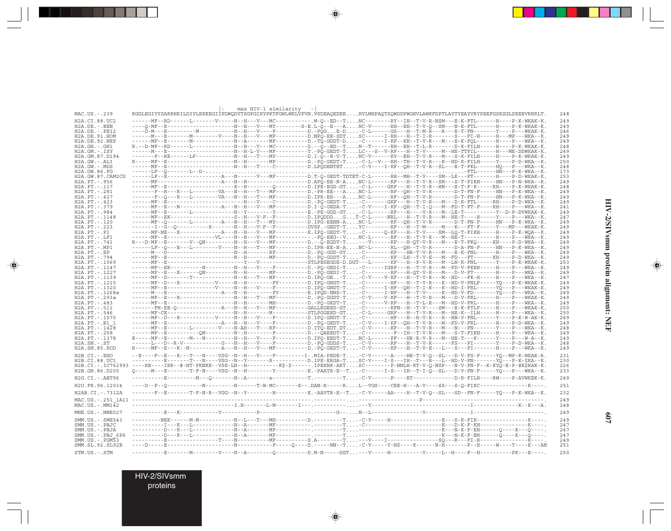|                                        |                                                                                                                                                                                                                                                                    | max HIV-1 similarity |  |  |  |            |
|----------------------------------------|--------------------------------------------------------------------------------------------------------------------------------------------------------------------------------------------------------------------------------------------------------------------|----------------------|--|--|--|------------|
| MAC.US.-.239                           | KGGLEGIYYSARRHRILDIYLEKEEGIİPDWQDYTSGPGIRYPKTFGWLWKLVPVN.VSDEAQEDEEHYLMHPAQTSQWDDPWGEVLAWKFDPTLAYTYEAYVRYPEEFGSKSGLSEEEVRRRLT.                                                                                                                                     |                      |  |  |  | 248        |
| H2A.CI.88.UC2                          | ------MF--RD------L-------V-----N--H---V---MC----------- M-O--ED--TNC--------RY--IH--T-V-R-NSM---E-K-FTL------H----P-K-WKAK-K.                                                                                                                                     |                      |  |  |  | 249        |
| $H2A.DE. - .BEN$                       |                                                                                                                                                                                                                                                                    |                      |  |  |  | 249        |
| $H2A.DE. - .PEI2$<br>H2A.DE.91.HOM     | ----D-M---E----------M-------------N--H---V----F---------D.-PQGE-D-C-L------GS---H--T-M-R---R---E-T-FN------------P---WKAK-K.                                                                                                                                      |                      |  |  |  | 246<br>249 |
| H2A.DE.92.NEP                          | ------MF--E-------M-------------N--A--------MF--------D.-TO-GDDT-D-C------I-KF--KH--T-V-R---M---E-K-FOL------H----P---WKA--K.                                                                                                                                      |                      |  |  |  | 249        |
| $H2A.GH. - .GH1$                       | R. --D-MF--RD------L---------------N--H---V---MC---------D. --O--ED--T. N--T------RH--EH--T-L-R------D-K-FILH-----H----P-K-WKAK-K.                                                                                                                                 |                      |  |  |  | 248        |
| $H2A.GM.-.ISY$                         | ------M---E------------------------N--H-L-V---MF----------T.-PQ-GEDT-TLC---S--V-RF---H--T-V------M--HE-TTFIL------H---ME-DDWKAK-K.                                                                                                                                 |                      |  |  |  | 249        |
| H2A.GM.87.D194                         | ------F--RE------LF-----------N--H---T---MY---------D.I-O--E-V-TNC-V------RY--EH--T-V-R---M---S-K-FILH-----H----P-K-WKAK-K.                                                                                                                                        |                      |  |  |  | 249<br>250 |
| $H2A.GW.-.ALI$<br>$H2A.GW. - .MDS$     | ------MF--E-------------------N--H---T----C--------D.LPQDENTET-C-V----I-KF--QH--T-V-R--SL---E-T-FKL------HQ---P--WKA--K.                                                                                                                                           |                      |  |  |  | 248        |
| H2A.GW.86.FG                           |                                                                                                                                                                                                                                                                    |                      |  |  |  | 173        |
| H2A.GW.87.CAM2CG                       | ------LF--E----------------A---N------V---MF---------D.T-O-GEDT-TDTET-C-L------RH--MH--T-V----SM--LK---FT-------H----P-D-WKAK-K.                                                                                                                                   |                      |  |  |  | 253        |
| H2A. PT. - . 956                       |                                                                                                                                                                                                                                                                    |                      |  |  |  | 249        |
| H2A. PT. - . 117<br>H2A.PT.-.281       | -------F--H---K---L--------VA---N--H---T---MF---------D.-PR-EE---ANC-L------RF--QH--T-V-R------D-T-FN-F------HN---P-K-WKA--K.                                                                                                                                      |                      |  |  |  | 248<br>249 |
| $H2A.PT. - .427$                       | -------F-0---K---L--------VA---N--H---T---MF--------D.IPR-EE---ANC-L------RF--OH--T-V-R------D-T-FN-F-----HN---P-K-WKA--K.                                                                                                                                         |                      |  |  |  | 249        |
| H2A. PT. - . 423                       |                                                                                                                                                                                                                                                                    |                      |  |  |  | 249        |
| H2A.PT. - .379                         | ------MF--E---N------------A---N--H---V---MF---------D.I-O-GEDA-T-C-V---I-KF--OH--T-I-O---M--FD-T-FT-F----KH----P---WKA--K.                                                                                                                                        |                      |  |  |  | 241        |
| H2A. PT. - . 984                       |                                                                                                                                                                                                                                                                    |                      |  |  |  | 249        |
| H2A. PT. - . 1148<br>H2A. PT. - . 120  | -------MF--EK-------------------S--H---V-F--F--------D.IPODDDGT-C-L-----NRL---H--T-V-R---M--HE-T----H-----Y----P---WKA--K.<br>------MF--Q-------L--------A--N--H---T---MY---------D.IPG-EENN-ANC-L-----RF--QH--T-V-R------D-T-FN-F-----HN---P-K-WKA--K.            |                      |  |  |  | 247<br>249 |
| $H2A.PT. - .223$                       | -------I--G--O----------K------N--H---V-F--F--------DVSP.-GEDT-TYC-------RF---H--T-M----M---K---FT-F----Y---MP---WKAK-K.                                                                                                                                           |                      |  |  |  | 249        |
| $H2A.PT.-.P1$                          | ------MF-NE---K-------------A--H---V---MF---------E.IPO-GEDT-T-C------O-KF---H--T-V----SM--LO-T-FIKH-----H----P-K-WOA--K.                                                                                                                                          |                      |  |  |  | 249        |
| H2A. PT. - . LF1                       | ------MF--E-------------VL----N--H---V---MF-------------PO-EEG--VNC-L------RF---H--T-V-R---M--HE-T-----------H----P--WKA--K.                                                                                                                                       |                      |  |  |  | 249        |
| H2A. PT. - . 741                       | R---D-MF--E--------V--QN----------N--H---V---MF---------D.--Q-EGDT-T---V-----KF---H-QT-V-R---M---E-T-FKQ-----KH----P-D-WKA--K.<br>------LF--0---E---L---------V----N--H---T---MF---------D.IPR-EE-N-ANC-L------RL--OH--T-V-R------D-A-FN-F-----HN---P-K-WKA--K.    |                      |  |  |  | 249        |
| $H2A.PT.-.MP1$<br>$H2A.PT.-EP$         | ------M---D--------------------N--H--------RF---------D.-PQ-GDD-GT-C--------KF---HR-T-V-R---M---E-K-FNL------H----P---WKA--K.                                                                                                                                      |                      |  |  |  | 249<br>249 |
| H2A. PT. - . 794                       | ------MF--E---------------------N--H--------MF---------D.-PQ-GDDT-T-C-------KF--LH--T-V-E---M--FD---FT------KH----P-D-WKA--K.                                                                                                                                      |                      |  |  |  | 249        |
| H2A. PT. - . 1069                      |                                                                                                                                                                                                                                                                    |                      |  |  |  | 253        |
| H2A. PT. - . 1147                      | ------WF--EK----------N--------N--H---V----F---------D.-PO-GEDI-T-C------IGRF---H--T-V-R---M--FD-V-FKKH-----H----P---WKA--K.                                                                                                                                       |                      |  |  |  | 249        |
| H2A. PT. - . 1227                      | ------MF--E---K------QN---------N--H--------MF---------D.-PQ-GEDI-T-C-------RF---H-QT-V-R---M---D-V-FT-------H----P---WKA--K.                                                                                                                                      |                      |  |  |  | 249        |
| H2A. PT. - . 1139<br>H2A. PT. - . 1215 | ------MF--D-------T------------N--H---T---MF---------D.IPQ-GE-T-C-V----V-KF---H--T-V-R---M--HD---FK-H-----H----P---WKA--K.<br>------MF--D---K----------V-----N--H---------FY--------D.IPO-GNGT-T-C-------HF---H--T-V-R---K--HD-V-FNLF-----YO---P-K-WKAK-K.         |                      |  |  |  | 247<br>249 |
| H2A. PT. - . 1320                      | -------MF--E---------------------N--H---V----F--------D.IPO-GNDT-T-C------I-HF--OH--T-I-R---K--HD-I-FRL------YO---P---WKAK-K.                                                                                                                                      |                      |  |  |  | 249        |
| H2A. PT. - . 1268a                     |                                                                                                                                                                                                                                                                    |                      |  |  |  | 249        |
| H2A.PT.-.293a                          | ------MF--E---K----------------N--H---T---MF---------D.-PQ-GGDT-T-C-V----V-KF---H--T-V-R---M---D-V-FRL------H----P---WKAK-K.                                                                                                                                       |                      |  |  |  | 249        |
| $H2A.PT.-.483$                         |                                                                                                                                                                                                                                                                    |                      |  |  |  | 249        |
| H2A. PT. - . 511<br>$H2A.PT. - .546$   | -------FH-EE-Q--------------A---N--H---V---MF----------GALLEGEED-GT-C-------KFN--H--T-V----SM---E-K-FTLF-----H----P---WKAK-K.                                                                                                                                      |                      |  |  |  | 250<br>250 |
| H2A. PT. - . 1570                      | ------MF--D---K-----------V-----N--H---V----F---------D.IPQ-GNDT-T-C--------HF---H--R-V-R---K--HN-V-FNL------Y----P-K-W-AK-K.                                                                                                                                      |                      |  |  |  | 249        |
| H2A.PT.-.B1 1                          | ------MF--E------------------A---N--H---V----F---------D.-PQ-GEDT-T-C-V---I-KF--QH--T-V-R---M--FD-V-FRL------H----P-D-WKA--K.                                                                                                                                      |                      |  |  |  | 249        |
| H2A. PT. - . 1428                      | ------MF--E-------L--------V----N-AH---T---RF---------D.ITQ-EDT.DT-C-V------KF---H--T-V-R---M---FN----FN--------Y----P---WKA--K.                                                                                                                                   |                      |  |  |  | 248        |
| H2A.PT. - .268                         | ------MF--E-----------QN----------N--H--------F---------D.--QAEEDT-T-C--------F--IH--T-V-R---M---S-T-FIKH-----H----P---WKA--K.                                                                                                                                     |                      |  |  |  | 249        |
| H2A. PT. - . 1378<br>$H2A.SN.-.ST$     | E-----MF--E--------M---N------------N--H---V----F--------D.IPO-EEDT-TNC-L------PF---HR-R-V-R---M--HE-T---K------Y----P---W-A--K.<br>------L---D--R-V------------G---N--H---V----F----------D.-PQ-GDDS-T-C-V------RF---H--T-V-R-----FS---FI--------Y----P-D-WKA--K. |                      |  |  |  | 249<br>248 |
| H2A.SN.85.ROD                          | R-----MF--E---K--N----------A--H---V---MF----------D.-PQ-GEDT-T-C-V------KF---H--T-V-E---L---S---FI-------H----P---WKA--K.                                                                                                                                         |                      |  |  |  | 249        |
| $H2B.CI.-.EHO$                         | --E----F--E---K---T---N----VSG--N--H---V----F--------I-.MIA-PEDE-T-C-V-----A----HE-T-V-O--SL---D-V-FS-F-----YO--MP-K-WKAK-R.                                                                                                                                       |                      |  |  |  | 231        |
| H2B.CI.88.UC1                          | ---------E-------T---N----VSG--N--Y-------R---------D.IPE-ERGA-TSC-V---I-S---IH--T---R---L--HD-V-FN--------YQ---P-K-\$KA--K.                                                                                                                                       |                      |  |  |  | 230        |
|                                        | H2B.CI.-.IC762993 ----KE----IKK--#-NT-FKNKK--VSK-LN--H---------K\$-\$------.IPEKNK-AKTSC-------P-NNLH-KT-V-Q-NSF---N-V-FN-F--K-KYQ-E-P-#K\$KAK-K.                                                                                                                  |                      |  |  |  | 226        |
| H2B.GH.86.D205                         | 0-----M---E--------T-F-N----VSG--N--H--------Y---------E.-PAATR-E--T-C------I-S---IH--T-I-0--SL---D-V-FN-F-----Y0---P---WKA--K.                                                                                                                                    |                      |  |  |  | 233        |
| H2G.CI. - . ABT96                      |                                                                                                                                                                                                                                                                    |                      |  |  |  | 249        |
| H2U.FR.96.12034                        | ----D--F--Q------------N---------N------T-W-MC-------E--.DAN-K-----RL--VGS----CEE-H---A-V----SS---S-Q-FIKC----------------K----.                                                                                                                                   |                      |  |  |  | 251        |
|                                        |                                                                                                                                                                                                                                                                    |                      |  |  |  | 232        |
| H2AB.CI.-.7312A                        | ------F-E------T-F-N-R--VGG--N--Y--------H--------E.-AAVTR-E--T-C-V-----AA----H--T-V-Q--SL---SD--FN-F-----YQ---P-K-WKA--K.                                                                                                                                         |                      |  |  |  |            |
|                                        |                                                                                                                                                                                                                                                                    |                      |  |  |  | 249        |
| $MAC. US. - . MM142$                   |                                                                                                                                                                                                                                                                    |                      |  |  |  | 248        |
| MNE.US.-.MNE027                        |                                                                                                                                                                                                                                                                    |                      |  |  |  | 249        |
| SMM. US. - . SME543                    |                                                                                                                                                                                                                                                                    |                      |  |  |  | 249        |
| SMM.US.-.PBJC                          |                                                                                                                                                                                                                                                                    |                      |  |  |  | 247        |
| SMM.US.-.PBJA<br>SMM.US.-.PBJ 6P6      |                                                                                                                                                                                                                                                                    |                      |  |  |  | 247<br>247 |
| $SMM.US. - . PGM53$                    |                                                                                                                                                                                                                                                                    |                      |  |  |  | 249        |
| SMM.SL.92.SL92B                        |                                                                                                                                                                                                                                                                    |                      |  |  |  | 251        |
| STM.US.-.STM                           |                                                                                                                                                                                                                                                                    |                      |  |  |  | 250        |
|                                        |                                                                                                                                                                                                                                                                    |                      |  |  |  |            |

 $\Rightarrow$ 

 $\color{red} \bigoplus$ 

HIV-2/SIVsmm protein alignment: NEF **HIV-2/SIVsmm protein alignment: NEF**

 $\Rightarrow$ 

**607**

HIV-2/SIVsmm proteins

. . .

 $\Rightarrow$